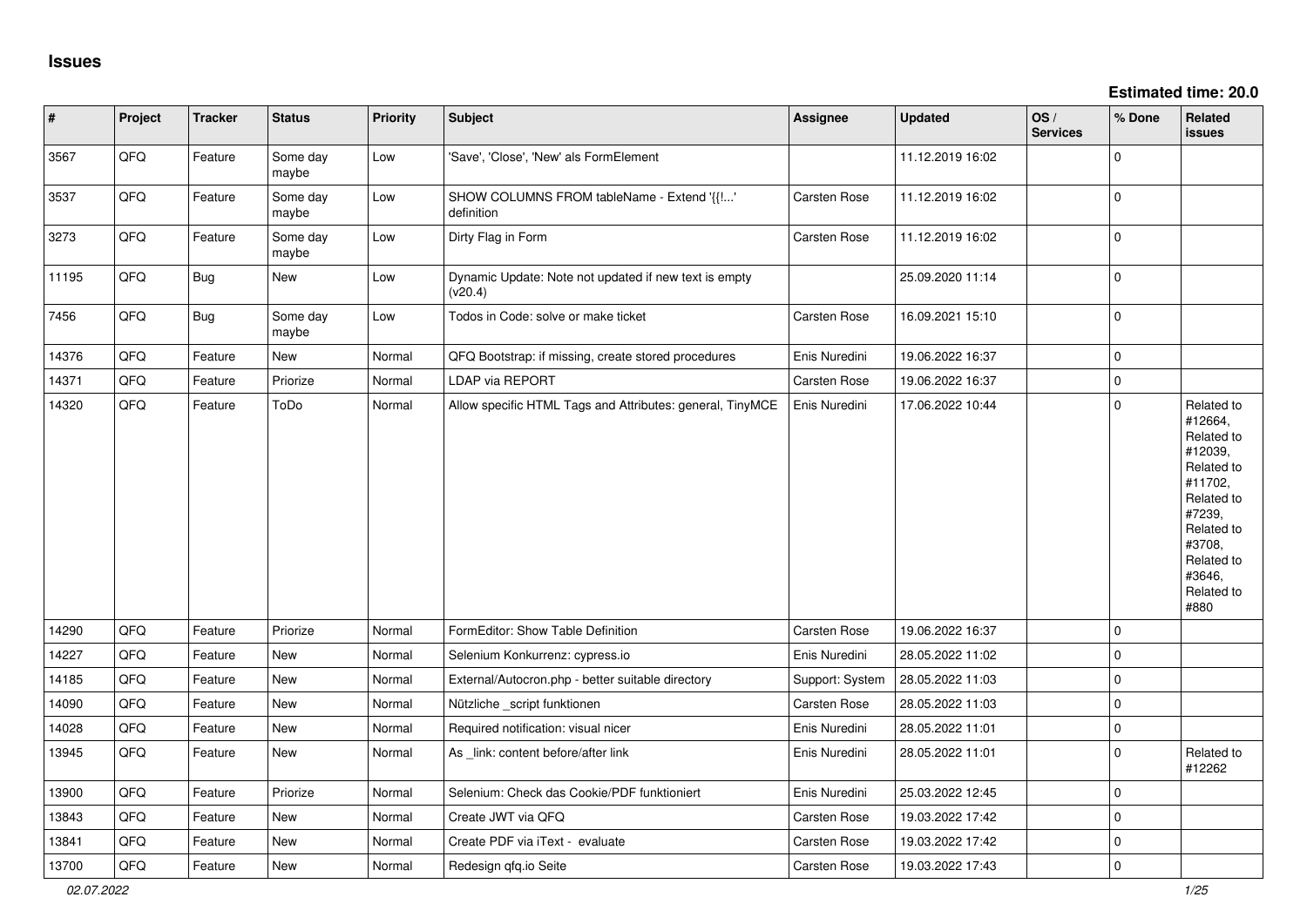| #     | Project | <b>Tracker</b> | <b>Status</b>     | <b>Priority</b> | <b>Subject</b>                                                   | <b>Assignee</b> | <b>Updated</b>   | OS/<br><b>Services</b> | % Done       | <b>Related</b><br><b>issues</b>                                                                                                                                       |
|-------|---------|----------------|-------------------|-----------------|------------------------------------------------------------------|-----------------|------------------|------------------------|--------------|-----------------------------------------------------------------------------------------------------------------------------------------------------------------------|
| 3567  | QFQ     | Feature        | Some day<br>maybe | Low             | 'Save', 'Close', 'New' als FormElement                           |                 | 11.12.2019 16:02 |                        | $\mathbf 0$  |                                                                                                                                                                       |
| 3537  | QFQ     | Feature        | Some day<br>maybe | Low             | SHOW COLUMNS FROM tableName - Extend '{{!'<br>definition         | Carsten Rose    | 11.12.2019 16:02 |                        | $\mathbf 0$  |                                                                                                                                                                       |
| 3273  | QFQ     | Feature        | Some day<br>maybe | Low             | Dirty Flag in Form                                               | Carsten Rose    | 11.12.2019 16:02 |                        | $\mathbf{0}$ |                                                                                                                                                                       |
| 11195 | QFQ     | <b>Bug</b>     | New               | Low             | Dynamic Update: Note not updated if new text is empty<br>(v20.4) |                 | 25.09.2020 11:14 |                        | $\mathbf 0$  |                                                                                                                                                                       |
| 7456  | QFQ     | Bug            | Some day<br>maybe | Low             | Todos in Code: solve or make ticket                              | Carsten Rose    | 16.09.2021 15:10 |                        | $\mathbf 0$  |                                                                                                                                                                       |
| 14376 | QFQ     | Feature        | New               | Normal          | QFQ Bootstrap: if missing, create stored procedures              | Enis Nuredini   | 19.06.2022 16:37 |                        | $\mathbf 0$  |                                                                                                                                                                       |
| 14371 | QFQ     | Feature        | Priorize          | Normal          | <b>LDAP via REPORT</b>                                           | Carsten Rose    | 19.06.2022 16:37 |                        | $\mathbf{0}$ |                                                                                                                                                                       |
| 14320 | QFQ     | Feature        | ToDo              | Normal          | Allow specific HTML Tags and Attributes: general, TinyMCE        | Enis Nuredini   | 17.06.2022 10:44 |                        | $\mathbf 0$  | Related to<br>#12664,<br>Related to<br>#12039,<br>Related to<br>#11702,<br>Related to<br>#7239,<br>Related to<br>#3708,<br>Related to<br>#3646,<br>Related to<br>#880 |
| 14290 | QFQ     | Feature        | Priorize          | Normal          | FormEditor: Show Table Definition                                | Carsten Rose    | 19.06.2022 16:37 |                        | $\mathbf 0$  |                                                                                                                                                                       |
| 14227 | QFQ     | Feature        | <b>New</b>        | Normal          | Selenium Konkurrenz: cypress.io                                  | Enis Nuredini   | 28.05.2022 11:02 |                        | $\mathbf 0$  |                                                                                                                                                                       |
| 14185 | QFQ     | Feature        | <b>New</b>        | Normal          | External/Autocron.php - better suitable directory                | Support: System | 28.05.2022 11:03 |                        | $\mathbf 0$  |                                                                                                                                                                       |
| 14090 | QFQ     | Feature        | New               | Normal          | Nützliche _script funktionen                                     | Carsten Rose    | 28.05.2022 11:03 |                        | 0            |                                                                                                                                                                       |
| 14028 | QFQ     | Feature        | New               | Normal          | Required notification: visual nicer                              | Enis Nuredini   | 28.05.2022 11:01 |                        | 0            |                                                                                                                                                                       |
| 13945 | QFQ     | Feature        | New               | Normal          | As _link: content before/after link                              | Enis Nuredini   | 28.05.2022 11:01 |                        | $\mathbf 0$  | Related to<br>#12262                                                                                                                                                  |
| 13900 | QFQ     | Feature        | Priorize          | Normal          | Selenium: Check das Cookie/PDF funktioniert                      | Enis Nuredini   | 25.03.2022 12:45 |                        | $\mathbf 0$  |                                                                                                                                                                       |
| 13843 | QFQ     | Feature        | New               | Normal          | Create JWT via QFQ                                               | Carsten Rose    | 19.03.2022 17:42 |                        | $\mathbf{0}$ |                                                                                                                                                                       |
| 13841 | QFQ     | Feature        | New               | Normal          | Create PDF via iText - evaluate                                  | Carsten Rose    | 19.03.2022 17:42 |                        | $\mathbf 0$  |                                                                                                                                                                       |
| 13700 | QFQ     | Feature        | New               | Normal          | Redesign gfg.io Seite                                            | Carsten Rose    | 19.03.2022 17:43 |                        | $\mathbf{0}$ |                                                                                                                                                                       |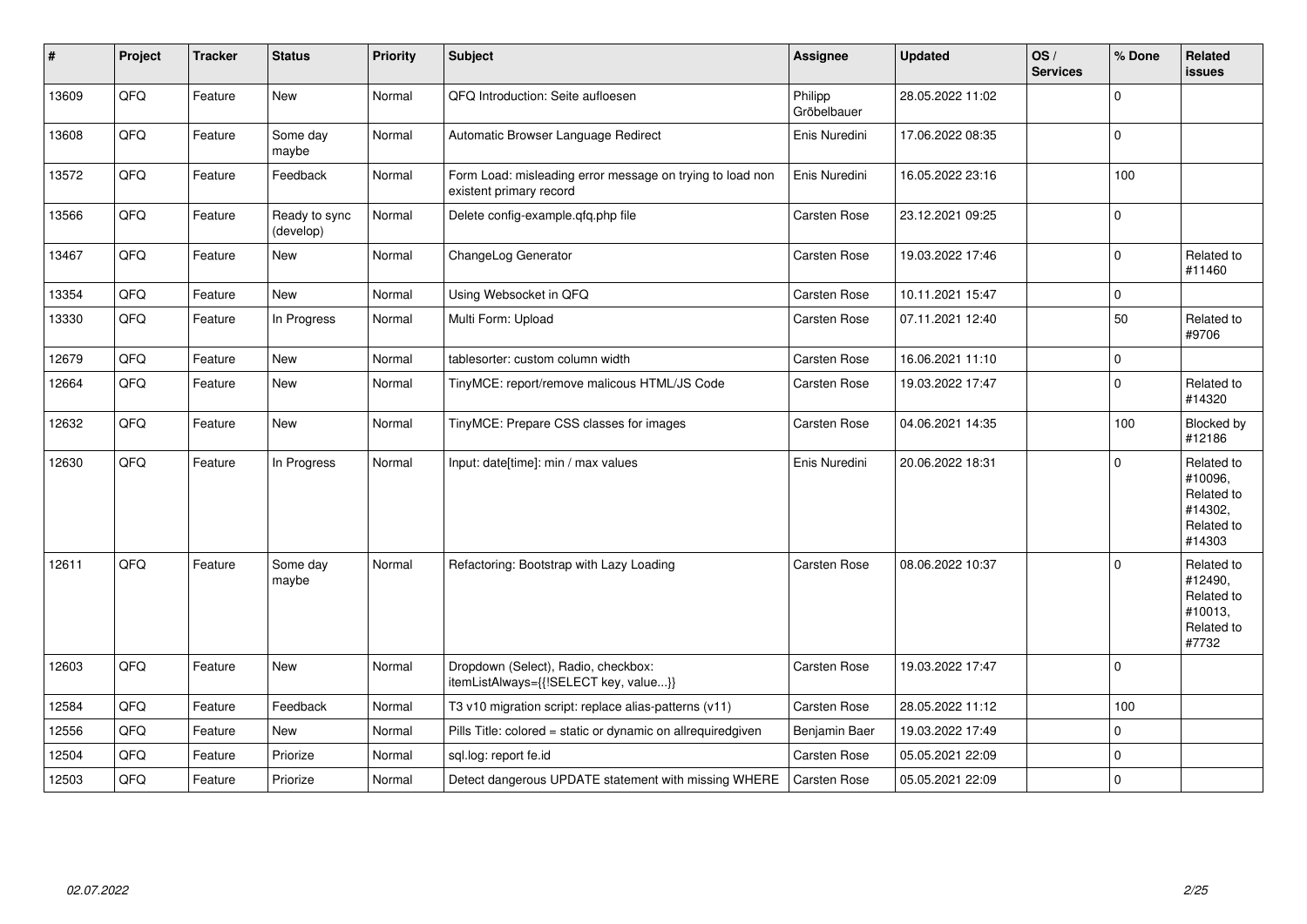| #     | Project | <b>Tracker</b> | <b>Status</b>              | <b>Priority</b> | <b>Subject</b>                                                                       | <b>Assignee</b>        | <b>Updated</b>   | OS/<br><b>Services</b> | % Done   | Related<br>issues                                                      |
|-------|---------|----------------|----------------------------|-----------------|--------------------------------------------------------------------------------------|------------------------|------------------|------------------------|----------|------------------------------------------------------------------------|
| 13609 | QFQ     | Feature        | <b>New</b>                 | Normal          | QFQ Introduction: Seite aufloesen                                                    | Philipp<br>Gröbelbauer | 28.05.2022 11:02 |                        | $\Omega$ |                                                                        |
| 13608 | QFQ     | Feature        | Some day<br>maybe          | Normal          | Automatic Browser Language Redirect                                                  | Enis Nuredini          | 17.06.2022 08:35 |                        | $\Omega$ |                                                                        |
| 13572 | QFQ     | Feature        | Feedback                   | Normal          | Form Load: misleading error message on trying to load non<br>existent primary record | Enis Nuredini          | 16.05.2022 23:16 |                        | 100      |                                                                        |
| 13566 | QFQ     | Feature        | Ready to sync<br>(develop) | Normal          | Delete config-example.qfq.php file                                                   | <b>Carsten Rose</b>    | 23.12.2021 09:25 |                        | 0        |                                                                        |
| 13467 | QFQ     | Feature        | New                        | Normal          | ChangeLog Generator                                                                  | Carsten Rose           | 19.03.2022 17:46 |                        | $\Omega$ | Related to<br>#11460                                                   |
| 13354 | QFQ     | Feature        | New                        | Normal          | Using Websocket in QFQ                                                               | <b>Carsten Rose</b>    | 10.11.2021 15:47 |                        | 0        |                                                                        |
| 13330 | QFQ     | Feature        | In Progress                | Normal          | Multi Form: Upload                                                                   | Carsten Rose           | 07.11.2021 12:40 |                        | 50       | Related to<br>#9706                                                    |
| 12679 | QFQ     | Feature        | <b>New</b>                 | Normal          | tablesorter: custom column width                                                     | <b>Carsten Rose</b>    | 16.06.2021 11:10 |                        | 0        |                                                                        |
| 12664 | QFQ     | Feature        | New                        | Normal          | TinyMCE: report/remove malicous HTML/JS Code                                         | Carsten Rose           | 19.03.2022 17:47 |                        | $\Omega$ | Related to<br>#14320                                                   |
| 12632 | QFQ     | Feature        | <b>New</b>                 | Normal          | TinyMCE: Prepare CSS classes for images                                              | Carsten Rose           | 04.06.2021 14:35 |                        | 100      | Blocked by<br>#12186                                                   |
| 12630 | QFQ     | Feature        | In Progress                | Normal          | Input: date[time]: min / max values                                                  | Enis Nuredini          | 20.06.2022 18:31 |                        | 0        | Related to<br>#10096,<br>Related to<br>#14302,<br>Related to<br>#14303 |
| 12611 | QFQ     | Feature        | Some day<br>maybe          | Normal          | Refactoring: Bootstrap with Lazy Loading                                             | <b>Carsten Rose</b>    | 08.06.2022 10:37 |                        | $\Omega$ | Related to<br>#12490,<br>Related to<br>#10013,<br>Related to<br>#7732  |
| 12603 | QFQ     | Feature        | New                        | Normal          | Dropdown (Select), Radio, checkbox:<br>itemListAlways={{!SELECT key, value}}         | <b>Carsten Rose</b>    | 19.03.2022 17:47 |                        | $\Omega$ |                                                                        |
| 12584 | QFQ     | Feature        | Feedback                   | Normal          | T3 v10 migration script: replace alias-patterns (v11)                                | Carsten Rose           | 28.05.2022 11:12 |                        | 100      |                                                                        |
| 12556 | QFQ     | Feature        | <b>New</b>                 | Normal          | Pills Title: colored = static or dynamic on allrequiredgiven                         | Benjamin Baer          | 19.03.2022 17:49 |                        | 0        |                                                                        |
| 12504 | QFQ     | Feature        | Priorize                   | Normal          | sql.log: report fe.id                                                                | Carsten Rose           | 05.05.2021 22:09 |                        | 0        |                                                                        |
| 12503 | QFQ     | Feature        | Priorize                   | Normal          | Detect dangerous UPDATE statement with missing WHERE                                 | Carsten Rose           | 05.05.2021 22:09 |                        | $\Omega$ |                                                                        |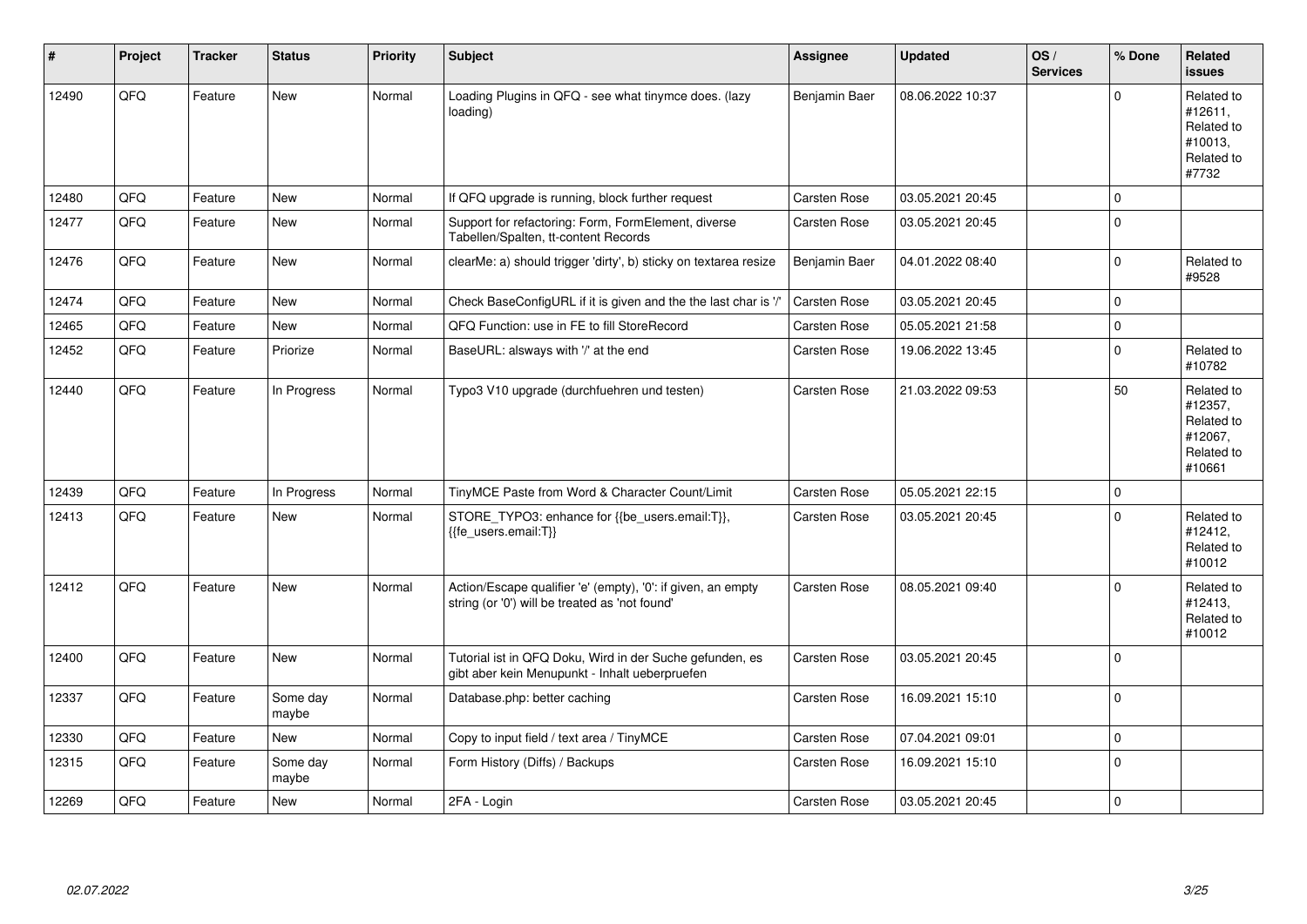| #     | Project | <b>Tracker</b> | <b>Status</b>     | <b>Priority</b> | <b>Subject</b>                                                                                                 | Assignee            | <b>Updated</b>   | OS/<br><b>Services</b> | % Done       | Related<br><b>issues</b>                                               |
|-------|---------|----------------|-------------------|-----------------|----------------------------------------------------------------------------------------------------------------|---------------------|------------------|------------------------|--------------|------------------------------------------------------------------------|
| 12490 | QFQ     | Feature        | <b>New</b>        | Normal          | Loading Plugins in QFQ - see what tinymce does. (lazy<br>loading)                                              | Benjamin Baer       | 08.06.2022 10:37 |                        | $\mathbf{0}$ | Related to<br>#12611,<br>Related to<br>#10013,<br>Related to<br>#7732  |
| 12480 | QFQ     | Feature        | New               | Normal          | If QFQ upgrade is running, block further request                                                               | Carsten Rose        | 03.05.2021 20:45 |                        | $\Omega$     |                                                                        |
| 12477 | QFQ     | Feature        | <b>New</b>        | Normal          | Support for refactoring: Form, FormElement, diverse<br>Tabellen/Spalten, tt-content Records                    | <b>Carsten Rose</b> | 03.05.2021 20:45 |                        | $\mathbf 0$  |                                                                        |
| 12476 | QFQ     | Feature        | New               | Normal          | clearMe: a) should trigger 'dirty', b) sticky on textarea resize                                               | Benjamin Baer       | 04.01.2022 08:40 |                        | $\mathbf 0$  | Related to<br>#9528                                                    |
| 12474 | QFQ     | Feature        | <b>New</b>        | Normal          | Check BaseConfigURL if it is given and the the last char is '/'                                                | Carsten Rose        | 03.05.2021 20:45 |                        | $\Omega$     |                                                                        |
| 12465 | QFQ     | Feature        | <b>New</b>        | Normal          | QFQ Function: use in FE to fill StoreRecord                                                                    | Carsten Rose        | 05.05.2021 21:58 |                        | $\mathbf 0$  |                                                                        |
| 12452 | QFQ     | Feature        | Priorize          | Normal          | BaseURL: alsways with '/' at the end                                                                           | Carsten Rose        | 19.06.2022 13:45 |                        | $\mathbf 0$  | Related to<br>#10782                                                   |
| 12440 | QFQ     | Feature        | In Progress       | Normal          | Typo3 V10 upgrade (durchfuehren und testen)                                                                    | Carsten Rose        | 21.03.2022 09:53 |                        | 50           | Related to<br>#12357,<br>Related to<br>#12067,<br>Related to<br>#10661 |
| 12439 | QFQ     | Feature        | In Progress       | Normal          | TinyMCE Paste from Word & Character Count/Limit                                                                | Carsten Rose        | 05.05.2021 22:15 |                        | $\mathbf 0$  |                                                                        |
| 12413 | QFQ     | Feature        | <b>New</b>        | Normal          | STORE TYPO3: enhance for {{be users.email:T}},<br>{{fe users.email:T}}                                         | <b>Carsten Rose</b> | 03.05.2021 20:45 |                        | $\mathbf 0$  | Related to<br>#12412,<br>Related to<br>#10012                          |
| 12412 | QFQ     | Feature        | New               | Normal          | Action/Escape qualifier 'e' (empty), '0': if given, an empty<br>string (or '0') will be treated as 'not found' | <b>Carsten Rose</b> | 08.05.2021 09:40 |                        | $\mathbf 0$  | Related to<br>#12413,<br>Related to<br>#10012                          |
| 12400 | QFQ     | Feature        | <b>New</b>        | Normal          | Tutorial ist in QFQ Doku, Wird in der Suche gefunden, es<br>gibt aber kein Menupunkt - Inhalt ueberpruefen     | Carsten Rose        | 03.05.2021 20:45 |                        | $\mathsf 0$  |                                                                        |
| 12337 | QFQ     | Feature        | Some day<br>maybe | Normal          | Database.php: better caching                                                                                   | <b>Carsten Rose</b> | 16.09.2021 15:10 |                        | $\mathsf 0$  |                                                                        |
| 12330 | QFQ     | Feature        | <b>New</b>        | Normal          | Copy to input field / text area / TinyMCE                                                                      | Carsten Rose        | 07.04.2021 09:01 |                        | $\mathbf 0$  |                                                                        |
| 12315 | QFQ     | Feature        | Some day<br>maybe | Normal          | Form History (Diffs) / Backups                                                                                 | <b>Carsten Rose</b> | 16.09.2021 15:10 |                        | $\mathbf 0$  |                                                                        |
| 12269 | QFQ     | Feature        | <b>New</b>        | Normal          | 2FA - Login                                                                                                    | <b>Carsten Rose</b> | 03.05.2021 20:45 |                        | $\mathbf{0}$ |                                                                        |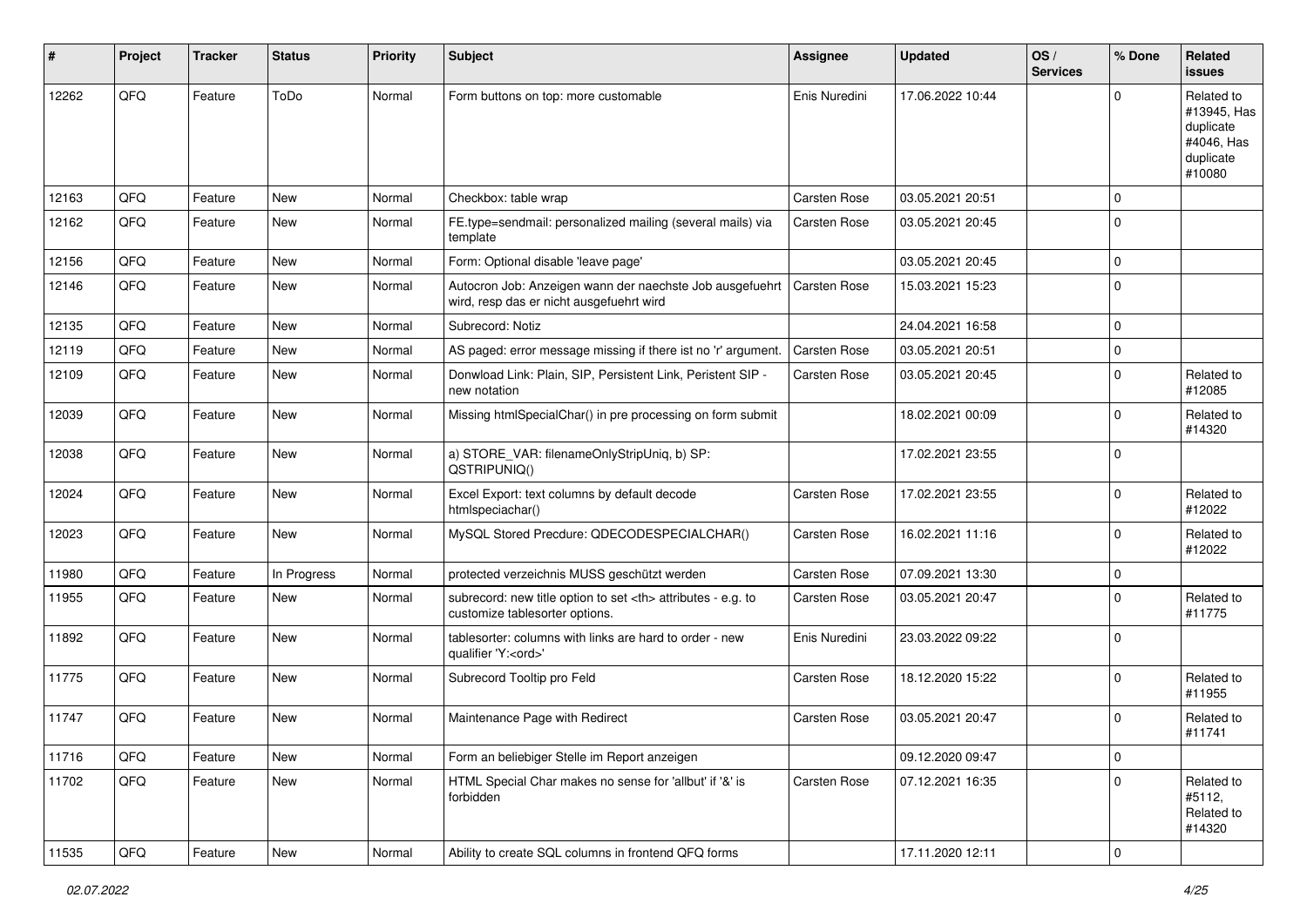| $\sharp$ | Project | <b>Tracker</b> | <b>Status</b> | <b>Priority</b> | Subject                                                                                              | <b>Assignee</b>                                        | <b>Updated</b>   | OS/<br><b>Services</b> | % Done         | Related<br>issues                                                           |                      |
|----------|---------|----------------|---------------|-----------------|------------------------------------------------------------------------------------------------------|--------------------------------------------------------|------------------|------------------------|----------------|-----------------------------------------------------------------------------|----------------------|
| 12262    | QFQ     | Feature        | ToDo          | Normal          | Form buttons on top: more customable                                                                 | Enis Nuredini                                          | 17.06.2022 10:44 |                        | $\Omega$       | Related to<br>#13945, Has<br>duplicate<br>#4046, Has<br>duplicate<br>#10080 |                      |
| 12163    | QFQ     | Feature        | <b>New</b>    | Normal          | Checkbox: table wrap                                                                                 | <b>Carsten Rose</b>                                    | 03.05.2021 20:51 |                        | $\mathbf 0$    |                                                                             |                      |
| 12162    | QFQ     | Feature        | New           | Normal          | FE.type=sendmail: personalized mailing (several mails) via<br>template                               | <b>Carsten Rose</b>                                    | 03.05.2021 20:45 |                        | $\Omega$       |                                                                             |                      |
| 12156    | QFQ     | Feature        | <b>New</b>    | Normal          | Form: Optional disable 'leave page'                                                                  |                                                        | 03.05.2021 20:45 |                        | $\mathbf 0$    |                                                                             |                      |
| 12146    | QFQ     | Feature        | <b>New</b>    | Normal          | Autocron Job: Anzeigen wann der naechste Job ausgefuehrt<br>wird, resp das er nicht ausgefuehrt wird | <b>Carsten Rose</b>                                    | 15.03.2021 15:23 |                        | $\Omega$       |                                                                             |                      |
| 12135    | QFQ     | Feature        | New           | Normal          | Subrecord: Notiz                                                                                     |                                                        | 24.04.2021 16:58 |                        | $\mathbf 0$    |                                                                             |                      |
| 12119    | QFQ     | Feature        | New           | Normal          | AS paged: error message missing if there ist no 'r' argument.                                        | <b>Carsten Rose</b>                                    | 03.05.2021 20:51 |                        | $\mathbf 0$    |                                                                             |                      |
| 12109    | QFQ     | Feature        | New           | Normal          | Donwload Link: Plain, SIP, Persistent Link, Peristent SIP -<br>new notation                          | <b>Carsten Rose</b>                                    | 03.05.2021 20:45 |                        | $\Omega$       | Related to<br>#12085                                                        |                      |
| 12039    | QFQ     | Feature        | New           | Normal          | Missing htmlSpecialChar() in pre processing on form submit                                           |                                                        | 18.02.2021 00:09 |                        | $\mathbf 0$    | Related to<br>#14320                                                        |                      |
| 12038    | QFQ     | Feature        | New           | Normal          | a) STORE_VAR: filenameOnlyStripUniq, b) SP:<br>QSTRIPUNIQ()                                          |                                                        | 17.02.2021 23:55 |                        | $\Omega$       |                                                                             |                      |
| 12024    | QFQ     | Feature        | <b>New</b>    | Normal          | Excel Export: text columns by default decode<br>htmlspeciachar()                                     | Carsten Rose                                           | 17.02.2021 23:55 |                        | $\mathbf 0$    | Related to<br>#12022                                                        |                      |
| 12023    | QFQ     | Feature        | New           | Normal          | MySQL Stored Precdure: QDECODESPECIALCHAR()                                                          | <b>Carsten Rose</b>                                    | 16.02.2021 11:16 |                        | $\mathbf 0$    | Related to<br>#12022                                                        |                      |
| 11980    | QFQ     | Feature        | In Progress   | Normal          | protected verzeichnis MUSS geschützt werden                                                          | <b>Carsten Rose</b>                                    | 07.09.2021 13:30 |                        | $\mathbf 0$    |                                                                             |                      |
| 11955    | QFQ     | Feature        | New           | Normal          | subrecord: new title option to set <th> attributes - e.g. to<br/>customize tablesorter options.</th> | attributes - e.g. to<br>customize tablesorter options. | Carsten Rose     | 03.05.2021 20:47       |                | $\Omega$                                                                    | Related to<br>#11775 |
| 11892    | QFQ     | Feature        | <b>New</b>    | Normal          | tablesorter: columns with links are hard to order - new<br>qualifier 'Y: <ord>'</ord>                | Enis Nuredini                                          | 23.03.2022 09:22 |                        | $\overline{0}$ |                                                                             |                      |
| 11775    | QFQ     | Feature        | New           | Normal          | Subrecord Tooltip pro Feld                                                                           | Carsten Rose                                           | 18.12.2020 15:22 |                        | $\Omega$       | Related to<br>#11955                                                        |                      |
| 11747    | QFQ     | Feature        | New           | Normal          | Maintenance Page with Redirect                                                                       | <b>Carsten Rose</b>                                    | 03.05.2021 20:47 |                        | $\Omega$       | Related to<br>#11741                                                        |                      |
| 11716    | QFQ     | Feature        | New           | Normal          | Form an beliebiger Stelle im Report anzeigen                                                         |                                                        | 09.12.2020 09:47 |                        | $\mathbf 0$    |                                                                             |                      |
| 11702    | QFQ     | Feature        | New           | Normal          | HTML Special Char makes no sense for 'allbut' if '&' is<br>forbidden                                 | <b>Carsten Rose</b>                                    | 07.12.2021 16:35 |                        | $\Omega$       | Related to<br>#5112,<br>Related to<br>#14320                                |                      |
| 11535    | QFG     | Feature        | New           | Normal          | Ability to create SQL columns in frontend QFQ forms                                                  |                                                        | 17.11.2020 12:11 |                        | $\overline{0}$ |                                                                             |                      |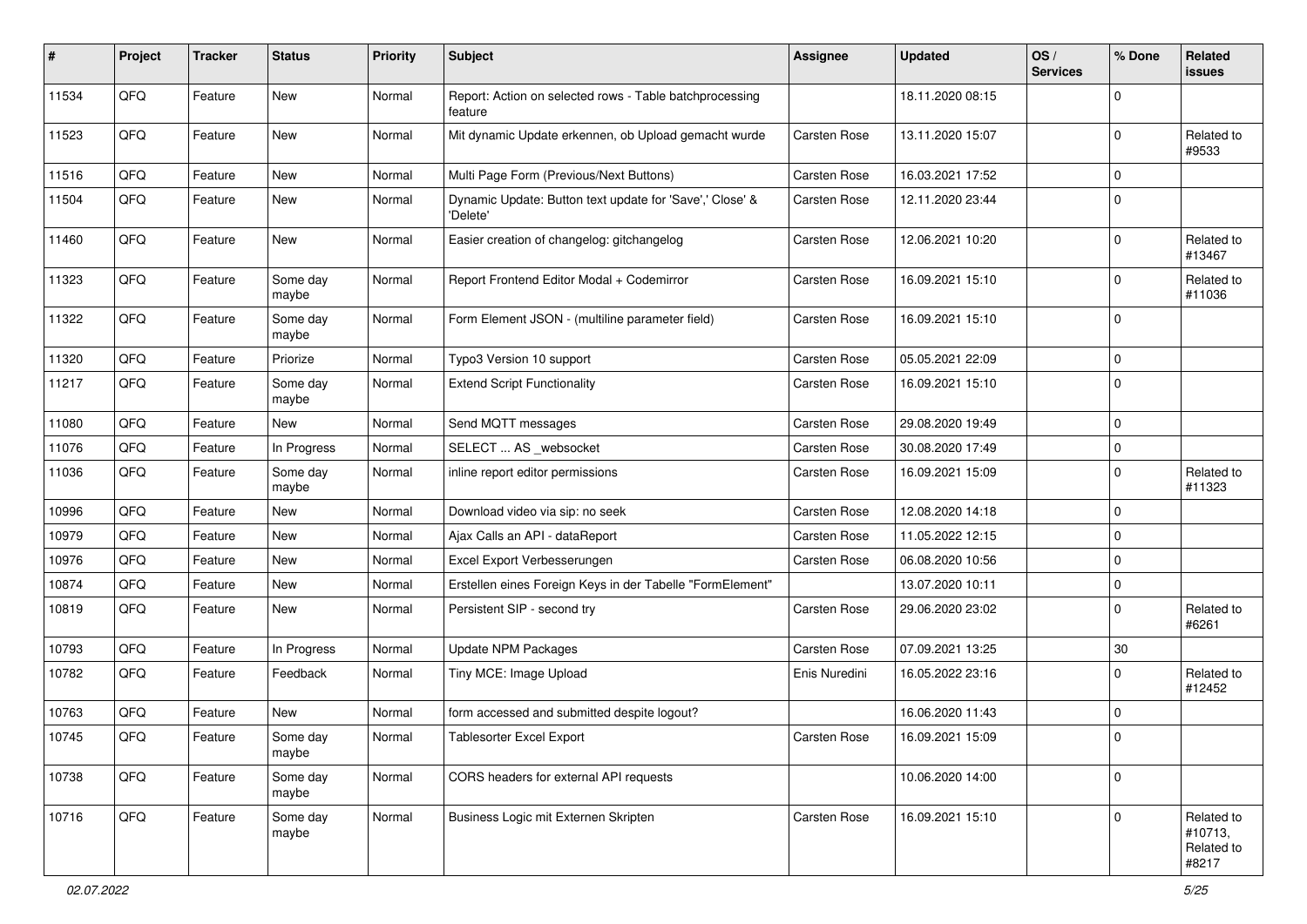| #     | Project | <b>Tracker</b> | <b>Status</b>     | <b>Priority</b> | <b>Subject</b>                                                       | <b>Assignee</b>     | <b>Updated</b>   | OS/<br><b>Services</b> | % Done         | Related<br>issues                            |
|-------|---------|----------------|-------------------|-----------------|----------------------------------------------------------------------|---------------------|------------------|------------------------|----------------|----------------------------------------------|
| 11534 | QFQ     | Feature        | New               | Normal          | Report: Action on selected rows - Table batchprocessing<br>feature   |                     | 18.11.2020 08:15 |                        | $\Omega$       |                                              |
| 11523 | QFQ     | Feature        | New               | Normal          | Mit dynamic Update erkennen, ob Upload gemacht wurde                 | <b>Carsten Rose</b> | 13.11.2020 15:07 |                        | $\Omega$       | Related to<br>#9533                          |
| 11516 | QFQ     | Feature        | New               | Normal          | Multi Page Form (Previous/Next Buttons)                              | <b>Carsten Rose</b> | 16.03.2021 17:52 |                        | $\Omega$       |                                              |
| 11504 | QFQ     | Feature        | New               | Normal          | Dynamic Update: Button text update for 'Save',' Close' &<br>'Delete' | Carsten Rose        | 12.11.2020 23:44 |                        | $\Omega$       |                                              |
| 11460 | QFQ     | Feature        | New               | Normal          | Easier creation of changelog: gitchangelog                           | Carsten Rose        | 12.06.2021 10:20 |                        | $\Omega$       | Related to<br>#13467                         |
| 11323 | QFQ     | Feature        | Some day<br>maybe | Normal          | Report Frontend Editor Modal + Codemirror                            | Carsten Rose        | 16.09.2021 15:10 |                        | $\Omega$       | Related to<br>#11036                         |
| 11322 | QFQ     | Feature        | Some day<br>maybe | Normal          | Form Element JSON - (multiline parameter field)                      | <b>Carsten Rose</b> | 16.09.2021 15:10 |                        | $\mathbf 0$    |                                              |
| 11320 | QFQ     | Feature        | Priorize          | Normal          | Typo3 Version 10 support                                             | Carsten Rose        | 05.05.2021 22:09 |                        | $\mathbf 0$    |                                              |
| 11217 | QFQ     | Feature        | Some day<br>maybe | Normal          | <b>Extend Script Functionality</b>                                   | Carsten Rose        | 16.09.2021 15:10 |                        | $\Omega$       |                                              |
| 11080 | QFQ     | Feature        | New               | Normal          | Send MQTT messages                                                   | <b>Carsten Rose</b> | 29.08.2020 19:49 |                        | $\Omega$       |                                              |
| 11076 | QFQ     | Feature        | In Progress       | Normal          | SELECT  AS _websocket                                                | <b>Carsten Rose</b> | 30.08.2020 17:49 |                        | $\mathbf 0$    |                                              |
| 11036 | QFQ     | Feature        | Some day<br>maybe | Normal          | inline report editor permissions                                     | Carsten Rose        | 16.09.2021 15:09 |                        | $\Omega$       | Related to<br>#11323                         |
| 10996 | QFQ     | Feature        | New               | Normal          | Download video via sip: no seek                                      | Carsten Rose        | 12.08.2020 14:18 |                        | $\mathbf 0$    |                                              |
| 10979 | QFQ     | Feature        | New               | Normal          | Ajax Calls an API - dataReport                                       | <b>Carsten Rose</b> | 11.05.2022 12:15 |                        | $\Omega$       |                                              |
| 10976 | QFQ     | Feature        | New               | Normal          | Excel Export Verbesserungen                                          | Carsten Rose        | 06.08.2020 10:56 |                        | $\Omega$       |                                              |
| 10874 | QFQ     | Feature        | New               | Normal          | Erstellen eines Foreign Keys in der Tabelle "FormElement"            |                     | 13.07.2020 10:11 |                        | $\Omega$       |                                              |
| 10819 | QFQ     | Feature        | New               | Normal          | Persistent SIP - second try                                          | Carsten Rose        | 29.06.2020 23:02 |                        | $\Omega$       | Related to<br>#6261                          |
| 10793 | QFQ     | Feature        | In Progress       | Normal          | <b>Update NPM Packages</b>                                           | Carsten Rose        | 07.09.2021 13:25 |                        | $30\,$         |                                              |
| 10782 | QFQ     | Feature        | Feedback          | Normal          | Tiny MCE: Image Upload                                               | Enis Nuredini       | 16.05.2022 23:16 |                        | $\Omega$       | Related to<br>#12452                         |
| 10763 | QFQ     | Feature        | New               | Normal          | form accessed and submitted despite logout?                          |                     | 16.06.2020 11:43 |                        | $\mathbf 0$    |                                              |
| 10745 | QFQ     | Feature        | Some day<br>maybe | Normal          | Tablesorter Excel Export                                             | Carsten Rose        | 16.09.2021 15:09 |                        |                |                                              |
| 10738 | QFQ     | Feature        | Some day<br>maybe | Normal          | CORS headers for external API requests                               |                     | 10.06.2020 14:00 |                        | $\overline{0}$ |                                              |
| 10716 | QFQ     | Feature        | Some day<br>maybe | Normal          | Business Logic mit Externen Skripten                                 | Carsten Rose        | 16.09.2021 15:10 |                        | $\mathbf 0$    | Related to<br>#10713,<br>Related to<br>#8217 |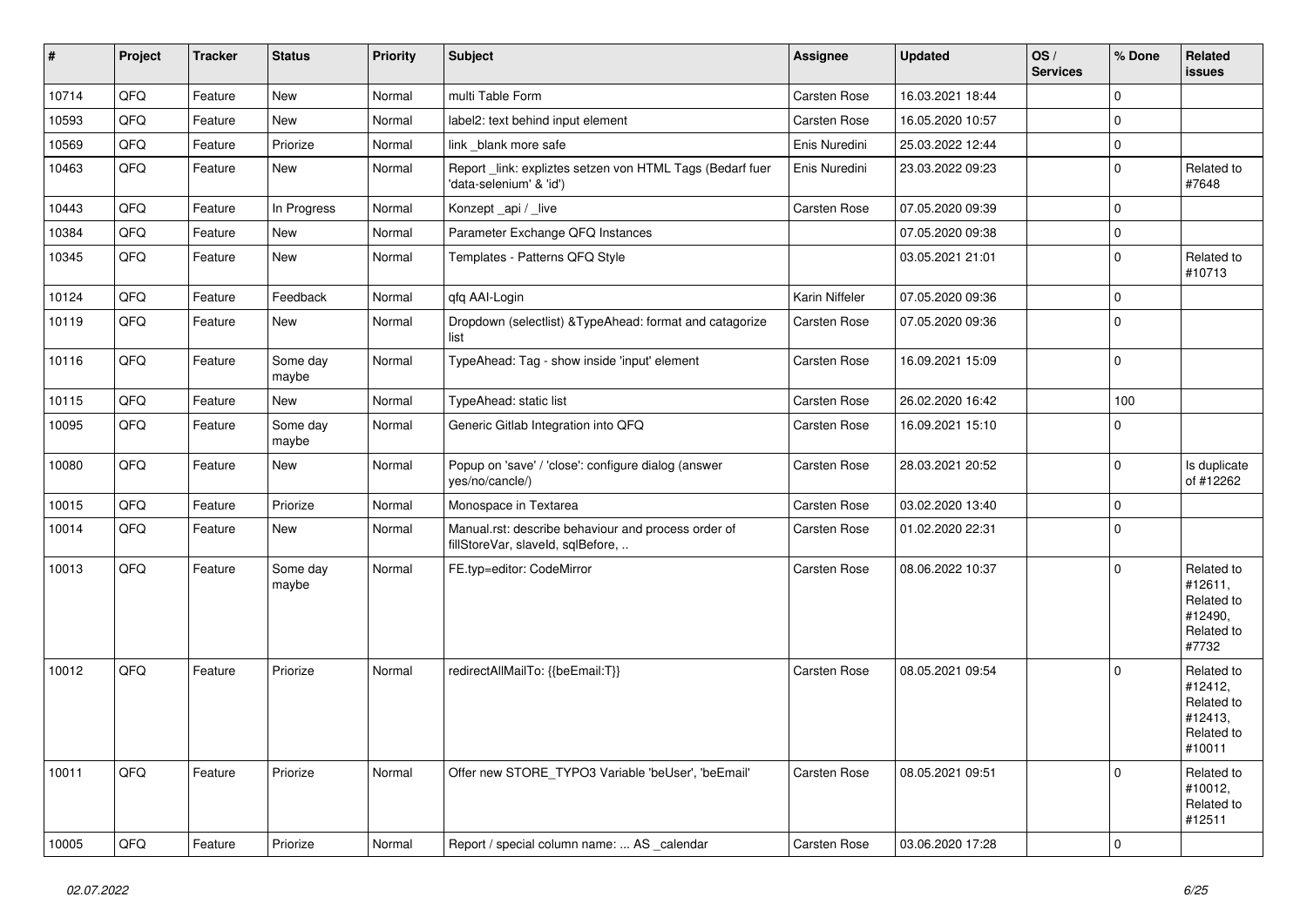| $\vert$ # | Project | <b>Tracker</b> | <b>Status</b>     | <b>Priority</b> | <b>Subject</b>                                                                           | Assignee            | <b>Updated</b>   | OS/<br><b>Services</b> | % Done       | Related<br><b>issues</b>                                               |
|-----------|---------|----------------|-------------------|-----------------|------------------------------------------------------------------------------------------|---------------------|------------------|------------------------|--------------|------------------------------------------------------------------------|
| 10714     | QFQ     | Feature        | <b>New</b>        | Normal          | multi Table Form                                                                         | Carsten Rose        | 16.03.2021 18:44 |                        | $\mathbf{0}$ |                                                                        |
| 10593     | QFQ     | Feature        | New               | Normal          | label2: text behind input element                                                        | <b>Carsten Rose</b> | 16.05.2020 10:57 |                        | $\mathbf 0$  |                                                                        |
| 10569     | QFQ     | Feature        | Priorize          | Normal          | link _blank more safe                                                                    | Enis Nuredini       | 25.03.2022 12:44 |                        | $\mathbf 0$  |                                                                        |
| 10463     | QFQ     | Feature        | <b>New</b>        | Normal          | Report _link: expliztes setzen von HTML Tags (Bedarf fuer<br>'data-selenium' & 'id')     | Enis Nuredini       | 23.03.2022 09:23 |                        | $\mathbf 0$  | Related to<br>#7648                                                    |
| 10443     | QFQ     | Feature        | In Progress       | Normal          | Konzept_api / _live                                                                      | Carsten Rose        | 07.05.2020 09:39 |                        | $\mathbf 0$  |                                                                        |
| 10384     | QFQ     | Feature        | New               | Normal          | Parameter Exchange QFQ Instances                                                         |                     | 07.05.2020 09:38 |                        | $\mathbf 0$  |                                                                        |
| 10345     | QFQ     | Feature        | <b>New</b>        | Normal          | Templates - Patterns QFQ Style                                                           |                     | 03.05.2021 21:01 |                        | $\mathbf 0$  | Related to<br>#10713                                                   |
| 10124     | QFQ     | Feature        | Feedback          | Normal          | qfq AAI-Login                                                                            | Karin Niffeler      | 07.05.2020 09:36 |                        | $\mathbf 0$  |                                                                        |
| 10119     | QFQ     | Feature        | New               | Normal          | Dropdown (selectlist) & Type Ahead: format and catagorize<br>list                        | <b>Carsten Rose</b> | 07.05.2020 09:36 |                        | $\mathbf 0$  |                                                                        |
| 10116     | QFQ     | Feature        | Some day<br>maybe | Normal          | TypeAhead: Tag - show inside 'input' element                                             | Carsten Rose        | 16.09.2021 15:09 |                        | $\mathbf 0$  |                                                                        |
| 10115     | QFQ     | Feature        | <b>New</b>        | Normal          | TypeAhead: static list                                                                   | Carsten Rose        | 26.02.2020 16:42 |                        | 100          |                                                                        |
| 10095     | QFQ     | Feature        | Some day<br>maybe | Normal          | Generic Gitlab Integration into QFQ                                                      | <b>Carsten Rose</b> | 16.09.2021 15:10 |                        | $\mathbf{0}$ |                                                                        |
| 10080     | QFQ     | Feature        | New               | Normal          | Popup on 'save' / 'close': configure dialog (answer<br>yes/no/cancle/)                   | Carsten Rose        | 28.03.2021 20:52 |                        | $\mathbf 0$  | Is duplicate<br>of #12262                                              |
| 10015     | QFQ     | Feature        | Priorize          | Normal          | Monospace in Textarea                                                                    | Carsten Rose        | 03.02.2020 13:40 |                        | $\pmb{0}$    |                                                                        |
| 10014     | QFQ     | Feature        | New               | Normal          | Manual.rst: describe behaviour and process order of<br>fillStoreVar, slaveId, sqlBefore, | <b>Carsten Rose</b> | 01.02.2020 22:31 |                        | $\Omega$     |                                                                        |
| 10013     | QFQ     | Feature        | Some day<br>maybe | Normal          | FE.typ=editor: CodeMirror                                                                | <b>Carsten Rose</b> | 08.06.2022 10:37 |                        | $\Omega$     | Related to<br>#12611,<br>Related to<br>#12490,<br>Related to<br>#7732  |
| 10012     | QFQ     | Feature        | Priorize          | Normal          | redirectAllMailTo: {{beEmail:T}}                                                         | Carsten Rose        | 08.05.2021 09:54 |                        | $\mathbf 0$  | Related to<br>#12412,<br>Related to<br>#12413,<br>Related to<br>#10011 |
| 10011     | QFQ     | Feature        | Priorize          | Normal          | Offer new STORE_TYPO3 Variable 'beUser', 'beEmail'                                       | Carsten Rose        | 08.05.2021 09:51 |                        | $\mathbf 0$  | Related to<br>#10012,<br>Related to<br>#12511                          |
| 10005     | QFQ     | Feature        | Priorize          | Normal          | Report / special column name:  AS calendar                                               | Carsten Rose        | 03.06.2020 17:28 |                        | $\mathbf 0$  |                                                                        |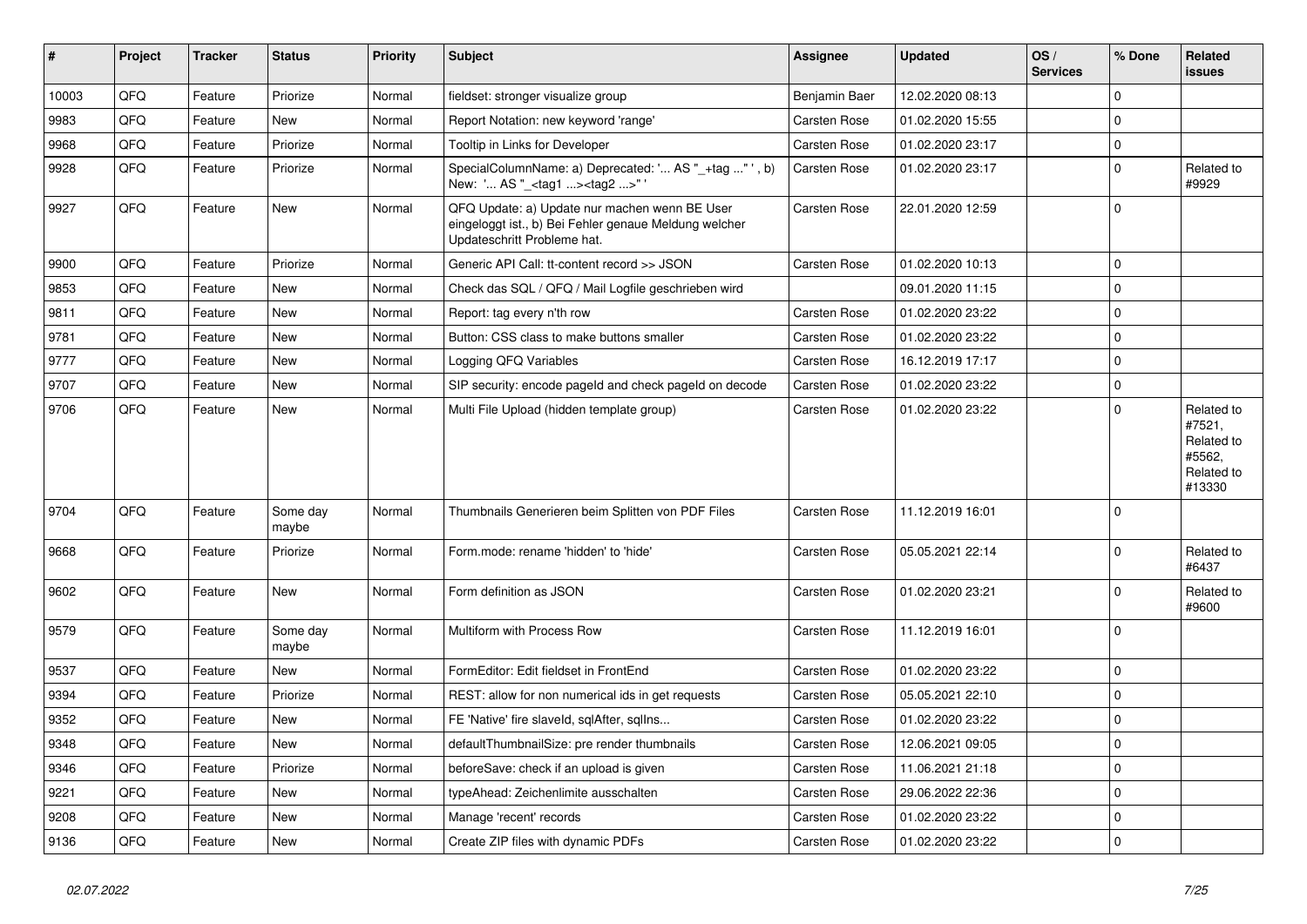| #     | <b>Project</b> | <b>Tracker</b> | <b>Status</b>     | <b>Priority</b> | <b>Subject</b>                                                                                                                        | Assignee            | <b>Updated</b>   | OS/<br><b>Services</b> | % Done       | Related<br><b>issues</b>                                             |
|-------|----------------|----------------|-------------------|-----------------|---------------------------------------------------------------------------------------------------------------------------------------|---------------------|------------------|------------------------|--------------|----------------------------------------------------------------------|
| 10003 | QFQ            | Feature        | Priorize          | Normal          | fieldset: stronger visualize group                                                                                                    | Benjamin Baer       | 12.02.2020 08:13 |                        | $\Omega$     |                                                                      |
| 9983  | QFQ            | Feature        | <b>New</b>        | Normal          | Report Notation: new keyword 'range'                                                                                                  | <b>Carsten Rose</b> | 01.02.2020 15:55 |                        | $\Omega$     |                                                                      |
| 9968  | QFQ            | Feature        | Priorize          | Normal          | Tooltip in Links for Developer                                                                                                        | <b>Carsten Rose</b> | 01.02.2020 23:17 |                        | $\Omega$     |                                                                      |
| 9928  | QFQ            | Feature        | Priorize          | Normal          | SpecialColumnName: a) Deprecated: ' AS "_+tag " ', b)<br>New: ' AS "_ <tag1><tag2>"</tag2></tag1>                                     | <b>Carsten Rose</b> | 01.02.2020 23:17 |                        | $\Omega$     | Related to<br>#9929                                                  |
| 9927  | QFQ            | Feature        | New               | Normal          | QFQ Update: a) Update nur machen wenn BE User<br>eingeloggt ist., b) Bei Fehler genaue Meldung welcher<br>Updateschritt Probleme hat. | <b>Carsten Rose</b> | 22.01.2020 12:59 |                        | $\Omega$     |                                                                      |
| 9900  | QFQ            | Feature        | Priorize          | Normal          | Generic API Call: tt-content record >> JSON                                                                                           | Carsten Rose        | 01.02.2020 10:13 |                        | $\Omega$     |                                                                      |
| 9853  | QFQ            | Feature        | New               | Normal          | Check das SQL / QFQ / Mail Logfile geschrieben wird                                                                                   |                     | 09.01.2020 11:15 |                        | $\Omega$     |                                                                      |
| 9811  | QFQ            | Feature        | New               | Normal          | Report: tag every n'th row                                                                                                            | <b>Carsten Rose</b> | 01.02.2020 23:22 |                        | $\mathbf 0$  |                                                                      |
| 9781  | QFQ            | Feature        | New               | Normal          | Button: CSS class to make buttons smaller                                                                                             | Carsten Rose        | 01.02.2020 23:22 |                        | $\Omega$     |                                                                      |
| 9777  | QFQ            | Feature        | New               | Normal          | Logging QFQ Variables                                                                                                                 | Carsten Rose        | 16.12.2019 17:17 |                        | $\Omega$     |                                                                      |
| 9707  | QFQ            | Feature        | New               | Normal          | SIP security: encode pageld and check pageld on decode                                                                                | Carsten Rose        | 01.02.2020 23:22 |                        | $\Omega$     |                                                                      |
| 9706  | QFQ            | Feature        | <b>New</b>        | Normal          | Multi File Upload (hidden template group)                                                                                             | <b>Carsten Rose</b> | 01.02.2020 23:22 |                        | $\Omega$     | Related to<br>#7521,<br>Related to<br>#5562.<br>Related to<br>#13330 |
| 9704  | QFQ            | Feature        | Some day<br>maybe | Normal          | Thumbnails Generieren beim Splitten von PDF Files                                                                                     | Carsten Rose        | 11.12.2019 16:01 |                        | $\Omega$     |                                                                      |
| 9668  | QFQ            | Feature        | Priorize          | Normal          | Form.mode: rename 'hidden' to 'hide'                                                                                                  | Carsten Rose        | 05.05.2021 22:14 |                        | $\Omega$     | Related to<br>#6437                                                  |
| 9602  | QFQ            | Feature        | New               | Normal          | Form definition as JSON                                                                                                               | Carsten Rose        | 01.02.2020 23:21 |                        | $\Omega$     | Related to<br>#9600                                                  |
| 9579  | QFQ            | Feature        | Some day<br>maybe | Normal          | Multiform with Process Row                                                                                                            | Carsten Rose        | 11.12.2019 16:01 |                        | $\Omega$     |                                                                      |
| 9537  | QFQ            | Feature        | New               | Normal          | FormEditor: Edit fieldset in FrontEnd                                                                                                 | Carsten Rose        | 01.02.2020 23:22 |                        | $\mathbf 0$  |                                                                      |
| 9394  | QFQ            | Feature        | Priorize          | Normal          | REST: allow for non numerical ids in get requests                                                                                     | <b>Carsten Rose</b> | 05.05.2021 22:10 |                        | $\mathbf 0$  |                                                                      |
| 9352  | QFQ            | Feature        | New               | Normal          | FE 'Native' fire slaveld, sqlAfter, sqllns                                                                                            | Carsten Rose        | 01.02.2020 23:22 |                        | $\Omega$     |                                                                      |
| 9348  | QFQ            | Feature        | <b>New</b>        | Normal          | defaultThumbnailSize: pre render thumbnails                                                                                           | <b>Carsten Rose</b> | 12.06.2021 09:05 |                        | $\mathbf{0}$ |                                                                      |
| 9346  | QFQ            | Feature        | Priorize          | Normal          | beforeSave: check if an upload is given                                                                                               | Carsten Rose        | 11.06.2021 21:18 |                        | $\Omega$     |                                                                      |
| 9221  | QFQ            | Feature        | New               | Normal          | typeAhead: Zeichenlimite ausschalten                                                                                                  | Carsten Rose        | 29.06.2022 22:36 |                        | $\mathbf 0$  |                                                                      |
| 9208  | QFQ            | Feature        | New               | Normal          | Manage 'recent' records                                                                                                               | <b>Carsten Rose</b> | 01.02.2020 23:22 |                        | $\mathbf 0$  |                                                                      |
| 9136  | QFQ            | Feature        | New               | Normal          | Create ZIP files with dynamic PDFs                                                                                                    | <b>Carsten Rose</b> | 01.02.2020 23:22 |                        | $\mathbf 0$  |                                                                      |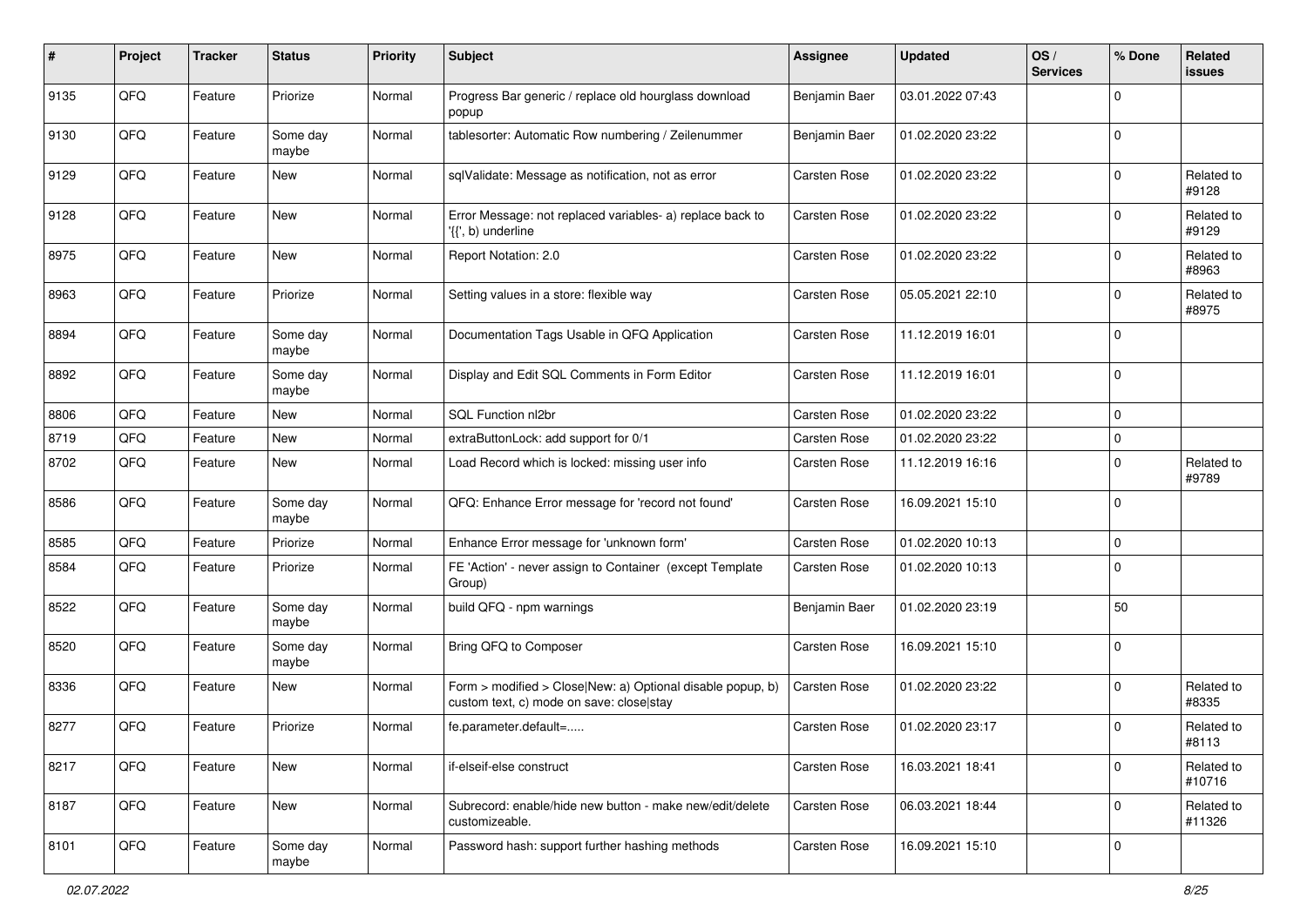| $\#$ | Project | <b>Tracker</b> | <b>Status</b>     | <b>Priority</b> | <b>Subject</b>                                                                                         | <b>Assignee</b>      | <b>Updated</b>   | OS/<br><b>Services</b> | % Done      | Related<br>issues    |
|------|---------|----------------|-------------------|-----------------|--------------------------------------------------------------------------------------------------------|----------------------|------------------|------------------------|-------------|----------------------|
| 9135 | QFQ     | Feature        | Priorize          | Normal          | Progress Bar generic / replace old hourglass download<br>popup                                         | Benjamin Baer        | 03.01.2022 07:43 |                        | O           |                      |
| 9130 | QFQ     | Feature        | Some day<br>maybe | Normal          | tablesorter: Automatic Row numbering / Zeilenummer                                                     | <b>Benjamin Baer</b> | 01.02.2020 23:22 |                        | $\mathbf 0$ |                      |
| 9129 | QFQ     | Feature        | New               | Normal          | sqlValidate: Message as notification, not as error                                                     | Carsten Rose         | 01.02.2020 23:22 |                        | $\Omega$    | Related to<br>#9128  |
| 9128 | QFQ     | Feature        | New               | Normal          | Error Message: not replaced variables- a) replace back to<br>'{{', b) underline                        | <b>Carsten Rose</b>  | 01.02.2020 23:22 |                        | $\mathbf 0$ | Related to<br>#9129  |
| 8975 | QFQ     | Feature        | New               | Normal          | Report Notation: 2.0                                                                                   | <b>Carsten Rose</b>  | 01.02.2020 23:22 |                        | $\mathbf 0$ | Related to<br>#8963  |
| 8963 | QFQ     | Feature        | Priorize          | Normal          | Setting values in a store: flexible way                                                                | <b>Carsten Rose</b>  | 05.05.2021 22:10 |                        | $\Omega$    | Related to<br>#8975  |
| 8894 | QFQ     | Feature        | Some day<br>maybe | Normal          | Documentation Tags Usable in QFQ Application                                                           | <b>Carsten Rose</b>  | 11.12.2019 16:01 |                        | $\Omega$    |                      |
| 8892 | QFQ     | Feature        | Some day<br>maybe | Normal          | Display and Edit SQL Comments in Form Editor                                                           | Carsten Rose         | 11.12.2019 16:01 |                        | $\Omega$    |                      |
| 8806 | QFQ     | Feature        | <b>New</b>        | Normal          | SQL Function nl2br                                                                                     | <b>Carsten Rose</b>  | 01.02.2020 23:22 |                        | $\mathbf 0$ |                      |
| 8719 | QFQ     | Feature        | New               | Normal          | extraButtonLock: add support for 0/1                                                                   | <b>Carsten Rose</b>  | 01.02.2020 23:22 |                        | $\mathbf 0$ |                      |
| 8702 | QFQ     | Feature        | New               | Normal          | Load Record which is locked: missing user info                                                         | Carsten Rose         | 11.12.2019 16:16 |                        | $\Omega$    | Related to<br>#9789  |
| 8586 | QFQ     | Feature        | Some day<br>maybe | Normal          | QFQ: Enhance Error message for 'record not found'                                                      | Carsten Rose         | 16.09.2021 15:10 |                        | $\Omega$    |                      |
| 8585 | QFQ     | Feature        | Priorize          | Normal          | Enhance Error message for 'unknown form'                                                               | <b>Carsten Rose</b>  | 01.02.2020 10:13 |                        | $\mathbf 0$ |                      |
| 8584 | QFQ     | Feature        | Priorize          | Normal          | FE 'Action' - never assign to Container (except Template<br>Group)                                     | <b>Carsten Rose</b>  | 01.02.2020 10:13 |                        | $\Omega$    |                      |
| 8522 | QFQ     | Feature        | Some day<br>maybe | Normal          | build QFQ - npm warnings                                                                               | Benjamin Baer        | 01.02.2020 23:19 |                        | 50          |                      |
| 8520 | QFQ     | Feature        | Some day<br>maybe | Normal          | Bring QFQ to Composer                                                                                  | <b>Carsten Rose</b>  | 16.09.2021 15:10 |                        | $\Omega$    |                      |
| 8336 | QFQ     | Feature        | New               | Normal          | Form > modified > Close New: a) Optional disable popup, b)<br>custom text, c) mode on save: close stay | Carsten Rose         | 01.02.2020 23:22 |                        | $\Omega$    | Related to<br>#8335  |
| 8277 | QFQ     | Feature        | Priorize          | Normal          | fe.parameter.default=                                                                                  | Carsten Rose         | 01.02.2020 23:17 |                        | $\Omega$    | Related to<br>#8113  |
| 8217 | QFQ     | Feature        | New               | Normal          | if-elseif-else construct                                                                               | Carsten Rose         | 16.03.2021 18:41 |                        | $\mathbf 0$ | Related to<br>#10716 |
| 8187 | QFQ     | Feature        | New               | Normal          | Subrecord: enable/hide new button - make new/edit/delete<br>customizeable.                             | Carsten Rose         | 06.03.2021 18:44 |                        | $\mathbf 0$ | Related to<br>#11326 |
| 8101 | QFQ     | Feature        | Some day<br>maybe | Normal          | Password hash: support further hashing methods                                                         | Carsten Rose         | 16.09.2021 15:10 |                        | $\mathbf 0$ |                      |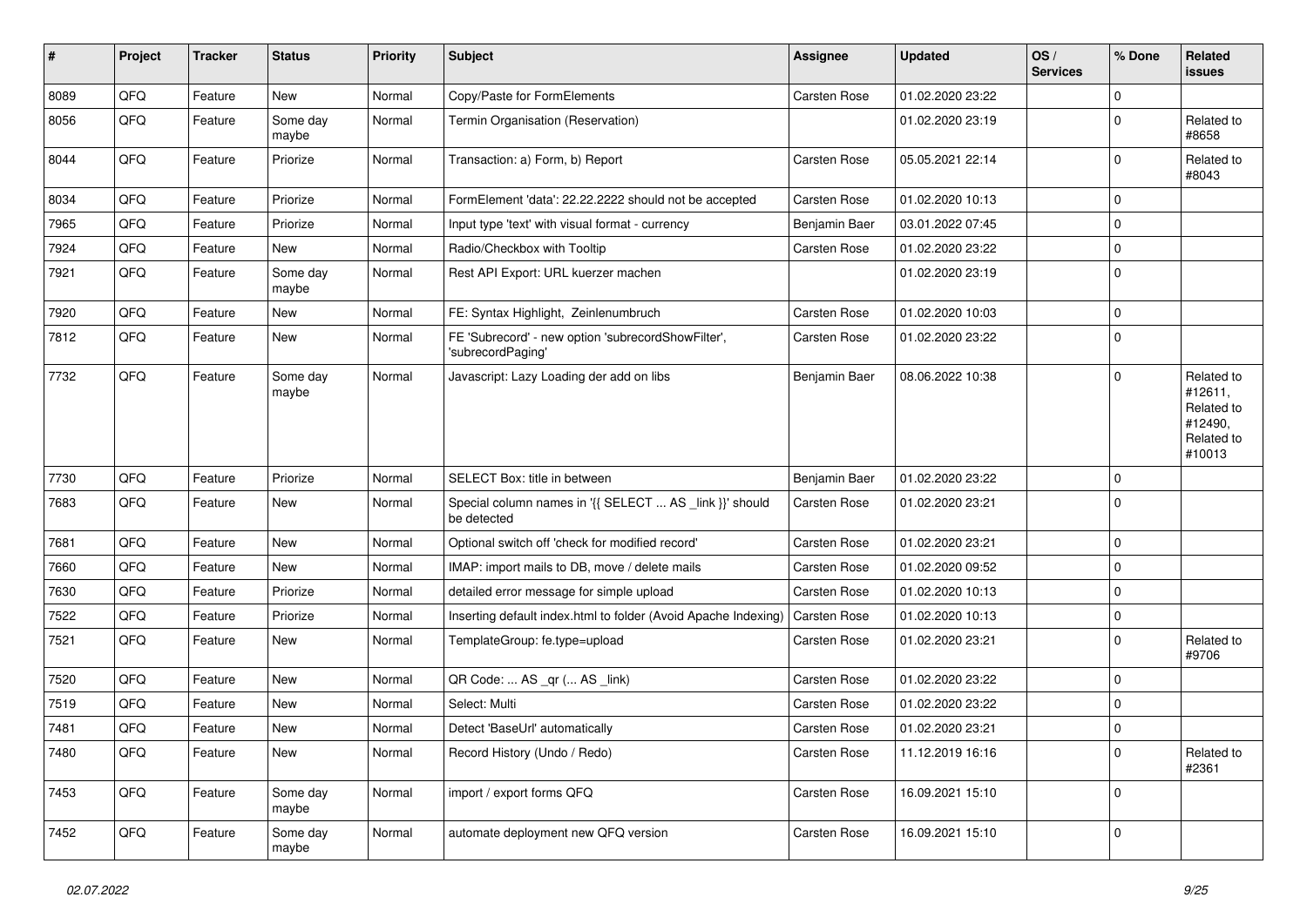| $\vert$ # | Project | <b>Tracker</b> | <b>Status</b>     | <b>Priority</b> | <b>Subject</b>                                                          | <b>Assignee</b> | <b>Updated</b>   | OS/<br><b>Services</b> | % Done      | Related<br>issues                                                      |
|-----------|---------|----------------|-------------------|-----------------|-------------------------------------------------------------------------|-----------------|------------------|------------------------|-------------|------------------------------------------------------------------------|
| 8089      | QFQ     | Feature        | New               | Normal          | Copy/Paste for FormElements                                             | Carsten Rose    | 01.02.2020 23:22 |                        | $\Omega$    |                                                                        |
| 8056      | QFQ     | Feature        | Some day<br>maybe | Normal          | Termin Organisation (Reservation)                                       |                 | 01.02.2020 23:19 |                        | 0           | Related to<br>#8658                                                    |
| 8044      | QFQ     | Feature        | Priorize          | Normal          | Transaction: a) Form, b) Report                                         | Carsten Rose    | 05.05.2021 22:14 |                        | $\Omega$    | Related to<br>#8043                                                    |
| 8034      | QFQ     | Feature        | Priorize          | Normal          | FormElement 'data': 22.22.2222 should not be accepted                   | Carsten Rose    | 01.02.2020 10:13 |                        | $\Omega$    |                                                                        |
| 7965      | QFQ     | Feature        | Priorize          | Normal          | Input type 'text' with visual format - currency                         | Benjamin Baer   | 03.01.2022 07:45 |                        | 0           |                                                                        |
| 7924      | QFQ     | Feature        | New               | Normal          | Radio/Checkbox with Tooltip                                             | Carsten Rose    | 01.02.2020 23:22 |                        | $\Omega$    |                                                                        |
| 7921      | QFQ     | Feature        | Some day<br>maybe | Normal          | Rest API Export: URL kuerzer machen                                     |                 | 01.02.2020 23:19 |                        | $\Omega$    |                                                                        |
| 7920      | QFQ     | Feature        | New               | Normal          | FE: Syntax Highlight, Zeinlenumbruch                                    | Carsten Rose    | 01.02.2020 10:03 |                        | $\mathbf 0$ |                                                                        |
| 7812      | QFQ     | Feature        | New               | Normal          | FE 'Subrecord' - new option 'subrecordShowFilter',<br>'subrecordPaging' | Carsten Rose    | 01.02.2020 23:22 |                        | $\mathbf 0$ |                                                                        |
| 7732      | QFQ     | Feature        | Some day<br>maybe | Normal          | Javascript: Lazy Loading der add on libs                                | Benjamin Baer   | 08.06.2022 10:38 |                        | $\Omega$    | Related to<br>#12611,<br>Related to<br>#12490,<br>Related to<br>#10013 |
| 7730      | QFQ     | Feature        | Priorize          | Normal          | SELECT Box: title in between                                            | Benjamin Baer   | 01.02.2020 23:22 |                        | $\mathbf 0$ |                                                                        |
| 7683      | QFQ     | Feature        | New               | Normal          | Special column names in '{{ SELECT  AS _link }}' should<br>be detected  | Carsten Rose    | 01.02.2020 23:21 |                        | $\mathbf 0$ |                                                                        |
| 7681      | QFQ     | Feature        | New               | Normal          | Optional switch off 'check for modified record'                         | Carsten Rose    | 01.02.2020 23:21 |                        | $\Omega$    |                                                                        |
| 7660      | QFQ     | Feature        | <b>New</b>        | Normal          | IMAP: import mails to DB, move / delete mails                           | Carsten Rose    | 01.02.2020 09:52 |                        | 0           |                                                                        |
| 7630      | QFQ     | Feature        | Priorize          | Normal          | detailed error message for simple upload                                | Carsten Rose    | 01.02.2020 10:13 |                        | $\Omega$    |                                                                        |
| 7522      | QFQ     | Feature        | Priorize          | Normal          | Inserting default index.html to folder (Avoid Apache Indexing)          | Carsten Rose    | 01.02.2020 10:13 |                        | $\mathbf 0$ |                                                                        |
| 7521      | QFQ     | Feature        | New               | Normal          | TemplateGroup: fe.type=upload                                           | Carsten Rose    | 01.02.2020 23:21 |                        | $\Omega$    | Related to<br>#9706                                                    |
| 7520      | QFQ     | Feature        | New               | Normal          | QR Code:  AS _qr ( AS _link)                                            | Carsten Rose    | 01.02.2020 23:22 |                        | $\mathbf 0$ |                                                                        |
| 7519      | QFQ     | Feature        | New               | Normal          | Select: Multi                                                           | Carsten Rose    | 01.02.2020 23:22 |                        | $\Omega$    |                                                                        |
| 7481      | QFQ     | Feature        | New               | Normal          | Detect 'BaseUrl' automatically                                          | Carsten Rose    | 01.02.2020 23:21 |                        | $\mathbf 0$ |                                                                        |
| 7480      | QFQ     | Feature        | New               | Normal          | Record History (Undo / Redo)                                            | Carsten Rose    | 11.12.2019 16:16 |                        | $\mathbf 0$ | Related to<br>#2361                                                    |
| 7453      | QFQ     | Feature        | Some day<br>maybe | Normal          | import / export forms QFQ                                               | Carsten Rose    | 16.09.2021 15:10 |                        | $\mathbf 0$ |                                                                        |
| 7452      | QFQ     | Feature        | Some day<br>maybe | Normal          | automate deployment new QFQ version                                     | Carsten Rose    | 16.09.2021 15:10 |                        | 0           |                                                                        |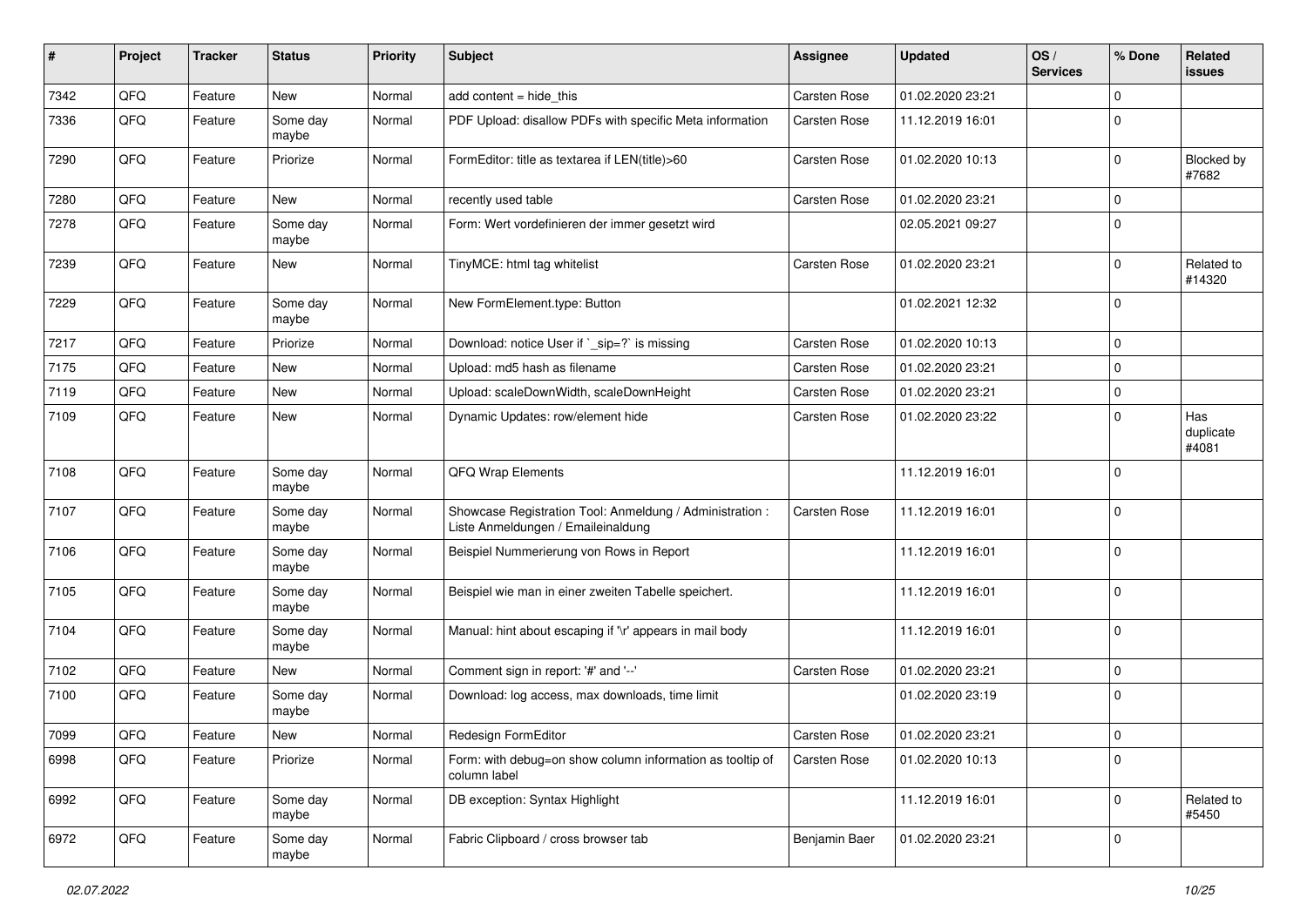| #    | Project | <b>Tracker</b> | <b>Status</b>     | <b>Priority</b> | Subject                                                                                        | <b>Assignee</b>     | <b>Updated</b>   | OS/<br><b>Services</b> | % Done      | Related<br>issues         |
|------|---------|----------------|-------------------|-----------------|------------------------------------------------------------------------------------------------|---------------------|------------------|------------------------|-------------|---------------------------|
| 7342 | QFQ     | Feature        | New               | Normal          | add content $=$ hide this                                                                      | Carsten Rose        | 01.02.2020 23:21 |                        | 0           |                           |
| 7336 | QFQ     | Feature        | Some day<br>maybe | Normal          | PDF Upload: disallow PDFs with specific Meta information                                       | <b>Carsten Rose</b> | 11.12.2019 16:01 |                        | 0           |                           |
| 7290 | QFQ     | Feature        | Priorize          | Normal          | FormEditor: title as textarea if LEN(title)>60                                                 | Carsten Rose        | 01.02.2020 10:13 |                        | 0           | Blocked by<br>#7682       |
| 7280 | QFQ     | Feature        | <b>New</b>        | Normal          | recently used table                                                                            | Carsten Rose        | 01.02.2020 23:21 |                        | $\Omega$    |                           |
| 7278 | QFQ     | Feature        | Some day<br>maybe | Normal          | Form: Wert vordefinieren der immer gesetzt wird                                                |                     | 02.05.2021 09:27 |                        | $\mathbf 0$ |                           |
| 7239 | QFQ     | Feature        | <b>New</b>        | Normal          | TinyMCE: html tag whitelist                                                                    | <b>Carsten Rose</b> | 01.02.2020 23:21 |                        | 0           | Related to<br>#14320      |
| 7229 | QFQ     | Feature        | Some day<br>maybe | Normal          | New FormElement.type: Button                                                                   |                     | 01.02.2021 12:32 |                        | 0           |                           |
| 7217 | QFQ     | Feature        | Priorize          | Normal          | Download: notice User if `_sip=?` is missing                                                   | <b>Carsten Rose</b> | 01.02.2020 10:13 |                        | 0           |                           |
| 7175 | QFQ     | Feature        | New               | Normal          | Upload: md5 hash as filename                                                                   | <b>Carsten Rose</b> | 01.02.2020 23:21 |                        | $\mathbf 0$ |                           |
| 7119 | QFQ     | Feature        | <b>New</b>        | Normal          | Upload: scaleDownWidth, scaleDownHeight                                                        | <b>Carsten Rose</b> | 01.02.2020 23:21 |                        | $\mathbf 0$ |                           |
| 7109 | QFQ     | Feature        | <b>New</b>        | Normal          | Dynamic Updates: row/element hide                                                              | <b>Carsten Rose</b> | 01.02.2020 23:22 |                        | 0           | Has<br>duplicate<br>#4081 |
| 7108 | QFQ     | Feature        | Some day<br>maybe | Normal          | QFQ Wrap Elements                                                                              |                     | 11.12.2019 16:01 |                        | $\Omega$    |                           |
| 7107 | QFQ     | Feature        | Some day<br>maybe | Normal          | Showcase Registration Tool: Anmeldung / Administration :<br>Liste Anmeldungen / Emaileinaldung | <b>Carsten Rose</b> | 11.12.2019 16:01 |                        | $\Omega$    |                           |
| 7106 | QFQ     | Feature        | Some day<br>maybe | Normal          | Beispiel Nummerierung von Rows in Report                                                       |                     | 11.12.2019 16:01 |                        | $\Omega$    |                           |
| 7105 | QFQ     | Feature        | Some day<br>maybe | Normal          | Beispiel wie man in einer zweiten Tabelle speichert.                                           |                     | 11.12.2019 16:01 |                        | $\Omega$    |                           |
| 7104 | QFQ     | Feature        | Some day<br>maybe | Normal          | Manual: hint about escaping if '\r' appears in mail body                                       |                     | 11.12.2019 16:01 |                        | 0           |                           |
| 7102 | QFQ     | Feature        | New               | Normal          | Comment sign in report: '#' and '--'                                                           | <b>Carsten Rose</b> | 01.02.2020 23:21 |                        | $\mathbf 0$ |                           |
| 7100 | QFQ     | Feature        | Some day<br>maybe | Normal          | Download: log access, max downloads, time limit                                                |                     | 01.02.2020 23:19 |                        | $\Omega$    |                           |
| 7099 | QFQ     | Feature        | <b>New</b>        | Normal          | Redesign FormEditor                                                                            | <b>Carsten Rose</b> | 01.02.2020 23:21 |                        | $\Omega$    |                           |
| 6998 | QFQ     | Feature        | Priorize          | Normal          | Form: with debug=on show column information as tooltip of<br>column label                      | Carsten Rose        | 01.02.2020 10:13 |                        | $\mathbf 0$ |                           |
| 6992 | QFQ     | Feature        | Some day<br>maybe | Normal          | DB exception: Syntax Highlight                                                                 |                     | 11.12.2019 16:01 |                        | 0           | Related to<br>#5450       |
| 6972 | QFQ     | Feature        | Some day<br>maybe | Normal          | Fabric Clipboard / cross browser tab                                                           | Benjamin Baer       | 01.02.2020 23:21 |                        | 0           |                           |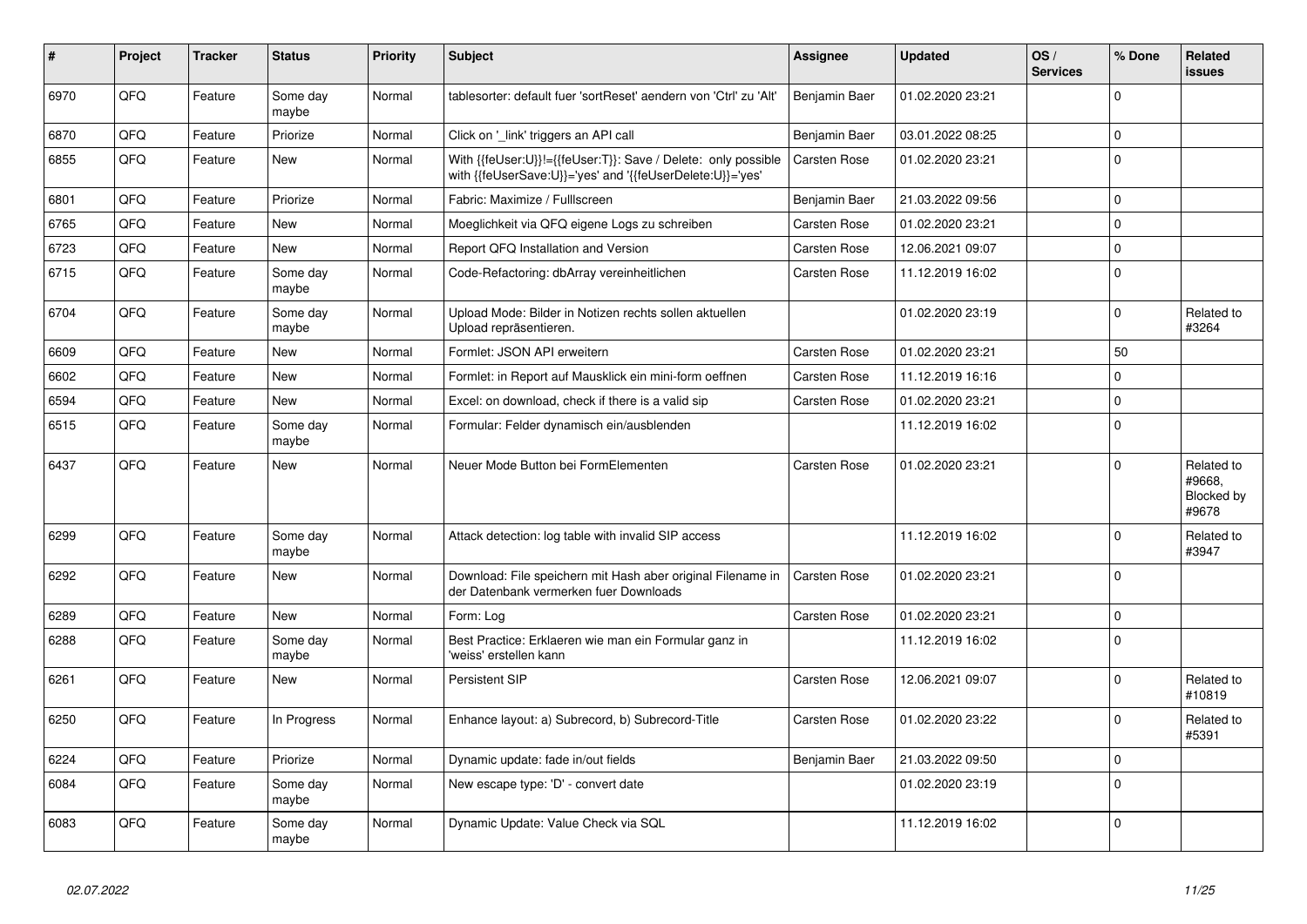| $\vert$ # | Project | <b>Tracker</b> | <b>Status</b>     | <b>Priority</b> | <b>Subject</b>                                                                                                             | Assignee            | <b>Updated</b>   | OS/<br><b>Services</b> | % Done      | Related<br><b>issues</b>                    |
|-----------|---------|----------------|-------------------|-----------------|----------------------------------------------------------------------------------------------------------------------------|---------------------|------------------|------------------------|-------------|---------------------------------------------|
| 6970      | QFQ     | Feature        | Some day<br>maybe | Normal          | tablesorter: default fuer 'sortReset' aendern von 'Ctrl' zu 'Alt'                                                          | Benjamin Baer       | 01.02.2020 23:21 |                        | $\Omega$    |                                             |
| 6870      | QFQ     | Feature        | Priorize          | Normal          | Click on 'link' triggers an API call                                                                                       | Benjamin Baer       | 03.01.2022 08:25 |                        | $\Omega$    |                                             |
| 6855      | QFQ     | Feature        | <b>New</b>        | Normal          | With {{feUser:U}}!={{feUser:T}}: Save / Delete: only possible<br>with {{feUserSave:U}}='yes' and '{{feUserDelete:U}}='yes' | <b>Carsten Rose</b> | 01.02.2020 23:21 |                        | $\Omega$    |                                             |
| 6801      | QFQ     | Feature        | Priorize          | Normal          | Fabric: Maximize / FullIscreen                                                                                             | Benjamin Baer       | 21.03.2022 09:56 |                        | $\Omega$    |                                             |
| 6765      | QFQ     | Feature        | New               | Normal          | Moeglichkeit via QFQ eigene Logs zu schreiben                                                                              | <b>Carsten Rose</b> | 01.02.2020 23:21 |                        | $\Omega$    |                                             |
| 6723      | QFQ     | Feature        | New               | Normal          | Report QFQ Installation and Version                                                                                        | <b>Carsten Rose</b> | 12.06.2021 09:07 |                        | $\mathbf 0$ |                                             |
| 6715      | QFQ     | Feature        | Some day<br>maybe | Normal          | Code-Refactoring: dbArray vereinheitlichen                                                                                 | <b>Carsten Rose</b> | 11.12.2019 16:02 |                        | $\mathbf 0$ |                                             |
| 6704      | QFQ     | Feature        | Some day<br>maybe | Normal          | Upload Mode: Bilder in Notizen rechts sollen aktuellen<br>Upload repräsentieren.                                           |                     | 01.02.2020 23:19 |                        | $\Omega$    | Related to<br>#3264                         |
| 6609      | QFQ     | Feature        | <b>New</b>        | Normal          | Formlet: JSON API erweitern                                                                                                | <b>Carsten Rose</b> | 01.02.2020 23:21 |                        | 50          |                                             |
| 6602      | QFQ     | Feature        | <b>New</b>        | Normal          | Formlet: in Report auf Mausklick ein mini-form oeffnen                                                                     | <b>Carsten Rose</b> | 11.12.2019 16:16 |                        | $\Omega$    |                                             |
| 6594      | QFQ     | Feature        | <b>New</b>        | Normal          | Excel: on download, check if there is a valid sip                                                                          | <b>Carsten Rose</b> | 01.02.2020 23:21 |                        | $\Omega$    |                                             |
| 6515      | QFQ     | Feature        | Some day<br>maybe | Normal          | Formular: Felder dynamisch ein/ausblenden                                                                                  |                     | 11.12.2019 16:02 |                        | $\Omega$    |                                             |
| 6437      | QFQ     | Feature        | New               | Normal          | Neuer Mode Button bei FormElementen                                                                                        | <b>Carsten Rose</b> | 01.02.2020 23:21 |                        | $\Omega$    | Related to<br>#9668.<br>Blocked by<br>#9678 |
| 6299      | QFQ     | Feature        | Some day<br>maybe | Normal          | Attack detection: log table with invalid SIP access                                                                        |                     | 11.12.2019 16:02 |                        | $\Omega$    | Related to<br>#3947                         |
| 6292      | QFQ     | Feature        | New               | Normal          | Download: File speichern mit Hash aber original Filename in<br>der Datenbank vermerken fuer Downloads                      | <b>Carsten Rose</b> | 01.02.2020 23:21 |                        | $\Omega$    |                                             |
| 6289      | QFQ     | Feature        | New               | Normal          | Form: Log                                                                                                                  | <b>Carsten Rose</b> | 01.02.2020 23:21 |                        | $\mathbf 0$ |                                             |
| 6288      | QFQ     | Feature        | Some dav<br>maybe | Normal          | Best Practice: Erklaeren wie man ein Formular ganz in<br>'weiss' erstellen kann                                            |                     | 11.12.2019 16:02 |                        | $\Omega$    |                                             |
| 6261      | QFQ     | Feature        | New               | Normal          | <b>Persistent SIP</b>                                                                                                      | <b>Carsten Rose</b> | 12.06.2021 09:07 |                        | $\Omega$    | Related to<br>#10819                        |
| 6250      | QFQ     | Feature        | In Progress       | Normal          | Enhance layout: a) Subrecord, b) Subrecord-Title                                                                           | Carsten Rose        | 01.02.2020 23:22 |                        | $\Omega$    | Related to<br>#5391                         |
| 6224      | QFQ     | Feature        | Priorize          | Normal          | Dynamic update: fade in/out fields                                                                                         | Benjamin Baer       | 21.03.2022 09:50 |                        | $\Omega$    |                                             |
| 6084      | QFQ     | Feature        | Some day<br>maybe | Normal          | New escape type: 'D' - convert date                                                                                        |                     | 01.02.2020 23:19 |                        | $\Omega$    |                                             |
| 6083      | QFQ     | Feature        | Some day<br>maybe | Normal          | Dynamic Update: Value Check via SQL                                                                                        |                     | 11.12.2019 16:02 |                        | $\mathbf 0$ |                                             |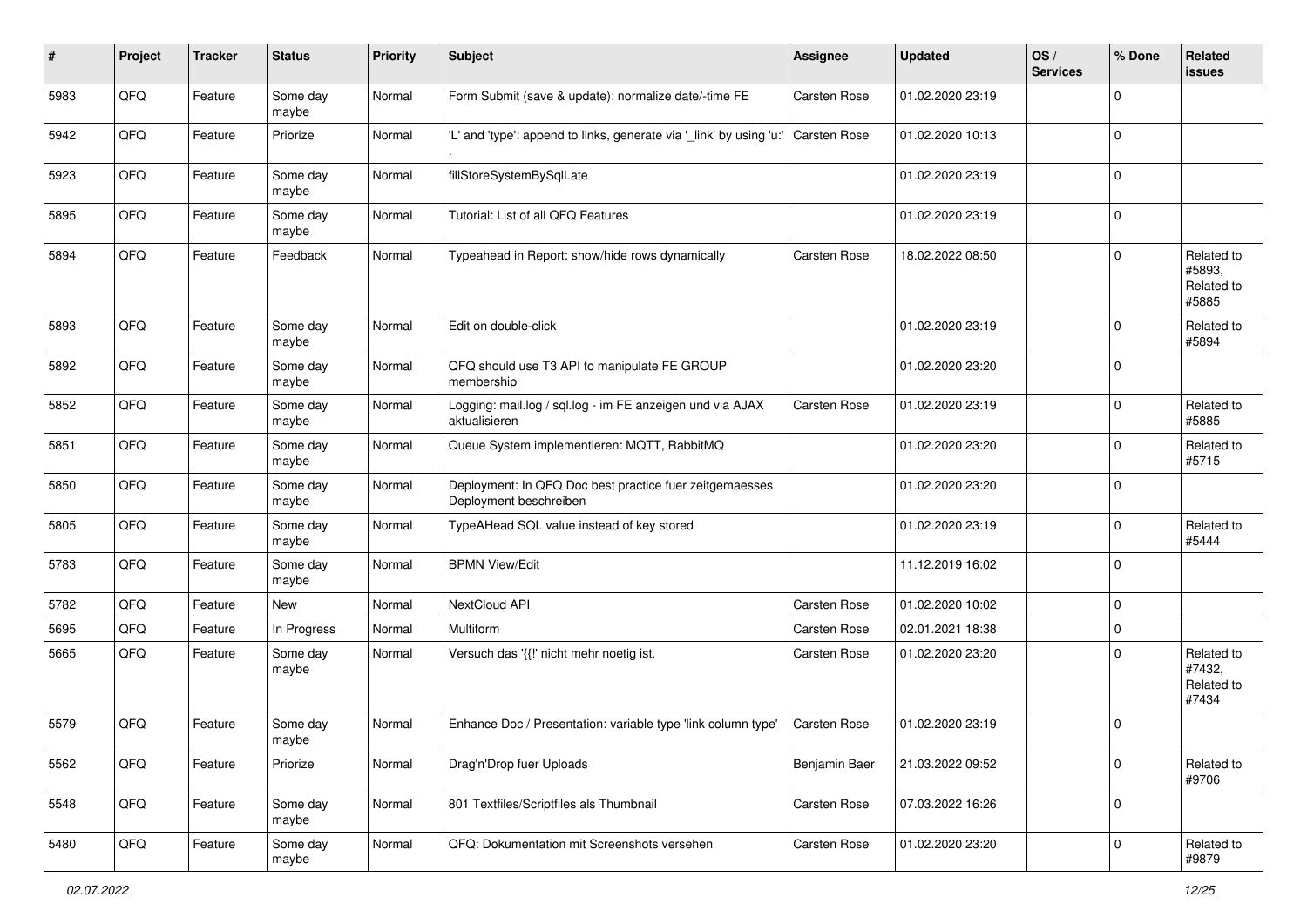| #    | Project | <b>Tracker</b> | <b>Status</b>     | <b>Priority</b> | <b>Subject</b>                                                                    | Assignee            | <b>Updated</b>   | OS/<br><b>Services</b> | % Done      | Related<br>issues                           |
|------|---------|----------------|-------------------|-----------------|-----------------------------------------------------------------------------------|---------------------|------------------|------------------------|-------------|---------------------------------------------|
| 5983 | QFQ     | Feature        | Some day<br>maybe | Normal          | Form Submit (save & update): normalize date/-time FE                              | Carsten Rose        | 01.02.2020 23:19 |                        | $\Omega$    |                                             |
| 5942 | QFQ     | Feature        | Priorize          | Normal          | 'L' and 'type': append to links, generate via '_link' by using 'u:'               | <b>Carsten Rose</b> | 01.02.2020 10:13 |                        | $\mathbf 0$ |                                             |
| 5923 | QFQ     | Feature        | Some day<br>maybe | Normal          | fillStoreSystemBySqlLate                                                          |                     | 01.02.2020 23:19 |                        | $\Omega$    |                                             |
| 5895 | QFQ     | Feature        | Some day<br>maybe | Normal          | Tutorial: List of all QFQ Features                                                |                     | 01.02.2020 23:19 |                        | $\Omega$    |                                             |
| 5894 | QFQ     | Feature        | Feedback          | Normal          | Typeahead in Report: show/hide rows dynamically                                   | <b>Carsten Rose</b> | 18.02.2022 08:50 |                        | $\Omega$    | Related to<br>#5893.<br>Related to<br>#5885 |
| 5893 | QFQ     | Feature        | Some day<br>maybe | Normal          | Edit on double-click                                                              |                     | 01.02.2020 23:19 |                        | $\mathbf 0$ | Related to<br>#5894                         |
| 5892 | QFQ     | Feature        | Some day<br>maybe | Normal          | QFQ should use T3 API to manipulate FE GROUP<br>membership                        |                     | 01.02.2020 23:20 |                        | $\Omega$    |                                             |
| 5852 | QFQ     | Feature        | Some day<br>maybe | Normal          | Logging: mail.log / sql.log - im FE anzeigen und via AJAX<br>aktualisieren        | <b>Carsten Rose</b> | 01.02.2020 23:19 |                        | $\Omega$    | Related to<br>#5885                         |
| 5851 | QFQ     | Feature        | Some day<br>maybe | Normal          | Queue System implementieren: MQTT, RabbitMQ                                       |                     | 01.02.2020 23:20 |                        | $\Omega$    | Related to<br>#5715                         |
| 5850 | QFQ     | Feature        | Some day<br>maybe | Normal          | Deployment: In QFQ Doc best practice fuer zeitgemaesses<br>Deployment beschreiben |                     | 01.02.2020 23:20 |                        | $\mathbf 0$ |                                             |
| 5805 | QFQ     | Feature        | Some day<br>maybe | Normal          | TypeAHead SQL value instead of key stored                                         |                     | 01.02.2020 23:19 |                        | $\Omega$    | Related to<br>#5444                         |
| 5783 | QFQ     | Feature        | Some day<br>maybe | Normal          | <b>BPMN View/Edit</b>                                                             |                     | 11.12.2019 16:02 |                        | $\Omega$    |                                             |
| 5782 | QFQ     | Feature        | New               | Normal          | NextCloud API                                                                     | Carsten Rose        | 01.02.2020 10:02 |                        | $\mathbf 0$ |                                             |
| 5695 | QFQ     | Feature        | In Progress       | Normal          | Multiform                                                                         | <b>Carsten Rose</b> | 02.01.2021 18:38 |                        | $\mathbf 0$ |                                             |
| 5665 | QFQ     | Feature        | Some day<br>maybe | Normal          | Versuch das '{{!' nicht mehr noetig ist.                                          | Carsten Rose        | 01.02.2020 23:20 |                        | O           | Related to<br>#7432,<br>Related to<br>#7434 |
| 5579 | QFQ     | Feature        | Some day<br>maybe | Normal          | Enhance Doc / Presentation: variable type 'link column type'                      | <b>Carsten Rose</b> | 01.02.2020 23:19 |                        | $\Omega$    |                                             |
| 5562 | QFQ     | Feature        | Priorize          | Normal          | Drag'n'Drop fuer Uploads                                                          | Benjamin Baer       | 21.03.2022 09:52 |                        | $\mathbf 0$ | Related to<br>#9706                         |
| 5548 | QFQ     | Feature        | Some day<br>maybe | Normal          | 801 Textfiles/Scriptfiles als Thumbnail                                           | Carsten Rose        | 07.03.2022 16:26 |                        | $\mathbf 0$ |                                             |
| 5480 | QFQ     | Feature        | Some day<br>maybe | Normal          | QFQ: Dokumentation mit Screenshots versehen                                       | Carsten Rose        | 01.02.2020 23:20 |                        | $\mathbf 0$ | Related to<br>#9879                         |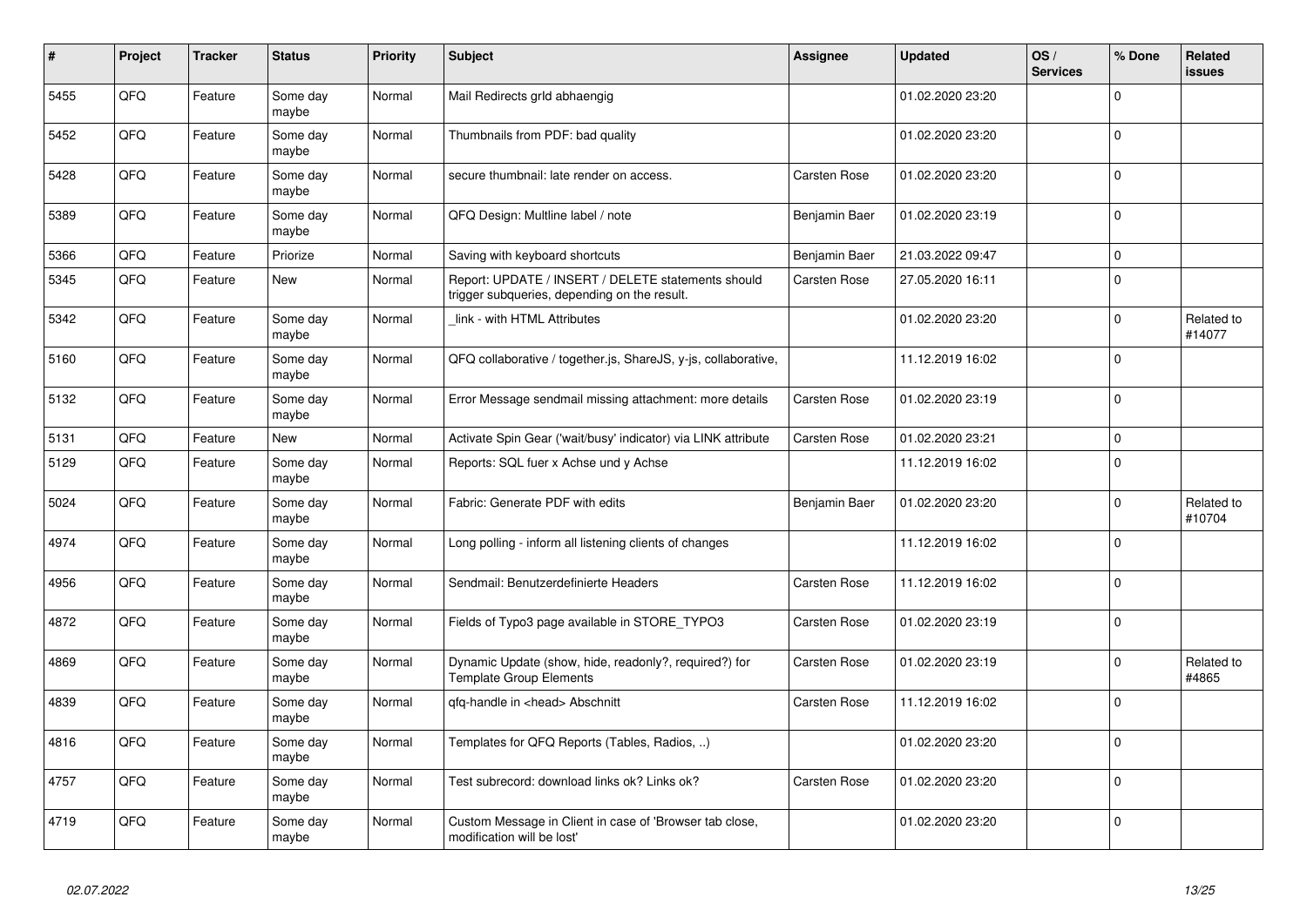| #    | Project | <b>Tracker</b> | <b>Status</b>     | <b>Priority</b> | <b>Subject</b>                                                                                     | <b>Assignee</b>     | <b>Updated</b>   | OS/<br><b>Services</b> | % Done       | Related<br><b>issues</b> |
|------|---------|----------------|-------------------|-----------------|----------------------------------------------------------------------------------------------------|---------------------|------------------|------------------------|--------------|--------------------------|
| 5455 | QFQ     | Feature        | Some day<br>maybe | Normal          | Mail Redirects grld abhaengig                                                                      |                     | 01.02.2020 23:20 |                        | $\Omega$     |                          |
| 5452 | QFQ     | Feature        | Some day<br>maybe | Normal          | Thumbnails from PDF: bad quality                                                                   |                     | 01.02.2020 23:20 |                        | $\Omega$     |                          |
| 5428 | QFQ     | Feature        | Some day<br>maybe | Normal          | secure thumbnail: late render on access.                                                           | <b>Carsten Rose</b> | 01.02.2020 23:20 |                        | $\Omega$     |                          |
| 5389 | QFQ     | Feature        | Some day<br>maybe | Normal          | QFQ Design: Multline label / note                                                                  | Benjamin Baer       | 01.02.2020 23:19 |                        | $\Omega$     |                          |
| 5366 | QFQ     | Feature        | Priorize          | Normal          | Saving with keyboard shortcuts                                                                     | Benjamin Baer       | 21.03.2022 09:47 |                        | $\Omega$     |                          |
| 5345 | QFQ     | Feature        | <b>New</b>        | Normal          | Report: UPDATE / INSERT / DELETE statements should<br>trigger subqueries, depending on the result. | Carsten Rose        | 27.05.2020 16:11 |                        | $\Omega$     |                          |
| 5342 | QFQ     | Feature        | Some day<br>mavbe | Normal          | link - with HTML Attributes                                                                        |                     | 01.02.2020 23:20 |                        | $\mathbf 0$  | Related to<br>#14077     |
| 5160 | QFQ     | Feature        | Some dav<br>maybe | Normal          | QFQ collaborative / together.js, ShareJS, y-js, collaborative,                                     |                     | 11.12.2019 16:02 |                        | $\Omega$     |                          |
| 5132 | QFQ     | Feature        | Some day<br>maybe | Normal          | Error Message sendmail missing attachment: more details                                            | Carsten Rose        | 01.02.2020 23:19 |                        | $\Omega$     |                          |
| 5131 | QFQ     | Feature        | <b>New</b>        | Normal          | Activate Spin Gear ('wait/busy' indicator) via LINK attribute                                      | <b>Carsten Rose</b> | 01.02.2020 23:21 |                        | $\mathbf{0}$ |                          |
| 5129 | QFQ     | Feature        | Some day<br>maybe | Normal          | Reports: SQL fuer x Achse und y Achse                                                              |                     | 11.12.2019 16:02 |                        | $\Omega$     |                          |
| 5024 | QFQ     | Feature        | Some day<br>maybe | Normal          | Fabric: Generate PDF with edits                                                                    | Benjamin Baer       | 01.02.2020 23:20 |                        | $\mathbf 0$  | Related to<br>#10704     |
| 4974 | QFQ     | Feature        | Some day<br>maybe | Normal          | Long polling - inform all listening clients of changes                                             |                     | 11.12.2019 16:02 |                        | $\Omega$     |                          |
| 4956 | QFQ     | Feature        | Some day<br>maybe | Normal          | Sendmail: Benutzerdefinierte Headers                                                               | <b>Carsten Rose</b> | 11.12.2019 16:02 |                        | $\Omega$     |                          |
| 4872 | QFQ     | Feature        | Some day<br>maybe | Normal          | Fields of Typo3 page available in STORE TYPO3                                                      | <b>Carsten Rose</b> | 01.02.2020 23:19 |                        | $\mathbf 0$  |                          |
| 4869 | QFQ     | Feature        | Some day<br>maybe | Normal          | Dynamic Update (show, hide, readonly?, required?) for<br><b>Template Group Elements</b>            | <b>Carsten Rose</b> | 01.02.2020 23:19 |                        | $\Omega$     | Related to<br>#4865      |
| 4839 | QFQ     | Feature        | Some day<br>maybe | Normal          | qfq-handle in <head> Abschnitt</head>                                                              | Carsten Rose        | 11.12.2019 16:02 |                        | $\Omega$     |                          |
| 4816 | QFQ     | Feature        | Some day<br>maybe | Normal          | Templates for QFQ Reports (Tables, Radios, )                                                       |                     | 01.02.2020 23:20 |                        | $\Omega$     |                          |
| 4757 | QFQ     | Feature        | Some day<br>maybe | Normal          | Test subrecord: download links ok? Links ok?                                                       | Carsten Rose        | 01.02.2020 23:20 |                        | $\Omega$     |                          |
| 4719 | QFQ     | Feature        | Some day<br>maybe | Normal          | Custom Message in Client in case of 'Browser tab close,<br>modification will be lost'              |                     | 01.02.2020 23:20 |                        | $\Omega$     |                          |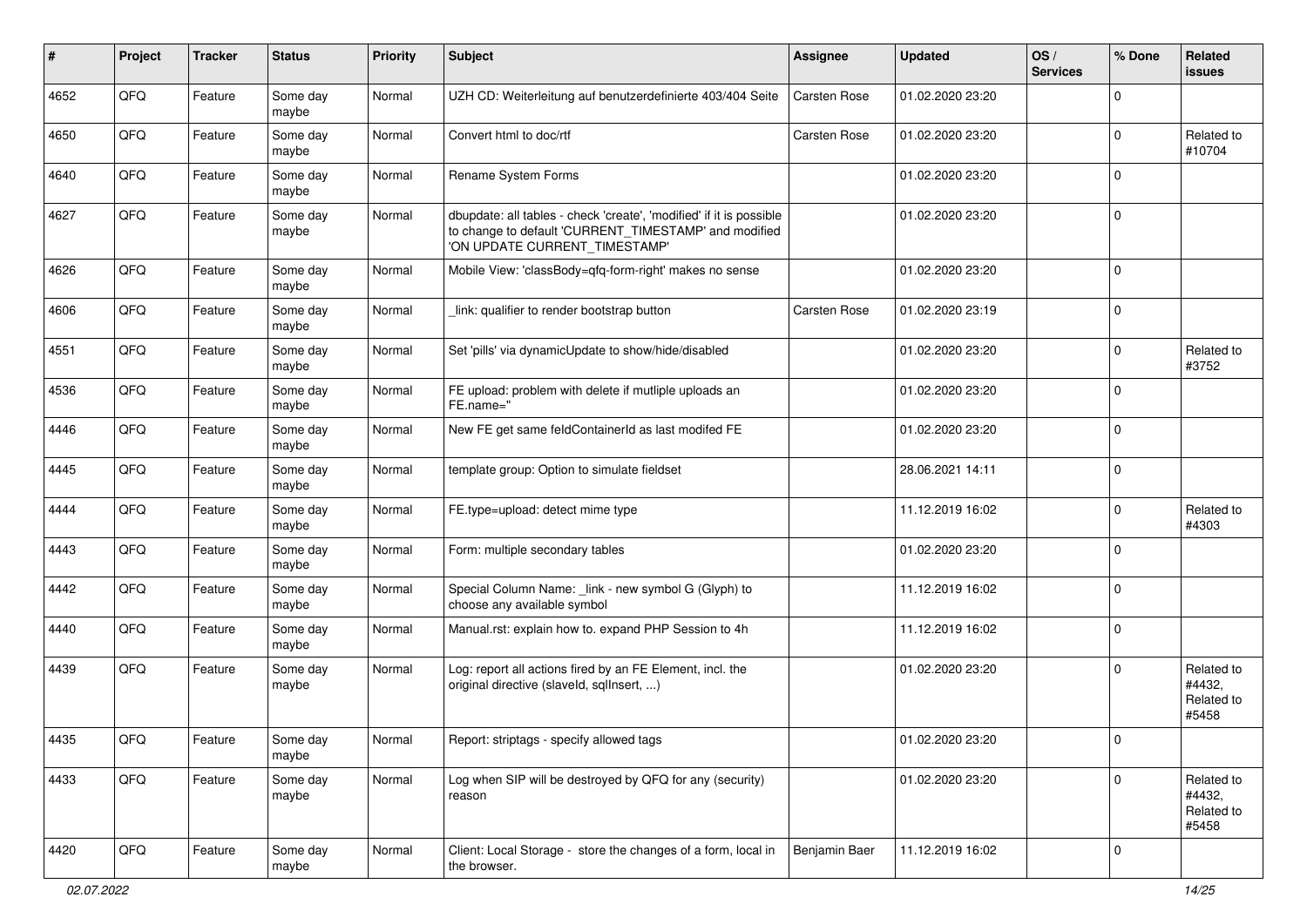| ∦    | Project | <b>Tracker</b> | <b>Status</b>     | <b>Priority</b> | <b>Subject</b>                                                                                                                                                | <b>Assignee</b>     | <b>Updated</b>   | OS/<br><b>Services</b> | % Done       | Related<br>issues                           |
|------|---------|----------------|-------------------|-----------------|---------------------------------------------------------------------------------------------------------------------------------------------------------------|---------------------|------------------|------------------------|--------------|---------------------------------------------|
| 4652 | QFQ     | Feature        | Some day<br>maybe | Normal          | UZH CD: Weiterleitung auf benutzerdefinierte 403/404 Seite                                                                                                    | <b>Carsten Rose</b> | 01.02.2020 23:20 |                        | <sup>0</sup> |                                             |
| 4650 | QFQ     | Feature        | Some day<br>maybe | Normal          | Convert html to doc/rtf                                                                                                                                       | <b>Carsten Rose</b> | 01.02.2020 23:20 |                        | 0            | Related to<br>#10704                        |
| 4640 | QFQ     | Feature        | Some day<br>maybe | Normal          | Rename System Forms                                                                                                                                           |                     | 01.02.2020 23:20 |                        | 0            |                                             |
| 4627 | QFQ     | Feature        | Some day<br>maybe | Normal          | dbupdate: all tables - check 'create', 'modified' if it is possible<br>to change to default 'CURRENT_TIMESTAMP' and modified<br>'ON UPDATE CURRENT_TIMESTAMP' |                     | 01.02.2020 23:20 |                        | $\Omega$     |                                             |
| 4626 | QFQ     | Feature        | Some day<br>maybe | Normal          | Mobile View: 'classBody=qfq-form-right' makes no sense                                                                                                        |                     | 01.02.2020 23:20 |                        | $\mathbf 0$  |                                             |
| 4606 | QFQ     | Feature        | Some day<br>maybe | Normal          | link: qualifier to render bootstrap button                                                                                                                    | <b>Carsten Rose</b> | 01.02.2020 23:19 |                        | $\Omega$     |                                             |
| 4551 | QFQ     | Feature        | Some day<br>maybe | Normal          | Set 'pills' via dynamicUpdate to show/hide/disabled                                                                                                           |                     | 01.02.2020 23:20 |                        | 0            | Related to<br>#3752                         |
| 4536 | QFQ     | Feature        | Some day<br>maybe | Normal          | FE upload: problem with delete if mutliple uploads an<br>FE.name="                                                                                            |                     | 01.02.2020 23:20 |                        | <sup>0</sup> |                                             |
| 4446 | QFQ     | Feature        | Some day<br>maybe | Normal          | New FE get same feldContainerId as last modifed FE                                                                                                            |                     | 01.02.2020 23:20 |                        | $\mathbf 0$  |                                             |
| 4445 | QFQ     | Feature        | Some day<br>maybe | Normal          | template group: Option to simulate fieldset                                                                                                                   |                     | 28.06.2021 14:11 |                        | 0            |                                             |
| 4444 | QFQ     | Feature        | Some day<br>maybe | Normal          | FE.type=upload: detect mime type                                                                                                                              |                     | 11.12.2019 16:02 |                        | 0            | Related to<br>#4303                         |
| 4443 | QFQ     | Feature        | Some day<br>maybe | Normal          | Form: multiple secondary tables                                                                                                                               |                     | 01.02.2020 23:20 |                        | $\Omega$     |                                             |
| 4442 | QFQ     | Feature        | Some day<br>maybe | Normal          | Special Column Name: _link - new symbol G (Glyph) to<br>choose any available symbol                                                                           |                     | 11.12.2019 16:02 |                        | 0            |                                             |
| 4440 | QFQ     | Feature        | Some day<br>maybe | Normal          | Manual.rst: explain how to. expand PHP Session to 4h                                                                                                          |                     | 11.12.2019 16:02 |                        | $\Omega$     |                                             |
| 4439 | QFQ     | Feature        | Some day<br>maybe | Normal          | Log: report all actions fired by an FE Element, incl. the<br>original directive (slaveld, sqllnsert, )                                                        |                     | 01.02.2020 23:20 |                        | 0            | Related to<br>#4432,<br>Related to<br>#5458 |
| 4435 | QFO     | Feature        | Some day<br>maybe | Normal          | Report: striptags - specify allowed tags                                                                                                                      |                     | 01.02.2020 23:20 |                        |              |                                             |
| 4433 | QFG     | Feature        | Some day<br>maybe | Normal          | Log when SIP will be destroyed by QFQ for any (security)<br>reason                                                                                            |                     | 01.02.2020 23:20 |                        | 0            | Related to<br>#4432,<br>Related to<br>#5458 |
| 4420 | QFG     | Feature        | Some day<br>maybe | Normal          | Client: Local Storage - store the changes of a form, local in<br>the browser.                                                                                 | Benjamin Baer       | 11.12.2019 16:02 |                        | 0            |                                             |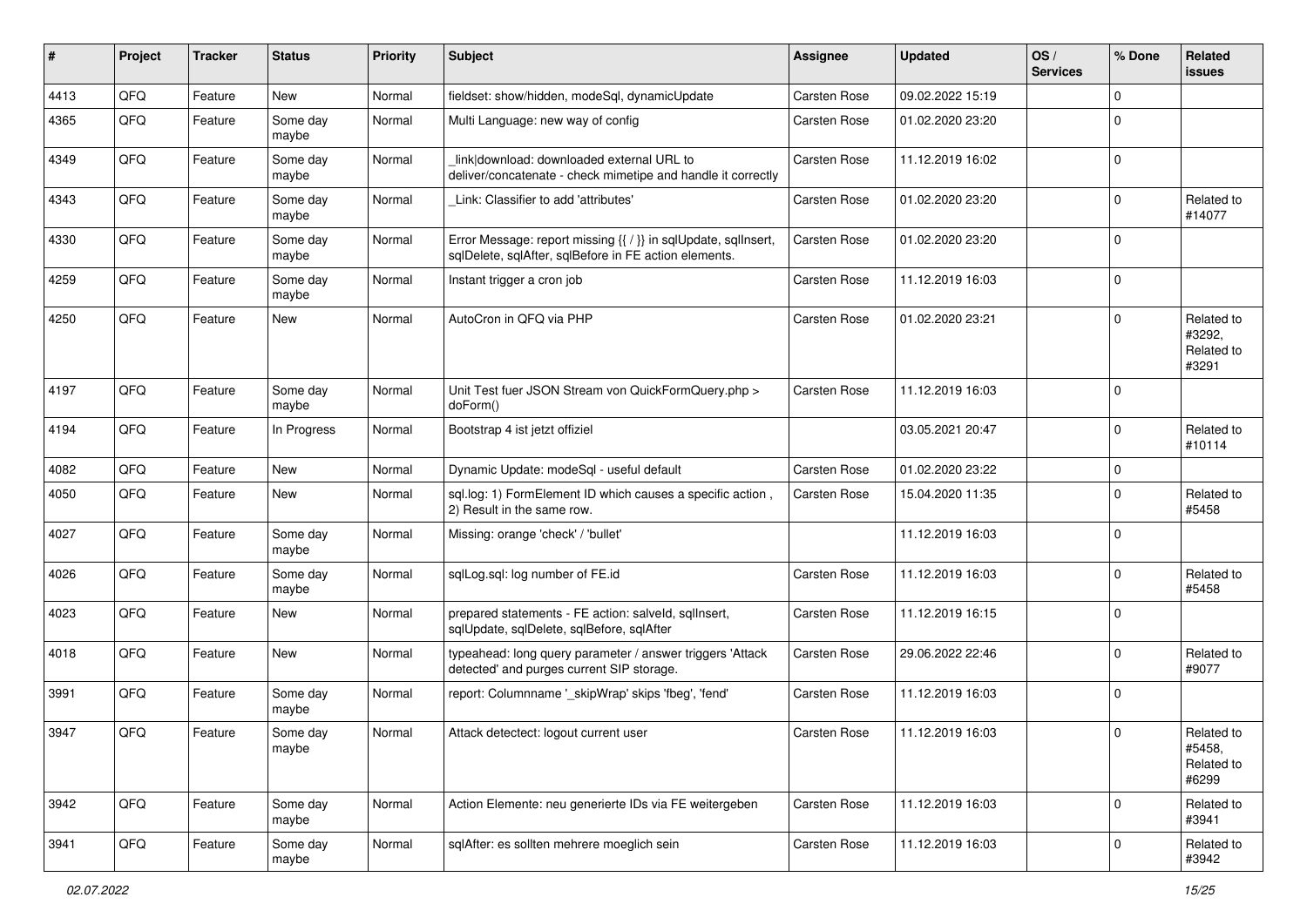| ∦    | Project | <b>Tracker</b> | <b>Status</b>     | <b>Priority</b> | <b>Subject</b>                                                                                                          | <b>Assignee</b>     | <b>Updated</b>   | OS/<br><b>Services</b> | % Done      | Related<br>issues                           |
|------|---------|----------------|-------------------|-----------------|-------------------------------------------------------------------------------------------------------------------------|---------------------|------------------|------------------------|-------------|---------------------------------------------|
| 4413 | QFQ     | Feature        | <b>New</b>        | Normal          | fieldset: show/hidden, modeSql, dynamicUpdate                                                                           | <b>Carsten Rose</b> | 09.02.2022 15:19 |                        | $\Omega$    |                                             |
| 4365 | QFQ     | Feature        | Some day<br>maybe | Normal          | Multi Language: new way of config                                                                                       | <b>Carsten Rose</b> | 01.02.2020 23:20 |                        | $\Omega$    |                                             |
| 4349 | QFQ     | Feature        | Some day<br>maybe | Normal          | link download: downloaded external URL to<br>deliver/concatenate - check mimetipe and handle it correctly               | <b>Carsten Rose</b> | 11.12.2019 16:02 |                        | $\mathbf 0$ |                                             |
| 4343 | QFQ     | Feature        | Some day<br>maybe | Normal          | Link: Classifier to add 'attributes'                                                                                    | <b>Carsten Rose</b> | 01.02.2020 23:20 |                        | $\Omega$    | Related to<br>#14077                        |
| 4330 | QFQ     | Feature        | Some day<br>maybe | Normal          | Error Message: report missing {{ / }} in sqlUpdate, sqlInsert,<br>sqlDelete, sqlAfter, sqlBefore in FE action elements. | Carsten Rose        | 01.02.2020 23:20 |                        | $\Omega$    |                                             |
| 4259 | QFQ     | Feature        | Some day<br>maybe | Normal          | Instant trigger a cron job                                                                                              | Carsten Rose        | 11.12.2019 16:03 |                        | $\Omega$    |                                             |
| 4250 | QFQ     | Feature        | <b>New</b>        | Normal          | AutoCron in QFQ via PHP                                                                                                 | <b>Carsten Rose</b> | 01.02.2020 23:21 |                        | $\Omega$    | Related to<br>#3292,<br>Related to<br>#3291 |
| 4197 | QFQ     | Feature        | Some day<br>maybe | Normal          | Unit Test fuer JSON Stream von QuickFormQuery.php ><br>doForm()                                                         | <b>Carsten Rose</b> | 11.12.2019 16:03 |                        | $\Omega$    |                                             |
| 4194 | QFQ     | Feature        | In Progress       | Normal          | Bootstrap 4 ist jetzt offiziel                                                                                          |                     | 03.05.2021 20:47 |                        | $\Omega$    | Related to<br>#10114                        |
| 4082 | QFQ     | Feature        | <b>New</b>        | Normal          | Dynamic Update: modeSql - useful default                                                                                | <b>Carsten Rose</b> | 01.02.2020 23:22 |                        | $\mathbf 0$ |                                             |
| 4050 | QFQ     | Feature        | <b>New</b>        | Normal          | sql.log: 1) FormElement ID which causes a specific action,<br>2) Result in the same row.                                | <b>Carsten Rose</b> | 15.04.2020 11:35 |                        | $\Omega$    | Related to<br>#5458                         |
| 4027 | QFQ     | Feature        | Some day<br>maybe | Normal          | Missing: orange 'check' / 'bullet'                                                                                      |                     | 11.12.2019 16:03 |                        | $\Omega$    |                                             |
| 4026 | QFQ     | Feature        | Some day<br>maybe | Normal          | sqlLog.sql: log number of FE.id                                                                                         | <b>Carsten Rose</b> | 11.12.2019 16:03 |                        | $\Omega$    | Related to<br>#5458                         |
| 4023 | QFQ     | Feature        | New               | Normal          | prepared statements - FE action: salveld, sqllnsert,<br>sqlUpdate, sqlDelete, sqlBefore, sqlAfter                       | <b>Carsten Rose</b> | 11.12.2019 16:15 |                        | $\Omega$    |                                             |
| 4018 | QFQ     | Feature        | <b>New</b>        | Normal          | typeahead: long query parameter / answer triggers 'Attack<br>detected' and purges current SIP storage.                  | <b>Carsten Rose</b> | 29.06.2022 22:46 |                        | $\Omega$    | Related to<br>#9077                         |
| 3991 | QFQ     | Feature        | Some day<br>maybe | Normal          | report: Columnname '_skipWrap' skips 'fbeg', 'fend'                                                                     | <b>Carsten Rose</b> | 11.12.2019 16:03 |                        | $\mathbf 0$ |                                             |
| 3947 | QFQ     | Feature        | Some day<br>maybe | Normal          | Attack detectect: logout current user                                                                                   | <b>Carsten Rose</b> | 11.12.2019 16:03 |                        | $\Omega$    | Related to<br>#5458,<br>Related to<br>#6299 |
| 3942 | QFQ     | Feature        | Some day<br>maybe | Normal          | Action Elemente: neu generierte IDs via FE weitergeben                                                                  | <b>Carsten Rose</b> | 11.12.2019 16:03 |                        | $\mathbf 0$ | Related to<br>#3941                         |
| 3941 | QFO     | Feature        | Some day<br>maybe | Normal          | sqlAfter: es sollten mehrere moeglich sein                                                                              | Carsten Rose        | 11.12.2019 16:03 |                        | $\mathbf 0$ | Related to<br>#3942                         |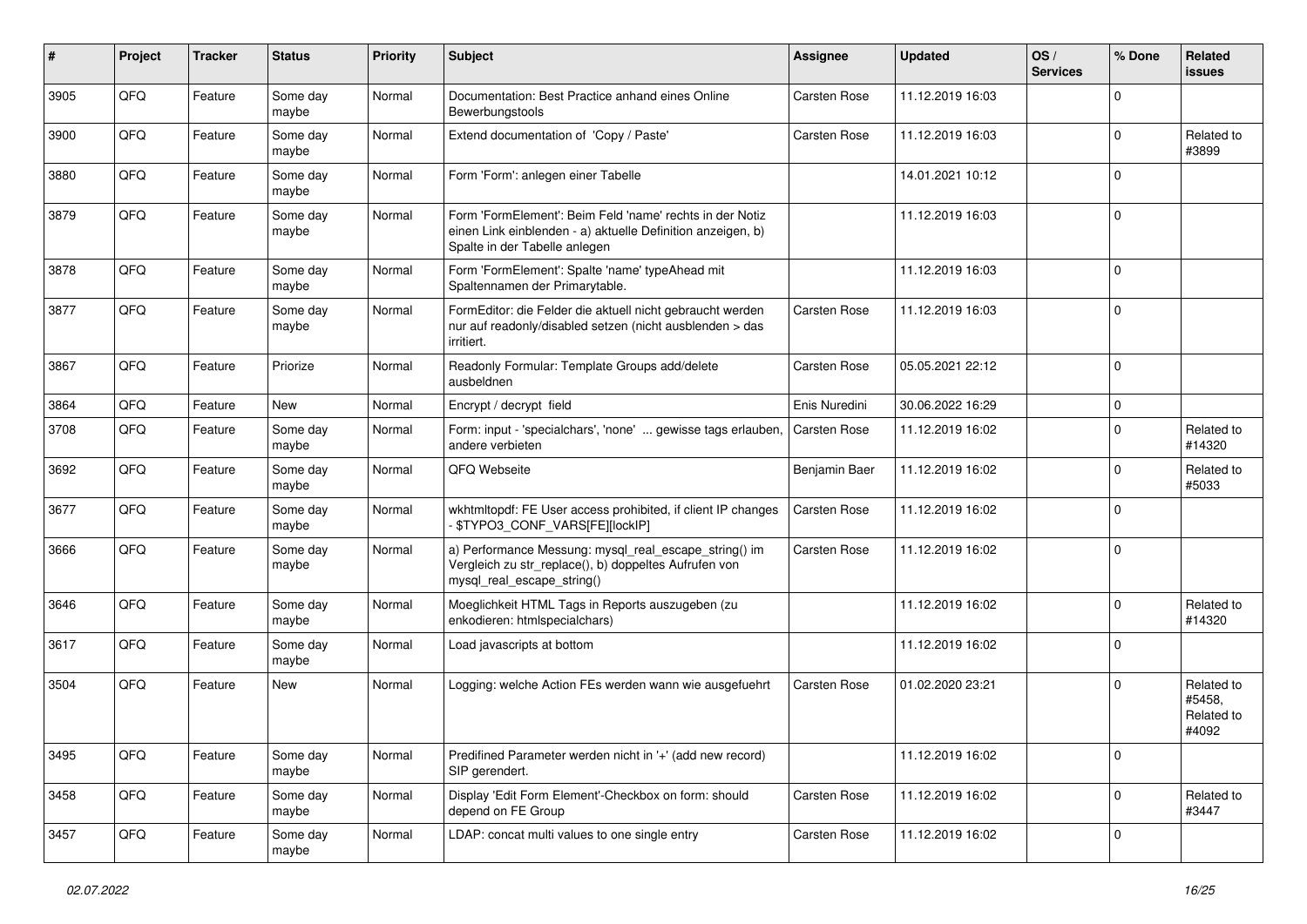| ∦    | Project | <b>Tracker</b> | <b>Status</b>     | <b>Priority</b> | Subject                                                                                                                                                  | Assignee            | <b>Updated</b>   | OS/<br><b>Services</b> | % Done      | Related<br>issues                           |
|------|---------|----------------|-------------------|-----------------|----------------------------------------------------------------------------------------------------------------------------------------------------------|---------------------|------------------|------------------------|-------------|---------------------------------------------|
| 3905 | QFQ     | Feature        | Some day<br>maybe | Normal          | Documentation: Best Practice anhand eines Online<br>Bewerbungstools                                                                                      | <b>Carsten Rose</b> | 11.12.2019 16:03 |                        | $\mathbf 0$ |                                             |
| 3900 | QFQ     | Feature        | Some day<br>maybe | Normal          | Extend documentation of 'Copy / Paste'                                                                                                                   | <b>Carsten Rose</b> | 11.12.2019 16:03 |                        | $\mathbf 0$ | Related to<br>#3899                         |
| 3880 | QFQ     | Feature        | Some day<br>maybe | Normal          | Form 'Form': anlegen einer Tabelle                                                                                                                       |                     | 14.01.2021 10:12 |                        | $\mathbf 0$ |                                             |
| 3879 | QFQ     | Feature        | Some day<br>maybe | Normal          | Form 'FormElement': Beim Feld 'name' rechts in der Notiz<br>einen Link einblenden - a) aktuelle Definition anzeigen, b)<br>Spalte in der Tabelle anlegen |                     | 11.12.2019 16:03 |                        | $\mathbf 0$ |                                             |
| 3878 | QFQ     | Feature        | Some day<br>maybe | Normal          | Form 'FormElement': Spalte 'name' typeAhead mit<br>Spaltennamen der Primarytable.                                                                        |                     | 11.12.2019 16:03 |                        | $\mathbf 0$ |                                             |
| 3877 | QFQ     | Feature        | Some day<br>maybe | Normal          | FormEditor: die Felder die aktuell nicht gebraucht werden<br>nur auf readonly/disabled setzen (nicht ausblenden > das<br>irritiert.                      | Carsten Rose        | 11.12.2019 16:03 |                        | $\mathbf 0$ |                                             |
| 3867 | QFQ     | Feature        | Priorize          | Normal          | Readonly Formular: Template Groups add/delete<br>ausbeldnen                                                                                              | <b>Carsten Rose</b> | 05.05.2021 22:12 |                        | $\mathbf 0$ |                                             |
| 3864 | QFQ     | Feature        | New               | Normal          | Encrypt / decrypt field                                                                                                                                  | Enis Nuredini       | 30.06.2022 16:29 |                        | 0           |                                             |
| 3708 | QFQ     | Feature        | Some day<br>maybe | Normal          | Form: input - 'specialchars', 'none'  gewisse tags erlauben,<br>andere verbieten                                                                         | <b>Carsten Rose</b> | 11.12.2019 16:02 |                        | $\mathbf 0$ | Related to<br>#14320                        |
| 3692 | QFQ     | Feature        | Some day<br>maybe | Normal          | QFQ Webseite                                                                                                                                             | Benjamin Baer       | 11.12.2019 16:02 |                        | $\mathbf 0$ | Related to<br>#5033                         |
| 3677 | QFQ     | Feature        | Some day<br>maybe | Normal          | wkhtmltopdf: FE User access prohibited, if client IP changes<br>\$TYPO3_CONF_VARS[FE][lockIP]                                                            | <b>Carsten Rose</b> | 11.12.2019 16:02 |                        | $\mathbf 0$ |                                             |
| 3666 | QFQ     | Feature        | Some day<br>maybe | Normal          | a) Performance Messung: mysql_real_escape_string() im<br>Vergleich zu str_replace(), b) doppeltes Aufrufen von<br>mysql_real_escape_string()             | <b>Carsten Rose</b> | 11.12.2019 16:02 |                        | $\mathbf 0$ |                                             |
| 3646 | QFQ     | Feature        | Some day<br>maybe | Normal          | Moeglichkeit HTML Tags in Reports auszugeben (zu<br>enkodieren: htmlspecialchars)                                                                        |                     | 11.12.2019 16:02 |                        | $\mathbf 0$ | Related to<br>#14320                        |
| 3617 | QFQ     | Feature        | Some day<br>maybe | Normal          | Load javascripts at bottom                                                                                                                               |                     | 11.12.2019 16:02 |                        | $\mathbf 0$ |                                             |
| 3504 | QFQ     | Feature        | New               | Normal          | Logging: welche Action FEs werden wann wie ausgefuehrt                                                                                                   | <b>Carsten Rose</b> | 01.02.2020 23:21 |                        | $\mathbf 0$ | Related to<br>#5458,<br>Related to<br>#4092 |
| 3495 | QFQ     | Feature        | Some day<br>maybe | Normal          | Predifined Parameter werden nicht in '+' (add new record)<br>SIP gerendert.                                                                              |                     | 11.12.2019 16:02 |                        | 0           |                                             |
| 3458 | QFQ     | Feature        | Some day<br>maybe | Normal          | Display 'Edit Form Element'-Checkbox on form: should<br>depend on FE Group                                                                               | Carsten Rose        | 11.12.2019 16:02 |                        | 0           | Related to<br>#3447                         |
| 3457 | QFQ     | Feature        | Some day<br>maybe | Normal          | LDAP: concat multi values to one single entry                                                                                                            | Carsten Rose        | 11.12.2019 16:02 |                        | 0           |                                             |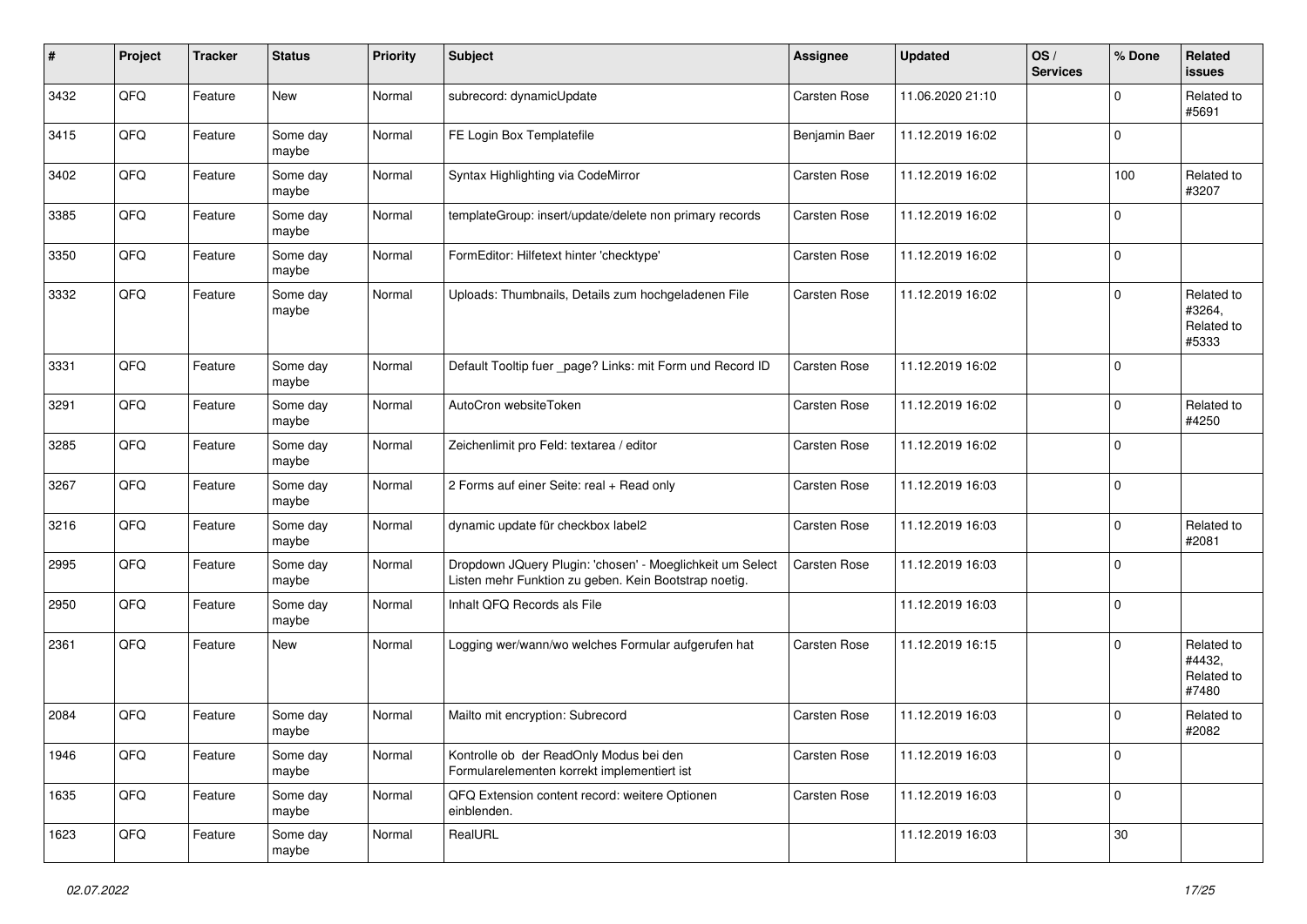| #    | Project | <b>Tracker</b> | <b>Status</b>     | <b>Priority</b> | Subject                                                                                                            | <b>Assignee</b>     | <b>Updated</b>   | OS/<br><b>Services</b> | % Done         | Related<br>issues                           |
|------|---------|----------------|-------------------|-----------------|--------------------------------------------------------------------------------------------------------------------|---------------------|------------------|------------------------|----------------|---------------------------------------------|
| 3432 | QFQ     | Feature        | New               | Normal          | subrecord: dynamicUpdate                                                                                           | Carsten Rose        | 11.06.2020 21:10 |                        | $\Omega$       | Related to<br>#5691                         |
| 3415 | QFQ     | Feature        | Some day<br>maybe | Normal          | FE Login Box Templatefile                                                                                          | Benjamin Baer       | 11.12.2019 16:02 |                        | $\mathbf 0$    |                                             |
| 3402 | QFQ     | Feature        | Some day<br>maybe | Normal          | Syntax Highlighting via CodeMirror                                                                                 | <b>Carsten Rose</b> | 11.12.2019 16:02 |                        | 100            | Related to<br>#3207                         |
| 3385 | QFQ     | Feature        | Some day<br>maybe | Normal          | templateGroup: insert/update/delete non primary records                                                            | <b>Carsten Rose</b> | 11.12.2019 16:02 |                        | $\Omega$       |                                             |
| 3350 | QFQ     | Feature        | Some day<br>maybe | Normal          | FormEditor: Hilfetext hinter 'checktype'                                                                           | <b>Carsten Rose</b> | 11.12.2019 16:02 |                        | $\mathbf 0$    |                                             |
| 3332 | QFQ     | Feature        | Some day<br>maybe | Normal          | Uploads: Thumbnails, Details zum hochgeladenen File                                                                | Carsten Rose        | 11.12.2019 16:02 |                        | $\Omega$       | Related to<br>#3264,<br>Related to<br>#5333 |
| 3331 | QFQ     | Feature        | Some day<br>maybe | Normal          | Default Tooltip fuer _page? Links: mit Form und Record ID                                                          | <b>Carsten Rose</b> | 11.12.2019 16:02 |                        | $\mathbf 0$    |                                             |
| 3291 | QFQ     | Feature        | Some day<br>maybe | Normal          | AutoCron websiteToken                                                                                              | Carsten Rose        | 11.12.2019 16:02 |                        | $\Omega$       | Related to<br>#4250                         |
| 3285 | QFQ     | Feature        | Some day<br>maybe | Normal          | Zeichenlimit pro Feld: textarea / editor                                                                           | <b>Carsten Rose</b> | 11.12.2019 16:02 |                        | $\Omega$       |                                             |
| 3267 | QFQ     | Feature        | Some day<br>maybe | Normal          | 2 Forms auf einer Seite: real + Read only                                                                          | Carsten Rose        | 11.12.2019 16:03 |                        | $\mathbf 0$    |                                             |
| 3216 | QFQ     | Feature        | Some day<br>maybe | Normal          | dynamic update für checkbox label2                                                                                 | Carsten Rose        | 11.12.2019 16:03 |                        | $\mathbf 0$    | Related to<br>#2081                         |
| 2995 | QFQ     | Feature        | Some day<br>maybe | Normal          | Dropdown JQuery Plugin: 'chosen' - Moeglichkeit um Select<br>Listen mehr Funktion zu geben. Kein Bootstrap noetig. | Carsten Rose        | 11.12.2019 16:03 |                        | $\Omega$       |                                             |
| 2950 | QFQ     | Feature        | Some day<br>maybe | Normal          | Inhalt QFQ Records als File                                                                                        |                     | 11.12.2019 16:03 |                        | $\mathbf 0$    |                                             |
| 2361 | QFQ     | Feature        | New               | Normal          | Logging wer/wann/wo welches Formular aufgerufen hat                                                                | <b>Carsten Rose</b> | 11.12.2019 16:15 |                        | $\Omega$       | Related to<br>#4432,<br>Related to<br>#7480 |
| 2084 | QFQ     | Feature        | Some day<br>maybe | Normal          | Mailto mit encryption: Subrecord                                                                                   | <b>Carsten Rose</b> | 11.12.2019 16:03 |                        | $\Omega$       | Related to<br>#2082                         |
| 1946 | QFG     | Feature        | Some day<br>maybe | Normal          | Kontrolle ob der ReadOnly Modus bei den<br>Formularelementen korrekt implementiert ist                             | Carsten Rose        | 11.12.2019 16:03 |                        | $\mathbf 0$    |                                             |
| 1635 | QFQ     | Feature        | Some day<br>maybe | Normal          | QFQ Extension content record: weitere Optionen<br>einblenden.                                                      | Carsten Rose        | 11.12.2019 16:03 |                        | $\overline{0}$ |                                             |
| 1623 | QFG     | Feature        | Some day<br>maybe | Normal          | RealURL                                                                                                            |                     | 11.12.2019 16:03 |                        | $30\,$         |                                             |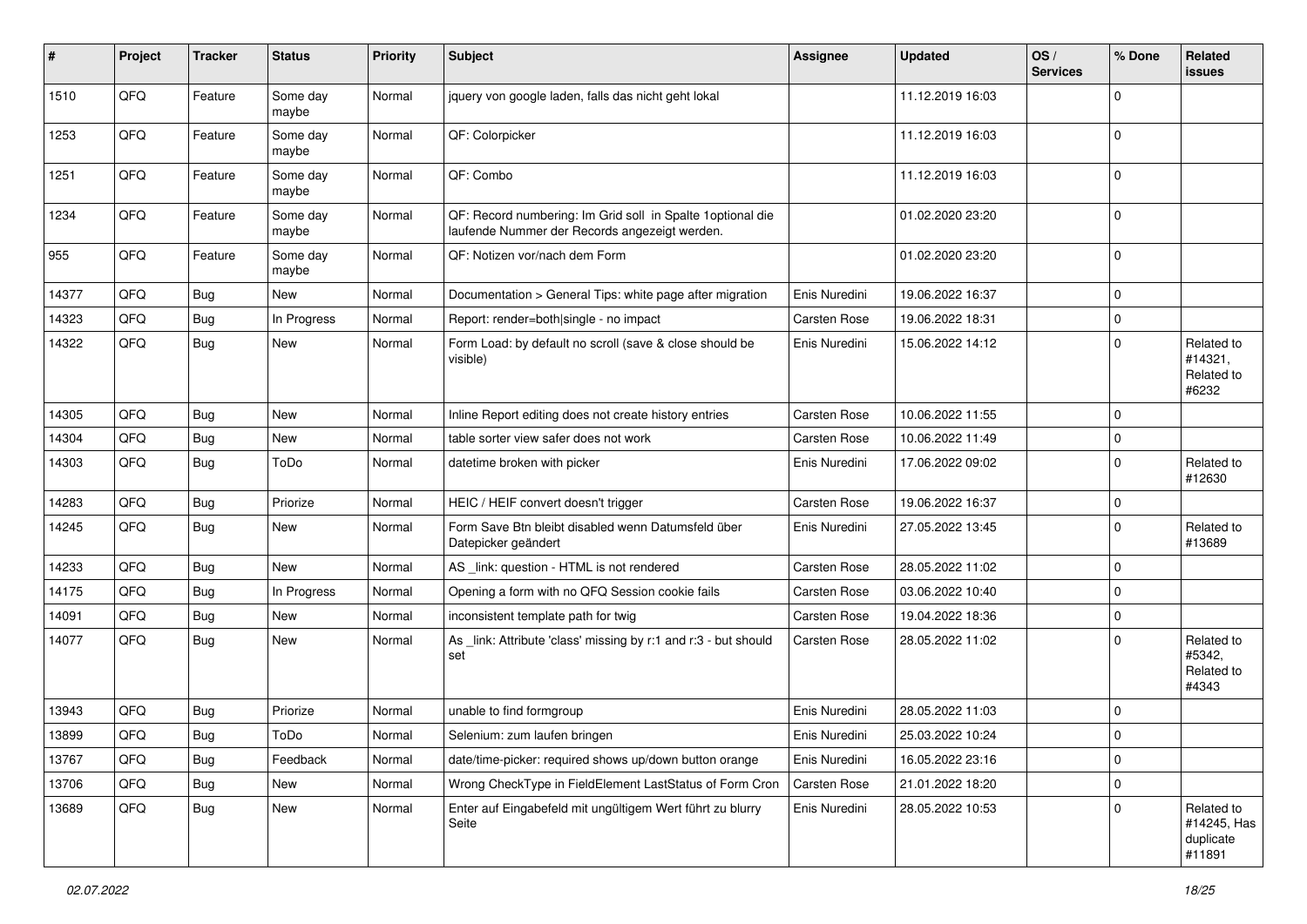| #     | Project | <b>Tracker</b> | <b>Status</b>     | <b>Priority</b> | <b>Subject</b>                                                                                               | <b>Assignee</b>     | <b>Updated</b>   | OS/<br><b>Services</b> | % Done      | Related<br><b>issues</b>                         |
|-------|---------|----------------|-------------------|-----------------|--------------------------------------------------------------------------------------------------------------|---------------------|------------------|------------------------|-------------|--------------------------------------------------|
| 1510  | QFQ     | Feature        | Some day<br>maybe | Normal          | jquery von google laden, falls das nicht geht lokal                                                          |                     | 11.12.2019 16:03 |                        | $\Omega$    |                                                  |
| 1253  | QFQ     | Feature        | Some day<br>maybe | Normal          | QF: Colorpicker                                                                                              |                     | 11.12.2019 16:03 |                        | $\mathbf 0$ |                                                  |
| 1251  | QFQ     | Feature        | Some day<br>maybe | Normal          | QF: Combo                                                                                                    |                     | 11.12.2019 16:03 |                        | $\Omega$    |                                                  |
| 1234  | QFQ     | Feature        | Some day<br>maybe | Normal          | QF: Record numbering: Im Grid soll in Spalte 1 optional die<br>laufende Nummer der Records angezeigt werden. |                     | 01.02.2020 23:20 |                        | $\mathbf 0$ |                                                  |
| 955   | QFQ     | Feature        | Some day<br>maybe | Normal          | QF: Notizen vor/nach dem Form                                                                                |                     | 01.02.2020 23:20 |                        | $\mathbf 0$ |                                                  |
| 14377 | QFQ     | <b>Bug</b>     | <b>New</b>        | Normal          | Documentation > General Tips: white page after migration                                                     | Enis Nuredini       | 19.06.2022 16:37 |                        | $\Omega$    |                                                  |
| 14323 | QFQ     | Bug            | In Progress       | Normal          | Report: render=both single - no impact                                                                       | <b>Carsten Rose</b> | 19.06.2022 18:31 |                        | $\mathbf 0$ |                                                  |
| 14322 | QFQ     | Bug            | New               | Normal          | Form Load: by default no scroll (save & close should be<br>visible)                                          | Enis Nuredini       | 15.06.2022 14:12 |                        | $\Omega$    | Related to<br>#14321,<br>Related to<br>#6232     |
| 14305 | QFQ     | Bug            | <b>New</b>        | Normal          | Inline Report editing does not create history entries                                                        | <b>Carsten Rose</b> | 10.06.2022 11:55 |                        | $\mathbf 0$ |                                                  |
| 14304 | QFQ     | Bug            | New               | Normal          | table sorter view safer does not work                                                                        | <b>Carsten Rose</b> | 10.06.2022 11:49 |                        | $\mathbf 0$ |                                                  |
| 14303 | QFQ     | Bug            | ToDo              | Normal          | datetime broken with picker                                                                                  | Enis Nuredini       | 17.06.2022 09:02 |                        | $\Omega$    | Related to<br>#12630                             |
| 14283 | QFQ     | Bug            | Priorize          | Normal          | HEIC / HEIF convert doesn't trigger                                                                          | <b>Carsten Rose</b> | 19.06.2022 16:37 |                        | $\mathbf 0$ |                                                  |
| 14245 | QFQ     | Bug            | New               | Normal          | Form Save Btn bleibt disabled wenn Datumsfeld über<br>Datepicker geändert                                    | Enis Nuredini       | 27.05.2022 13:45 |                        | $\Omega$    | Related to<br>#13689                             |
| 14233 | QFQ     | Bug            | New               | Normal          | AS _link: question - HTML is not rendered                                                                    | <b>Carsten Rose</b> | 28.05.2022 11:02 |                        | $\Omega$    |                                                  |
| 14175 | QFQ     | Bug            | In Progress       | Normal          | Opening a form with no QFQ Session cookie fails                                                              | <b>Carsten Rose</b> | 03.06.2022 10:40 |                        | $\mathbf 0$ |                                                  |
| 14091 | QFQ     | Bug            | New               | Normal          | inconsistent template path for twig                                                                          | Carsten Rose        | 19.04.2022 18:36 |                        | $\mathbf 0$ |                                                  |
| 14077 | QFQ     | Bug            | New               | Normal          | As _link: Attribute 'class' missing by r:1 and r:3 - but should<br>set                                       | <b>Carsten Rose</b> | 28.05.2022 11:02 |                        | $\Omega$    | Related to<br>#5342,<br>Related to<br>#4343      |
| 13943 | QFQ     | Bug            | Priorize          | Normal          | unable to find formgroup                                                                                     | Enis Nuredini       | 28.05.2022 11:03 |                        | $\mathbf 0$ |                                                  |
| 13899 | QFQ     | Bug            | ToDo              | Normal          | Selenium: zum laufen bringen                                                                                 | Enis Nuredini       | 25.03.2022 10:24 |                        | $\Omega$    |                                                  |
| 13767 | QFQ     | Bug            | Feedback          | Normal          | date/time-picker: required shows up/down button orange                                                       | Enis Nuredini       | 16.05.2022 23:16 |                        | $\mathbf 0$ |                                                  |
| 13706 | QFQ     | <b>Bug</b>     | New               | Normal          | Wrong CheckType in FieldElement LastStatus of Form Cron                                                      | Carsten Rose        | 21.01.2022 18:20 |                        | $\mathbf 0$ |                                                  |
| 13689 | QFQ     | <b>Bug</b>     | New               | Normal          | Enter auf Eingabefeld mit ungültigem Wert führt zu blurry<br>Seite                                           | Enis Nuredini       | 28.05.2022 10:53 |                        | $\Omega$    | Related to<br>#14245, Has<br>duplicate<br>#11891 |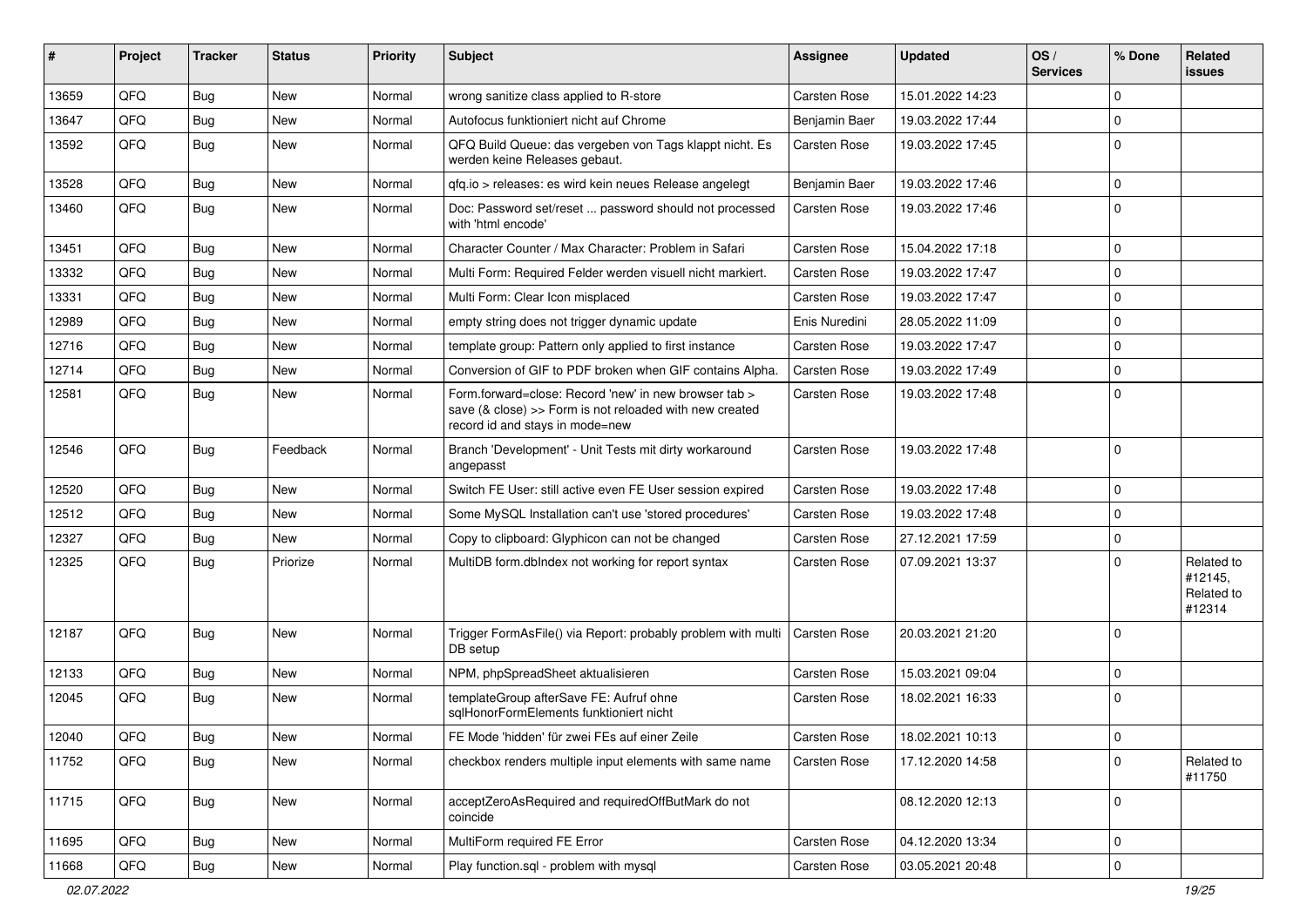| #     | Project | <b>Tracker</b> | <b>Status</b> | <b>Priority</b> | <b>Subject</b>                                                                                                                                      | Assignee            | <b>Updated</b>   | OS/<br><b>Services</b> | % Done      | Related<br>issues                             |
|-------|---------|----------------|---------------|-----------------|-----------------------------------------------------------------------------------------------------------------------------------------------------|---------------------|------------------|------------------------|-------------|-----------------------------------------------|
| 13659 | QFQ     | Bug            | <b>New</b>    | Normal          | wrong sanitize class applied to R-store                                                                                                             | <b>Carsten Rose</b> | 15.01.2022 14:23 |                        | $\mathbf 0$ |                                               |
| 13647 | QFQ     | Bug            | <b>New</b>    | Normal          | Autofocus funktioniert nicht auf Chrome                                                                                                             | Benjamin Baer       | 19.03.2022 17:44 |                        | $\Omega$    |                                               |
| 13592 | QFQ     | Bug            | New           | Normal          | QFQ Build Queue: das vergeben von Tags klappt nicht. Es<br>werden keine Releases gebaut.                                                            | <b>Carsten Rose</b> | 19.03.2022 17:45 |                        | $\Omega$    |                                               |
| 13528 | QFQ     | Bug            | New           | Normal          | qfq.io > releases: es wird kein neues Release angelegt                                                                                              | Benjamin Baer       | 19.03.2022 17:46 |                        | $\mathbf 0$ |                                               |
| 13460 | QFQ     | Bug            | <b>New</b>    | Normal          | Doc: Password set/reset  password should not processed<br>with 'html encode'                                                                        | <b>Carsten Rose</b> | 19.03.2022 17:46 |                        | $\Omega$    |                                               |
| 13451 | QFQ     | Bug            | <b>New</b>    | Normal          | Character Counter / Max Character: Problem in Safari                                                                                                | Carsten Rose        | 15.04.2022 17:18 |                        | $\mathbf 0$ |                                               |
| 13332 | QFQ     | Bug            | <b>New</b>    | Normal          | Multi Form: Required Felder werden visuell nicht markiert.                                                                                          | <b>Carsten Rose</b> | 19.03.2022 17:47 |                        | $\mathbf 0$ |                                               |
| 13331 | QFQ     | Bug            | <b>New</b>    | Normal          | Multi Form: Clear Icon misplaced                                                                                                                    | <b>Carsten Rose</b> | 19.03.2022 17:47 |                        | $\Omega$    |                                               |
| 12989 | QFQ     | Bug            | <b>New</b>    | Normal          | empty string does not trigger dynamic update                                                                                                        | Enis Nuredini       | 28.05.2022 11:09 |                        | $\mathbf 0$ |                                               |
| 12716 | QFQ     | Bug            | <b>New</b>    | Normal          | template group: Pattern only applied to first instance                                                                                              | <b>Carsten Rose</b> | 19.03.2022 17:47 |                        | $\Omega$    |                                               |
| 12714 | QFQ     | Bug            | New           | Normal          | Conversion of GIF to PDF broken when GIF contains Alpha.                                                                                            | <b>Carsten Rose</b> | 19.03.2022 17:49 |                        | $\mathbf 0$ |                                               |
| 12581 | QFQ     | Bug            | New           | Normal          | Form forward=close: Record 'new' in new browser tab ><br>save (& close) >> Form is not reloaded with new created<br>record id and stays in mode=new | <b>Carsten Rose</b> | 19.03.2022 17:48 |                        | $\Omega$    |                                               |
| 12546 | QFQ     | Bug            | Feedback      | Normal          | Branch 'Development' - Unit Tests mit dirty workaround<br>angepasst                                                                                 | <b>Carsten Rose</b> | 19.03.2022 17:48 |                        | $\mathbf 0$ |                                               |
| 12520 | QFQ     | Bug            | <b>New</b>    | Normal          | Switch FE User: still active even FE User session expired                                                                                           | <b>Carsten Rose</b> | 19.03.2022 17:48 |                        | $\mathbf 0$ |                                               |
| 12512 | QFQ     | Bug            | <b>New</b>    | Normal          | Some MySQL Installation can't use 'stored procedures'                                                                                               | Carsten Rose        | 19.03.2022 17:48 |                        | $\mathbf 0$ |                                               |
| 12327 | QFQ     | Bug            | <b>New</b>    | Normal          | Copy to clipboard: Glyphicon can not be changed                                                                                                     | <b>Carsten Rose</b> | 27.12.2021 17:59 |                        | $\mathbf 0$ |                                               |
| 12325 | QFQ     | Bug            | Priorize      | Normal          | MultiDB form.dblndex not working for report syntax                                                                                                  | <b>Carsten Rose</b> | 07.09.2021 13:37 |                        | $\Omega$    | Related to<br>#12145,<br>Related to<br>#12314 |
| 12187 | QFQ     | Bug            | <b>New</b>    | Normal          | Trigger FormAsFile() via Report: probably problem with multi<br>DB setup                                                                            | Carsten Rose        | 20.03.2021 21:20 |                        | $\Omega$    |                                               |
| 12133 | QFQ     | Bug            | <b>New</b>    | Normal          | NPM, phpSpreadSheet aktualisieren                                                                                                                   | <b>Carsten Rose</b> | 15.03.2021 09:04 |                        | $\mathbf 0$ |                                               |
| 12045 | QFQ     | Bug            | <b>New</b>    | Normal          | templateGroup afterSave FE: Aufruf ohne<br>sqlHonorFormElements funktioniert nicht                                                                  | <b>Carsten Rose</b> | 18.02.2021 16:33 |                        | $\Omega$    |                                               |
| 12040 | QFQ     | Bug            | New           | Normal          | FE Mode 'hidden' für zwei FEs auf einer Zeile                                                                                                       | Carsten Rose        | 18.02.2021 10:13 |                        | $\mathbf 0$ |                                               |
| 11752 | QFQ     | Bug            | <b>New</b>    | Normal          | checkbox renders multiple input elements with same name                                                                                             | <b>Carsten Rose</b> | 17.12.2020 14:58 |                        | $\mathbf 0$ | Related to<br>#11750                          |
| 11715 | QFQ     | <b>Bug</b>     | New           | Normal          | acceptZeroAsRequired and requiredOffButMark do not<br>coincide                                                                                      |                     | 08.12.2020 12:13 |                        | 0           |                                               |
| 11695 | QFQ     | <b>Bug</b>     | New           | Normal          | MultiForm required FE Error                                                                                                                         | Carsten Rose        | 04.12.2020 13:34 |                        | $\mathbf 0$ |                                               |
| 11668 | QFQ     | <b>Bug</b>     | New           | Normal          | Play function.sql - problem with mysql                                                                                                              | Carsten Rose        | 03.05.2021 20:48 |                        | $\mathbf 0$ |                                               |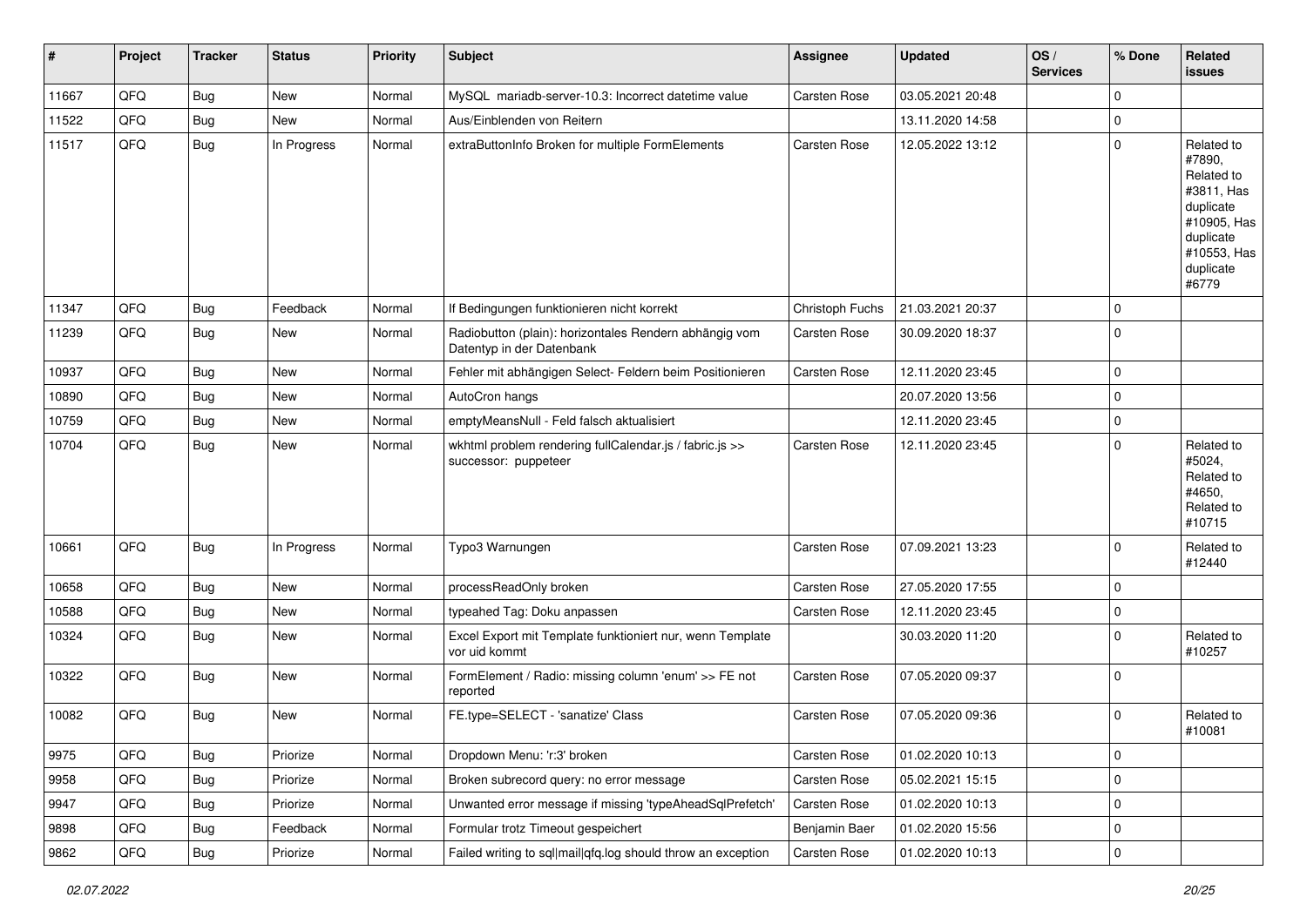| $\vert$ # | Project | <b>Tracker</b> | <b>Status</b> | <b>Priority</b> | Subject                                                                             | <b>Assignee</b>     | <b>Updated</b>   | OS/<br><b>Services</b> | % Done         | Related<br><b>issues</b>                                                                                                       |
|-----------|---------|----------------|---------------|-----------------|-------------------------------------------------------------------------------------|---------------------|------------------|------------------------|----------------|--------------------------------------------------------------------------------------------------------------------------------|
| 11667     | QFQ     | Bug            | New           | Normal          | MySQL mariadb-server-10.3: Incorrect datetime value                                 | Carsten Rose        | 03.05.2021 20:48 |                        | $\Omega$       |                                                                                                                                |
| 11522     | QFQ     | <b>Bug</b>     | New           | Normal          | Aus/Einblenden von Reitern                                                          |                     | 13.11.2020 14:58 |                        | $\mathbf 0$    |                                                                                                                                |
| 11517     | QFQ     | Bug            | In Progress   | Normal          | extraButtonInfo Broken for multiple FormElements                                    | <b>Carsten Rose</b> | 12.05.2022 13:12 |                        | $\mathbf 0$    | Related to<br>#7890,<br>Related to<br>#3811, Has<br>duplicate<br>#10905, Has<br>duplicate<br>#10553, Has<br>duplicate<br>#6779 |
| 11347     | QFQ     | <b>Bug</b>     | Feedback      | Normal          | If Bedingungen funktionieren nicht korrekt                                          | Christoph Fuchs     | 21.03.2021 20:37 |                        | $\mathbf 0$    |                                                                                                                                |
| 11239     | QFQ     | <b>Bug</b>     | <b>New</b>    | Normal          | Radiobutton (plain): horizontales Rendern abhängig vom<br>Datentyp in der Datenbank | Carsten Rose        | 30.09.2020 18:37 |                        | $\Omega$       |                                                                                                                                |
| 10937     | QFQ     | Bug            | <b>New</b>    | Normal          | Fehler mit abhängigen Select- Feldern beim Positionieren                            | Carsten Rose        | 12.11.2020 23:45 |                        | $\mathbf 0$    |                                                                                                                                |
| 10890     | QFQ     | Bug            | <b>New</b>    | Normal          | AutoCron hangs                                                                      |                     | 20.07.2020 13:56 |                        | $\mathbf 0$    |                                                                                                                                |
| 10759     | QFQ     | Bug            | New           | Normal          | emptyMeansNull - Feld falsch aktualisiert                                           |                     | 12.11.2020 23:45 |                        | $\mathbf 0$    |                                                                                                                                |
| 10704     | QFQ     | <b>Bug</b>     | New           | Normal          | wkhtml problem rendering fullCalendar.js / fabric.js >><br>successor: puppeteer     | <b>Carsten Rose</b> | 12.11.2020 23:45 |                        | $\Omega$       | Related to<br>#5024,<br>Related to<br>#4650,<br>Related to<br>#10715                                                           |
| 10661     | QFQ     | Bug            | In Progress   | Normal          | Typo3 Warnungen                                                                     | Carsten Rose        | 07.09.2021 13:23 |                        | $\Omega$       | Related to<br>#12440                                                                                                           |
| 10658     | QFQ     | Bug            | <b>New</b>    | Normal          | processReadOnly broken                                                              | <b>Carsten Rose</b> | 27.05.2020 17:55 |                        | $\mathbf 0$    |                                                                                                                                |
| 10588     | QFQ     | <b>Bug</b>     | <b>New</b>    | Normal          | typeahed Tag: Doku anpassen                                                         | Carsten Rose        | 12.11.2020 23:45 |                        | $\mathbf 0$    |                                                                                                                                |
| 10324     | QFQ     | <b>Bug</b>     | New           | Normal          | Excel Export mit Template funktioniert nur, wenn Template<br>vor uid kommt          |                     | 30.03.2020 11:20 |                        | $\mathbf 0$    | Related to<br>#10257                                                                                                           |
| 10322     | QFQ     | Bug            | <b>New</b>    | Normal          | FormElement / Radio: missing column 'enum' >> FE not<br>reported                    | Carsten Rose        | 07.05.2020 09:37 |                        | $\overline{0}$ |                                                                                                                                |
| 10082     | QFQ     | <b>Bug</b>     | New           | Normal          | FE.type=SELECT - 'sanatize' Class                                                   | <b>Carsten Rose</b> | 07.05.2020 09:36 |                        | $\Omega$       | Related to<br>#10081                                                                                                           |
| 9975      | QFQ     | <b>Bug</b>     | Priorize      | Normal          | Dropdown Menu: 'r:3' broken                                                         | Carsten Rose        | 01.02.2020 10:13 |                        | $\overline{0}$ |                                                                                                                                |
| 9958      | QFQ     | <b>Bug</b>     | Priorize      | Normal          | Broken subrecord query: no error message                                            | Carsten Rose        | 05.02.2021 15:15 |                        | $\mathbf 0$    |                                                                                                                                |
| 9947      | QFQ     | <b>Bug</b>     | Priorize      | Normal          | Unwanted error message if missing 'typeAheadSqlPrefetch'                            | Carsten Rose        | 01.02.2020 10:13 |                        | 0              |                                                                                                                                |
| 9898      | QFQ     | <b>Bug</b>     | Feedback      | Normal          | Formular trotz Timeout gespeichert                                                  | Benjamin Baer       | 01.02.2020 15:56 |                        | 0              |                                                                                                                                |
| 9862      | QFQ     | <b>Bug</b>     | Priorize      | Normal          | Failed writing to sql mail qfq.log should throw an exception                        | Carsten Rose        | 01.02.2020 10:13 |                        | $\mathbf 0$    |                                                                                                                                |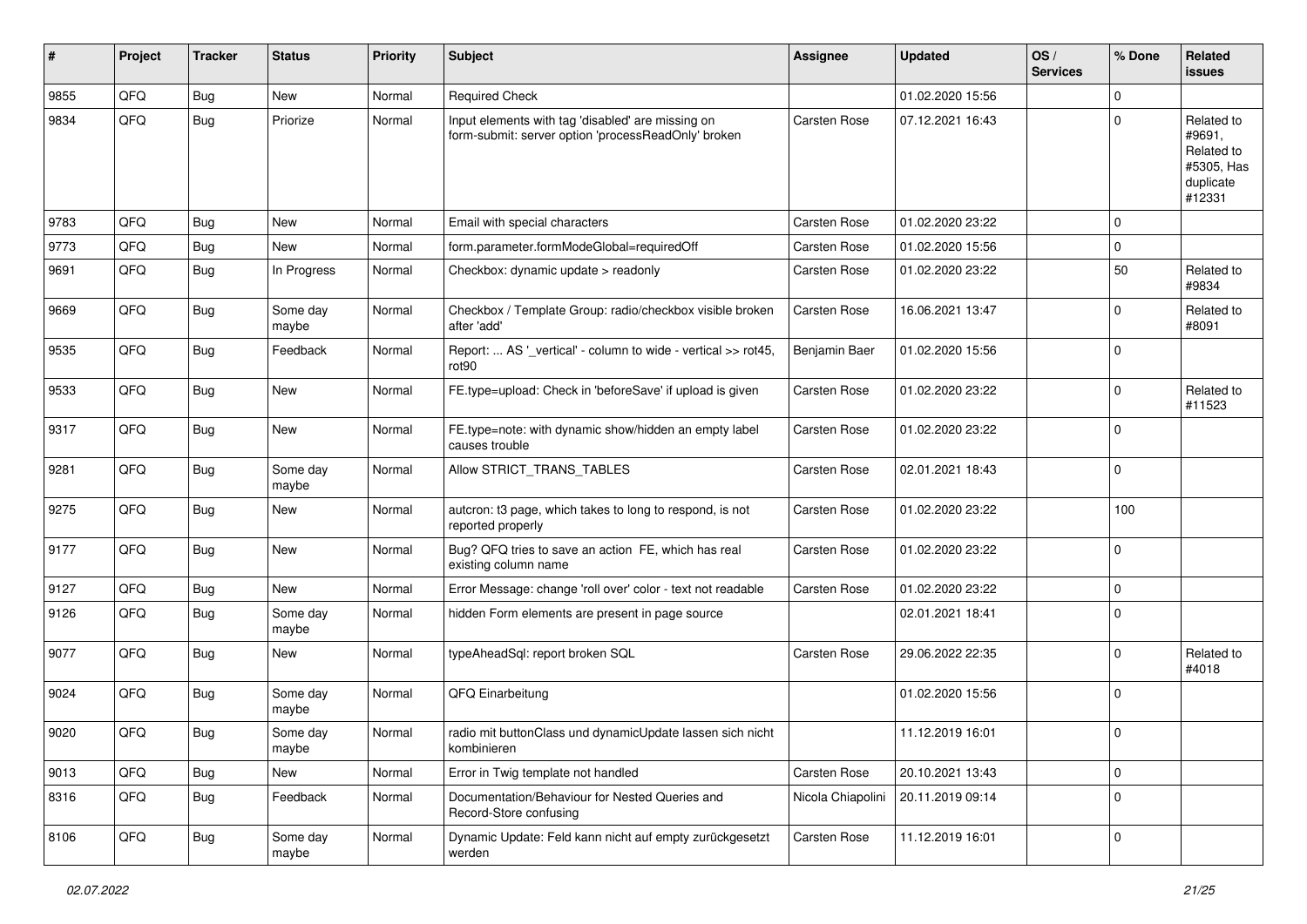| #    | Project | <b>Tracker</b> | <b>Status</b>     | <b>Priority</b> | <b>Subject</b>                                                                                           | <b>Assignee</b>     | <b>Updated</b>   | OS/<br><b>Services</b> | % Done         | Related<br>issues                                                       |
|------|---------|----------------|-------------------|-----------------|----------------------------------------------------------------------------------------------------------|---------------------|------------------|------------------------|----------------|-------------------------------------------------------------------------|
| 9855 | QFQ     | Bug            | New               | Normal          | <b>Required Check</b>                                                                                    |                     | 01.02.2020 15:56 |                        | $\Omega$       |                                                                         |
| 9834 | QFQ     | Bug            | Priorize          | Normal          | Input elements with tag 'disabled' are missing on<br>form-submit: server option 'processReadOnly' broken | <b>Carsten Rose</b> | 07.12.2021 16:43 |                        | $\Omega$       | Related to<br>#9691,<br>Related to<br>#5305, Has<br>duplicate<br>#12331 |
| 9783 | QFQ     | Bug            | New               | Normal          | Email with special characters                                                                            | <b>Carsten Rose</b> | 01.02.2020 23:22 |                        | $\Omega$       |                                                                         |
| 9773 | QFQ     | <b>Bug</b>     | New               | Normal          | form.parameter.formModeGlobal=requiredOff                                                                | <b>Carsten Rose</b> | 01.02.2020 15:56 |                        | $\mathbf 0$    |                                                                         |
| 9691 | QFQ     | Bug            | In Progress       | Normal          | Checkbox: dynamic update > readonly                                                                      | <b>Carsten Rose</b> | 01.02.2020 23:22 |                        | 50             | Related to<br>#9834                                                     |
| 9669 | QFQ     | Bug            | Some day<br>maybe | Normal          | Checkbox / Template Group: radio/checkbox visible broken<br>after 'add'                                  | <b>Carsten Rose</b> | 16.06.2021 13:47 |                        | $\mathbf 0$    | Related to<br>#8091                                                     |
| 9535 | QFQ     | Bug            | Feedback          | Normal          | Report:  AS '_vertical' - column to wide - vertical >> rot45,<br>rot <sub>90</sub>                       | Benjamin Baer       | 01.02.2020 15:56 |                        | $\Omega$       |                                                                         |
| 9533 | QFQ     | Bug            | New               | Normal          | FE.type=upload: Check in 'beforeSave' if upload is given                                                 | <b>Carsten Rose</b> | 01.02.2020 23:22 |                        | $\Omega$       | Related to<br>#11523                                                    |
| 9317 | QFQ     | Bug            | New               | Normal          | FE.type=note: with dynamic show/hidden an empty label<br>causes trouble                                  | <b>Carsten Rose</b> | 01.02.2020 23:22 |                        | $\mathbf 0$    |                                                                         |
| 9281 | QFQ     | Bug            | Some day<br>maybe | Normal          | Allow STRICT_TRANS_TABLES                                                                                | <b>Carsten Rose</b> | 02.01.2021 18:43 |                        | $\overline{0}$ |                                                                         |
| 9275 | QFQ     | Bug            | New               | Normal          | autcron: t3 page, which takes to long to respond, is not<br>reported properly                            | <b>Carsten Rose</b> | 01.02.2020 23:22 |                        | 100            |                                                                         |
| 9177 | QFQ     | Bug            | New               | Normal          | Bug? QFQ tries to save an action FE, which has real<br>existing column name                              | Carsten Rose        | 01.02.2020 23:22 |                        | $\overline{0}$ |                                                                         |
| 9127 | QFQ     | <b>Bug</b>     | New               | Normal          | Error Message: change 'roll over' color - text not readable                                              | <b>Carsten Rose</b> | 01.02.2020 23:22 |                        | $\mathbf 0$    |                                                                         |
| 9126 | QFQ     | <b>Bug</b>     | Some day<br>maybe | Normal          | hidden Form elements are present in page source                                                          |                     | 02.01.2021 18:41 |                        | $\Omega$       |                                                                         |
| 9077 | QFQ     | Bug            | New               | Normal          | typeAheadSql: report broken SQL                                                                          | <b>Carsten Rose</b> | 29.06.2022 22:35 |                        | $\mathbf 0$    | Related to<br>#4018                                                     |
| 9024 | QFQ     | Bug            | Some day<br>maybe | Normal          | QFQ Einarbeitung                                                                                         |                     | 01.02.2020 15:56 |                        | 0              |                                                                         |
| 9020 | QFQ     | Bug            | Some day<br>maybe | Normal          | radio mit buttonClass und dynamicUpdate lassen sich nicht<br>kombinieren                                 |                     | 11.12.2019 16:01 |                        | $\Omega$       |                                                                         |
| 9013 | QFQ     | Bug            | New               | Normal          | Error in Twig template not handled                                                                       | Carsten Rose        | 20.10.2021 13:43 |                        | $\mathbf 0$    |                                                                         |
| 8316 | QFQ     | <b>Bug</b>     | Feedback          | Normal          | Documentation/Behaviour for Nested Queries and<br>Record-Store confusing                                 | Nicola Chiapolini   | 20.11.2019 09:14 |                        | $\mathbf 0$    |                                                                         |
| 8106 | QFQ     | <b>Bug</b>     | Some day<br>maybe | Normal          | Dynamic Update: Feld kann nicht auf empty zurückgesetzt<br>werden                                        | Carsten Rose        | 11.12.2019 16:01 |                        | $\mathbf 0$    |                                                                         |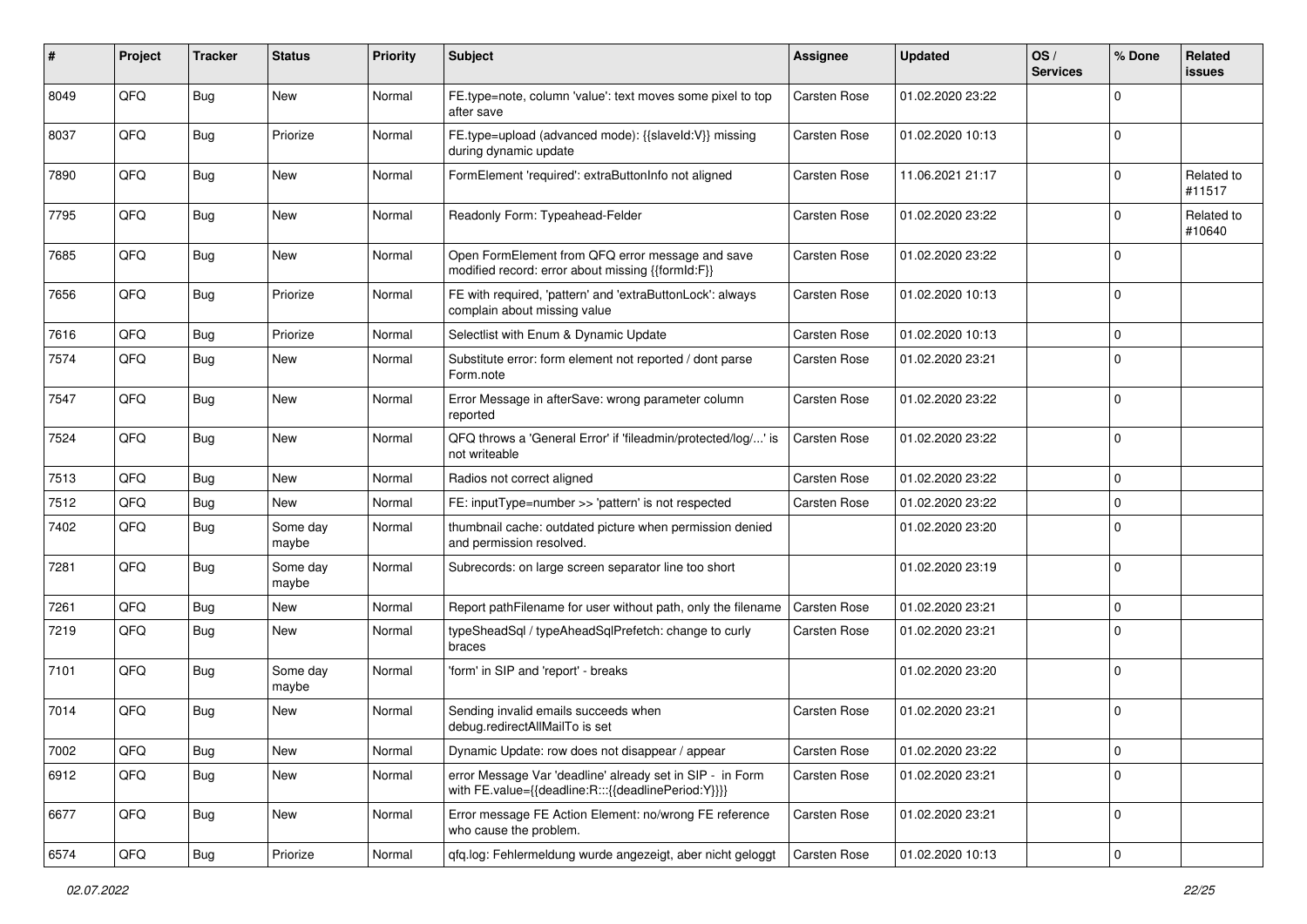| #    | Project        | <b>Tracker</b> | <b>Status</b>     | <b>Priority</b> | <b>Subject</b>                                                                                                   | Assignee            | <b>Updated</b>   | OS/<br><b>Services</b> | % Done         | Related<br>issues    |
|------|----------------|----------------|-------------------|-----------------|------------------------------------------------------------------------------------------------------------------|---------------------|------------------|------------------------|----------------|----------------------|
| 8049 | QFQ            | Bug            | New               | Normal          | FE.type=note, column 'value': text moves some pixel to top<br>after save                                         | <b>Carsten Rose</b> | 01.02.2020 23:22 |                        | $\Omega$       |                      |
| 8037 | QFQ            | Bug            | Priorize          | Normal          | FE.type=upload (advanced mode): {{slaveld:V}} missing<br>during dynamic update                                   | <b>Carsten Rose</b> | 01.02.2020 10:13 |                        | $\Omega$       |                      |
| 7890 | QFQ            | Bug            | New               | Normal          | FormElement 'required': extraButtonInfo not aligned                                                              | <b>Carsten Rose</b> | 11.06.2021 21:17 |                        | $\Omega$       | Related to<br>#11517 |
| 7795 | QFQ            | Bug            | New               | Normal          | Readonly Form: Typeahead-Felder                                                                                  | Carsten Rose        | 01.02.2020 23:22 |                        | $\Omega$       | Related to<br>#10640 |
| 7685 | QFQ            | <b>Bug</b>     | <b>New</b>        | Normal          | Open FormElement from QFQ error message and save<br>modified record: error about missing {{formId:F}}            | Carsten Rose        | 01.02.2020 23:22 |                        | $\Omega$       |                      |
| 7656 | QFQ            | Bug            | Priorize          | Normal          | FE with required, 'pattern' and 'extraButtonLock': always<br>complain about missing value                        | Carsten Rose        | 01.02.2020 10:13 |                        | $\Omega$       |                      |
| 7616 | QFQ            | <b>Bug</b>     | Priorize          | Normal          | Selectlist with Enum & Dynamic Update                                                                            | Carsten Rose        | 01.02.2020 10:13 |                        | $\mathbf 0$    |                      |
| 7574 | QFQ            | <b>Bug</b>     | New               | Normal          | Substitute error: form element not reported / dont parse<br>Form.note                                            | Carsten Rose        | 01.02.2020 23:21 |                        | $\Omega$       |                      |
| 7547 | QFQ            | Bug            | <b>New</b>        | Normal          | Error Message in afterSave: wrong parameter column<br>reported                                                   | Carsten Rose        | 01.02.2020 23:22 |                        | $\Omega$       |                      |
| 7524 | QFQ            | <b>Bug</b>     | New               | Normal          | QFQ throws a 'General Error' if 'fileadmin/protected/log/' is<br>not writeable                                   | <b>Carsten Rose</b> | 01.02.2020 23:22 |                        | $\Omega$       |                      |
| 7513 | QFQ            | <b>Bug</b>     | New               | Normal          | Radios not correct aligned                                                                                       | <b>Carsten Rose</b> | 01.02.2020 23:22 |                        | $\mathbf 0$    |                      |
| 7512 | QFQ            | Bug            | New               | Normal          | FE: inputType=number >> 'pattern' is not respected                                                               | Carsten Rose        | 01.02.2020 23:22 |                        | $\mathbf 0$    |                      |
| 7402 | QFQ            | <b>Bug</b>     | Some day<br>maybe | Normal          | thumbnail cache: outdated picture when permission denied<br>and permission resolved.                             |                     | 01.02.2020 23:20 |                        | $\Omega$       |                      |
| 7281 | QFQ            | <b>Bug</b>     | Some day<br>maybe | Normal          | Subrecords: on large screen separator line too short                                                             |                     | 01.02.2020 23:19 |                        | $\Omega$       |                      |
| 7261 | QFQ            | Bug            | <b>New</b>        | Normal          | Report pathFilename for user without path, only the filename                                                     | <b>Carsten Rose</b> | 01.02.2020 23:21 |                        | $\mathbf 0$    |                      |
| 7219 | QFQ            | <b>Bug</b>     | <b>New</b>        | Normal          | typeSheadSql / typeAheadSqlPrefetch: change to curly<br>braces                                                   | Carsten Rose        | 01.02.2020 23:21 |                        | $\Omega$       |                      |
| 7101 | QFQ            | Bug            | Some day<br>maybe | Normal          | 'form' in SIP and 'report' - breaks                                                                              |                     | 01.02.2020 23:20 |                        | $\Omega$       |                      |
| 7014 | QFQ            | Bug            | New               | Normal          | Sending invalid emails succeeds when<br>debug.redirectAllMailTo is set                                           | Carsten Rose        | 01.02.2020 23:21 |                        | $\mathbf 0$    |                      |
| 7002 | QFQ            | <b>Bug</b>     | New               | Normal          | Dynamic Update: row does not disappear / appear                                                                  | Carsten Rose        | 01.02.2020 23:22 |                        | 0              |                      |
| 6912 | QFQ            | <b>Bug</b>     | New               | Normal          | error Message Var 'deadline' already set in SIP - in Form<br>with FE.value={{deadline:R:::{{deadlinePeriod:Y}}}} | Carsten Rose        | 01.02.2020 23:21 |                        | $\mathbf 0$    |                      |
| 6677 | QFQ            | Bug            | New               | Normal          | Error message FE Action Element: no/wrong FE reference<br>who cause the problem.                                 | Carsten Rose        | 01.02.2020 23:21 |                        | $\overline{0}$ |                      |
| 6574 | $\mathsf{QFQ}$ | Bug            | Priorize          | Normal          | qfq.log: Fehlermeldung wurde angezeigt, aber nicht geloggt                                                       | Carsten Rose        | 01.02.2020 10:13 |                        | $\overline{0}$ |                      |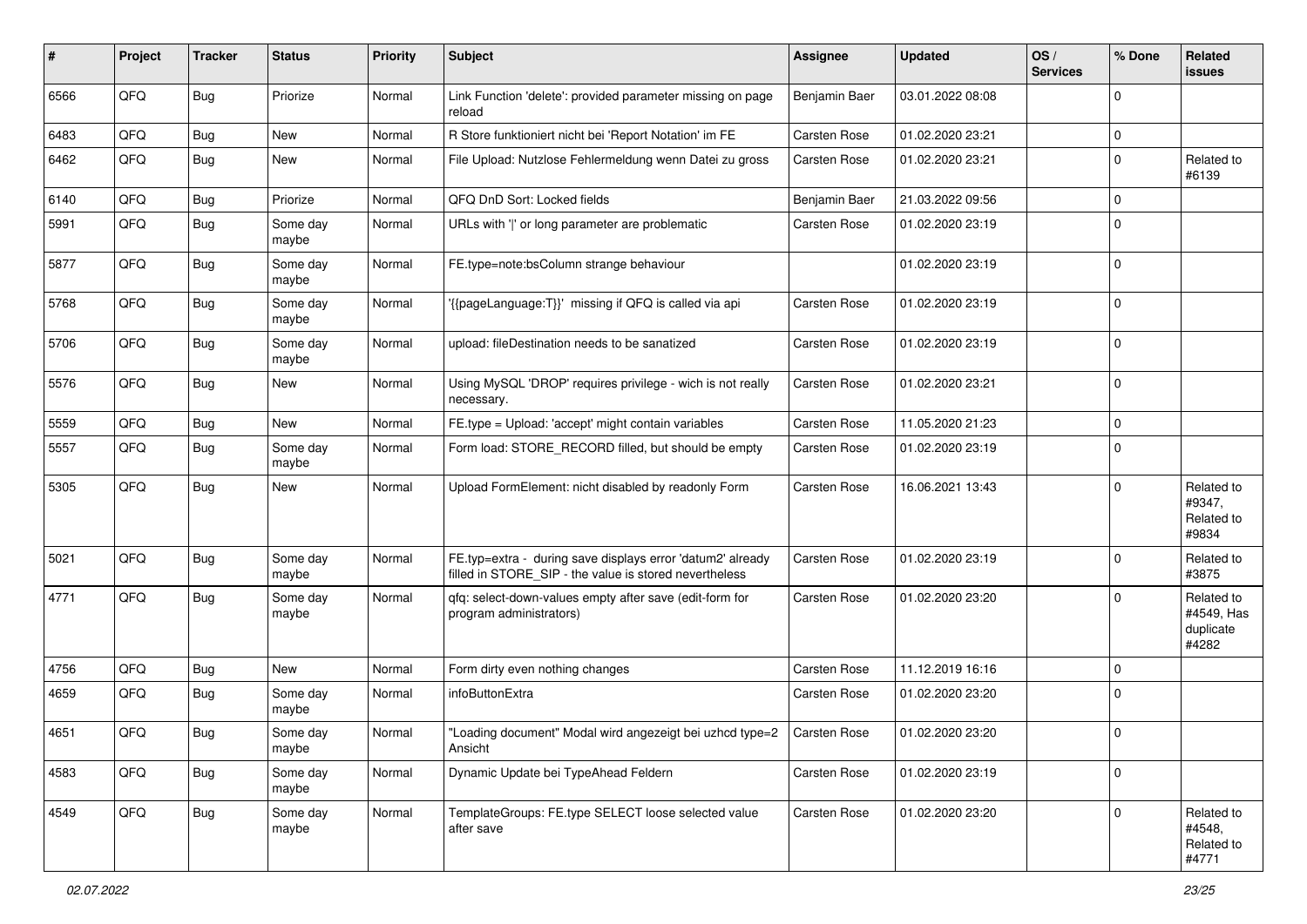| ∦    | Project | <b>Tracker</b> | <b>Status</b>     | <b>Priority</b> | Subject                                                                                                              | <b>Assignee</b>     | <b>Updated</b>   | OS/<br><b>Services</b> | % Done         | Related<br>issues                              |
|------|---------|----------------|-------------------|-----------------|----------------------------------------------------------------------------------------------------------------------|---------------------|------------------|------------------------|----------------|------------------------------------------------|
| 6566 | QFQ     | <b>Bug</b>     | Priorize          | Normal          | Link Function 'delete': provided parameter missing on page<br>reload                                                 | Benjamin Baer       | 03.01.2022 08:08 |                        | $\Omega$       |                                                |
| 6483 | QFQ     | Bug            | <b>New</b>        | Normal          | R Store funktioniert nicht bei 'Report Notation' im FE                                                               | <b>Carsten Rose</b> | 01.02.2020 23:21 |                        | 0              |                                                |
| 6462 | QFQ     | <b>Bug</b>     | New               | Normal          | File Upload: Nutzlose Fehlermeldung wenn Datei zu gross                                                              | <b>Carsten Rose</b> | 01.02.2020 23:21 |                        | $\Omega$       | Related to<br>#6139                            |
| 6140 | QFQ     | <b>Bug</b>     | Priorize          | Normal          | QFQ DnD Sort: Locked fields                                                                                          | Benjamin Baer       | 21.03.2022 09:56 |                        | $\Omega$       |                                                |
| 5991 | QFQ     | Bug            | Some day<br>maybe | Normal          | URLs with ' ' or long parameter are problematic                                                                      | Carsten Rose        | 01.02.2020 23:19 |                        | $\mathbf 0$    |                                                |
| 5877 | QFQ     | <b>Bug</b>     | Some dav<br>maybe | Normal          | FE.type=note:bsColumn strange behaviour                                                                              |                     | 01.02.2020 23:19 |                        | $\mathbf 0$    |                                                |
| 5768 | QFQ     | Bug            | Some day<br>maybe | Normal          | '{{pageLanguage:T}}' missing if QFQ is called via api                                                                | <b>Carsten Rose</b> | 01.02.2020 23:19 |                        | $\Omega$       |                                                |
| 5706 | QFQ     | <b>Bug</b>     | Some day<br>maybe | Normal          | upload: fileDestination needs to be sanatized                                                                        | Carsten Rose        | 01.02.2020 23:19 |                        | $\Omega$       |                                                |
| 5576 | QFQ     | <b>Bug</b>     | New               | Normal          | Using MySQL 'DROP' requires privilege - wich is not really<br>necessary.                                             | <b>Carsten Rose</b> | 01.02.2020 23:21 |                        | $\Omega$       |                                                |
| 5559 | QFQ     | <b>Bug</b>     | <b>New</b>        | Normal          | FE.type = Upload: 'accept' might contain variables                                                                   | <b>Carsten Rose</b> | 11.05.2020 21:23 |                        | $\mathbf 0$    |                                                |
| 5557 | QFQ     | <b>Bug</b>     | Some day<br>maybe | Normal          | Form load: STORE_RECORD filled, but should be empty                                                                  | Carsten Rose        | 01.02.2020 23:19 |                        | $\overline{0}$ |                                                |
| 5305 | QFQ     | <b>Bug</b>     | New               | Normal          | Upload FormElement: nicht disabled by readonly Form                                                                  | <b>Carsten Rose</b> | 16.06.2021 13:43 |                        | $\Omega$       | Related to<br>#9347,<br>Related to<br>#9834    |
| 5021 | QFQ     | <b>Bug</b>     | Some day<br>maybe | Normal          | FE.typ=extra - during save displays error 'datum2' already<br>filled in STORE_SIP - the value is stored nevertheless | Carsten Rose        | 01.02.2020 23:19 |                        | $\Omega$       | Related to<br>#3875                            |
| 4771 | QFQ     | <b>Bug</b>     | Some day<br>maybe | Normal          | qfq: select-down-values empty after save (edit-form for<br>program administrators)                                   | <b>Carsten Rose</b> | 01.02.2020 23:20 |                        | $\Omega$       | Related to<br>#4549, Has<br>duplicate<br>#4282 |
| 4756 | QFQ     | Bug            | <b>New</b>        | Normal          | Form dirty even nothing changes                                                                                      | <b>Carsten Rose</b> | 11.12.2019 16:16 |                        | $\Omega$       |                                                |
| 4659 | QFQ     | Bug            | Some day<br>maybe | Normal          | infoButtonExtra                                                                                                      | <b>Carsten Rose</b> | 01.02.2020 23:20 |                        | 0              |                                                |
| 4651 | QFQ     | Bug            | Some day<br>maybe | Normal          | "Loading document" Modal wird angezeigt bei uzhcd type=2<br>Ansicht                                                  | <b>Carsten Rose</b> | 01.02.2020 23:20 |                        | 0              |                                                |
| 4583 | QFQ     | <b>Bug</b>     | Some day<br>maybe | Normal          | Dynamic Update bei TypeAhead Feldern                                                                                 | Carsten Rose        | 01.02.2020 23:19 |                        | $\overline{0}$ |                                                |
| 4549 | QFG     | <b>Bug</b>     | Some day<br>maybe | Normal          | TemplateGroups: FE.type SELECT loose selected value<br>after save                                                    | Carsten Rose        | 01.02.2020 23:20 |                        | $\mathbf{0}$   | Related to<br>#4548,<br>Related to<br>#4771    |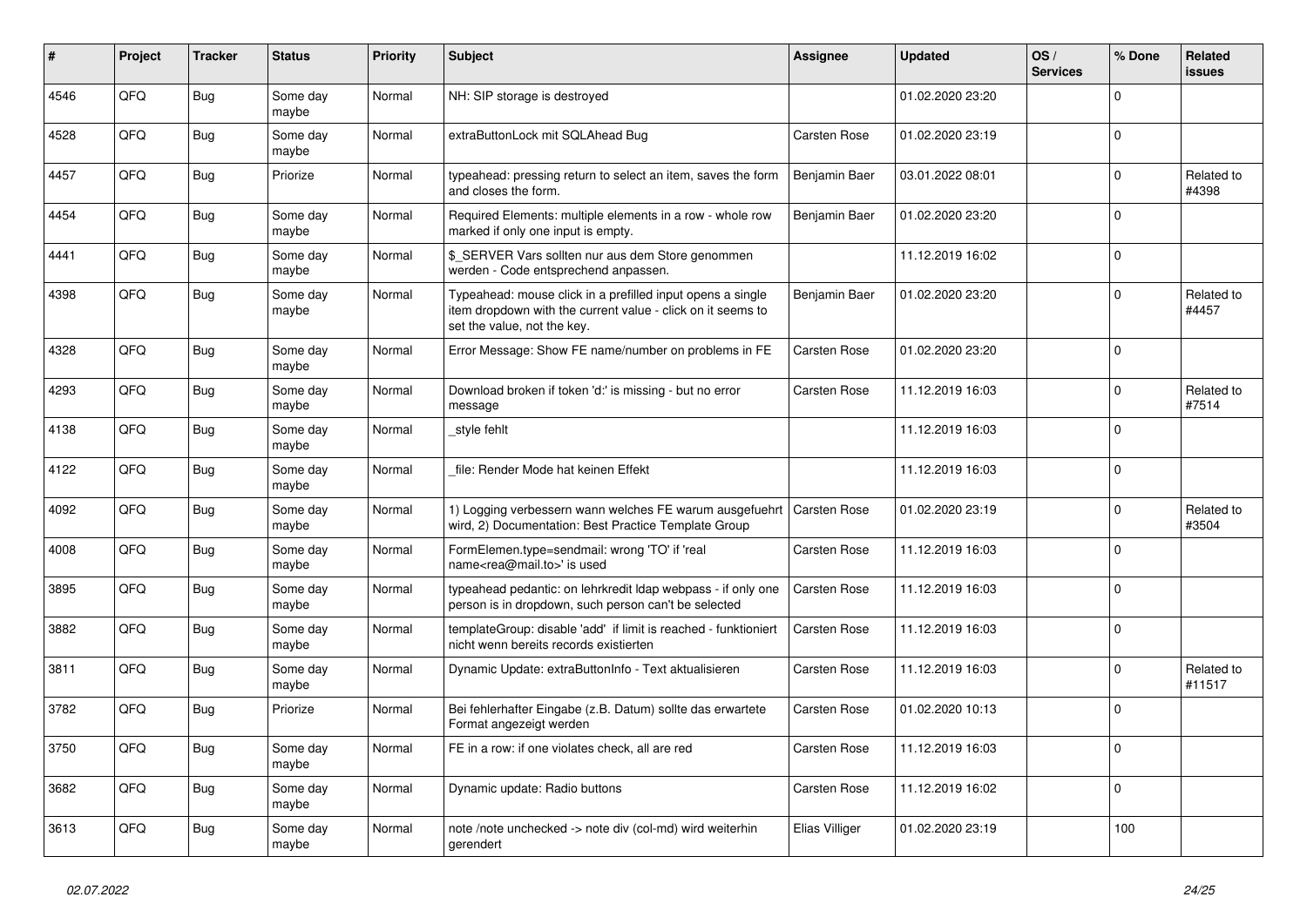| ∦    | Project | <b>Tracker</b> | <b>Status</b>     | <b>Priority</b> | <b>Subject</b>                                                                                                                                           | Assignee            | <b>Updated</b>   | OS/<br><b>Services</b> | % Done       | Related<br><b>issues</b> |
|------|---------|----------------|-------------------|-----------------|----------------------------------------------------------------------------------------------------------------------------------------------------------|---------------------|------------------|------------------------|--------------|--------------------------|
| 4546 | QFQ     | <b>Bug</b>     | Some day<br>maybe | Normal          | NH: SIP storage is destroyed                                                                                                                             |                     | 01.02.2020 23:20 |                        | $\Omega$     |                          |
| 4528 | QFQ     | <b>Bug</b>     | Some day<br>maybe | Normal          | extraButtonLock mit SQLAhead Bug                                                                                                                         | Carsten Rose        | 01.02.2020 23:19 |                        | $\Omega$     |                          |
| 4457 | QFQ     | Bug            | Priorize          | Normal          | typeahead: pressing return to select an item, saves the form<br>and closes the form.                                                                     | Benjamin Baer       | 03.01.2022 08:01 |                        | $\Omega$     | Related to<br>#4398      |
| 4454 | QFQ     | <b>Bug</b>     | Some day<br>maybe | Normal          | Required Elements: multiple elements in a row - whole row<br>marked if only one input is empty.                                                          | Benjamin Baer       | 01.02.2020 23:20 |                        | $\mathbf{0}$ |                          |
| 4441 | QFQ     | <b>Bug</b>     | Some day<br>maybe | Normal          | \$ SERVER Vars sollten nur aus dem Store genommen<br>werden - Code entsprechend anpassen.                                                                |                     | 11.12.2019 16:02 |                        | $\Omega$     |                          |
| 4398 | QFQ     | Bug            | Some day<br>maybe | Normal          | Typeahead: mouse click in a prefilled input opens a single<br>item dropdown with the current value - click on it seems to<br>set the value, not the key. | Benjamin Baer       | 01.02.2020 23:20 |                        | $\Omega$     | Related to<br>#4457      |
| 4328 | QFQ     | <b>Bug</b>     | Some day<br>maybe | Normal          | Error Message: Show FE name/number on problems in FE                                                                                                     | Carsten Rose        | 01.02.2020 23:20 |                        | $\Omega$     |                          |
| 4293 | QFQ     | Bug            | Some day<br>maybe | Normal          | Download broken if token 'd:' is missing - but no error<br>message                                                                                       | <b>Carsten Rose</b> | 11.12.2019 16:03 |                        | $\Omega$     | Related to<br>#7514      |
| 4138 | QFQ     | Bug            | Some day<br>maybe | Normal          | style fehlt                                                                                                                                              |                     | 11.12.2019 16:03 |                        | $\Omega$     |                          |
| 4122 | QFQ     | Bug            | Some day<br>maybe | Normal          | file: Render Mode hat keinen Effekt                                                                                                                      |                     | 11.12.2019 16:03 |                        | $\Omega$     |                          |
| 4092 | QFQ     | Bug            | Some day<br>maybe | Normal          | 1) Logging verbessern wann welches FE warum ausgefuehrt<br>wird, 2) Documentation: Best Practice Template Group                                          | <b>Carsten Rose</b> | 01.02.2020 23:19 |                        | $\Omega$     | Related to<br>#3504      |
| 4008 | QFQ     | Bug            | Some day<br>maybe | Normal          | FormElemen.type=sendmail: wrong 'TO' if 'real<br>name <rea@mail.to>' is used</rea@mail.to>                                                               | <b>Carsten Rose</b> | 11.12.2019 16:03 |                        | $\Omega$     |                          |
| 3895 | QFQ     | Bug            | Some day<br>maybe | Normal          | typeahead pedantic: on lehrkredit Idap webpass - if only one<br>person is in dropdown, such person can't be selected                                     | <b>Carsten Rose</b> | 11.12.2019 16:03 |                        | $\Omega$     |                          |
| 3882 | QFQ     | Bug            | Some day<br>maybe | Normal          | templateGroup: disable 'add' if limit is reached - funktioniert<br>nicht wenn bereits records existierten                                                | Carsten Rose        | 11.12.2019 16:03 |                        | $\Omega$     |                          |
| 3811 | QFQ     | Bug            | Some day<br>maybe | Normal          | Dynamic Update: extraButtonInfo - Text aktualisieren                                                                                                     | Carsten Rose        | 11.12.2019 16:03 |                        | $\Omega$     | Related to<br>#11517     |
| 3782 | QFQ     | Bug            | Priorize          | Normal          | Bei fehlerhafter Eingabe (z.B. Datum) sollte das erwartete<br>Format angezeigt werden                                                                    | Carsten Rose        | 01.02.2020 10:13 |                        | $\Omega$     |                          |
| 3750 | QFQ     | Bug            | Some day<br>maybe | Normal          | FE in a row: if one violates check, all are red                                                                                                          | Carsten Rose        | 11.12.2019 16:03 |                        | $\Omega$     |                          |
| 3682 | QFQ     | Bug            | Some day<br>maybe | Normal          | Dynamic update: Radio buttons                                                                                                                            | Carsten Rose        | 11.12.2019 16:02 |                        | $\Omega$     |                          |
| 3613 | QFQ     | Bug            | Some day<br>maybe | Normal          | note /note unchecked -> note div (col-md) wird weiterhin<br>gerendert                                                                                    | Elias Villiger      | 01.02.2020 23:19 |                        | 100          |                          |